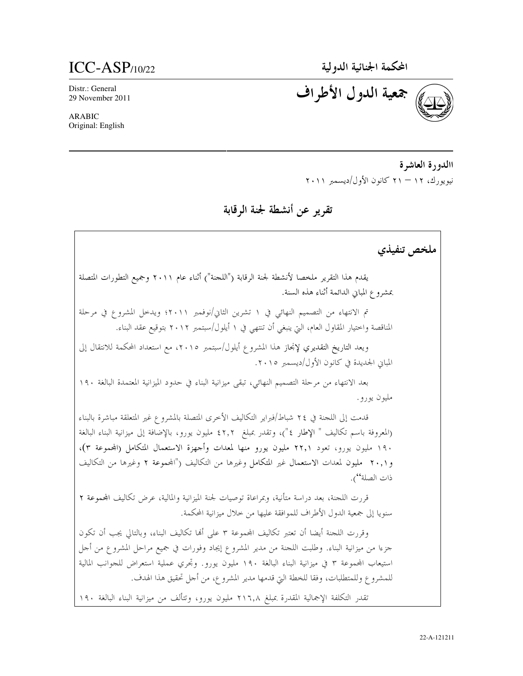المحكمة الجنائية الدولية

## $ICC-ASP$ <sub>/10/22</sub>

Distr.: General 29 November 2011

**ARABIC** Original: English جمعية الدول الأطراف

االدورة العاشرة نيويورك، ١٢ — ٢١ كانون الأول/ديسمبر ٢٠١١

تقرير عن أنشطة لجنة الرقابة

ملخص تنفيذي يقدم هذا التقرير ملخصا لأنشطة لجنة الرقابة ("اللجنة") أثناء عام ٢٠١١ وجميع التطورات المتصلة بمشروع المباين الدائمة أثناء هذه السنة. تم الانتهاء من التصميم النهائي في ١ تشرين الثاني/نوفمبر ٢٠١١؛ ويدخل المشروع في مرحلة المناقصة واختيار المقاول العام، التي ينبغي أن تنتهي في ١ أيلول/سبتمبر ٢٠١٢ بتوقيع عقد البناء. ويعد التاريخ التقديري لإنجاز هذا المشروع أيلول/سبتمبر ٢٠١٥، مع استعداد المحكمة للانتقال إلى المباين الجديدة في كانون الأول/ديسمبر ٢٠١٥. بعد الانتهاء من مرحلة التصميم النهائي، تبقى ميزانية البناء في حدود الميزانية المعتمدة البالغة ١٩٠ مليون يورو . قدمت إلى اللجنة في ٢٤ شباط/فبراير التكاليف الأخرى المتصلة بالمشروع غير المتعلقة مباشرة بالبناء (المعروفة باسم تكاليف " الإطار ٤")، وتقدر بمبلغ ٤٢٫٢ مليون يورو، بالإضافة إلى ميزانية البناء البالغة ۱۹۰ مليون يورو، تعود ۲۲٫۱ مليون يورو منها لمعدات وأجهزة الاستعمال المتكامل (المجموعة ۳)، و٢٠,١ مليون لمعدات الاستعمال غير المتكامل وغيرها من التكاليف ("المجموعة ٢ وغيرها من التكاليف ذات الصلة''). قررت اللحنة، بعد دراسة متأنية، وبمراعاة توصيات لجنة الميزانية والمالية، عرض تكاليف المجموعة ٢ سنويا إلى جمعية الدول الأطراف للموافقة عليها من خلال ميزانية المحكمة. وقررت اللجنة أيضا أن تعتبر تكاليف المجموعة ٣ على ألها تكاليف البناء، وبالتالي يجب أن تكون حزءا من ميزانية البناء. وطلبت اللحنة من مدير المشروع إيجاد وفورات في جميع مراحل المشروع من أحل استيعاب المحموعة ٣ في ميزانية البناء البالغة ١٩٠ مليون يورو. وتحري عملية استعراض للجوانب المالية للمشروع وللمتطلبات، وفقا للخطة التيّ قدمها مدير المشروع، من أجل تحقيق هذا الهدف.

تقدر التكلفة الإجمالية المقدرة بمبلغ ٢١٦٫٨ مليون يورو، وتتألف من ميزانية البناء البالغة ١٩٠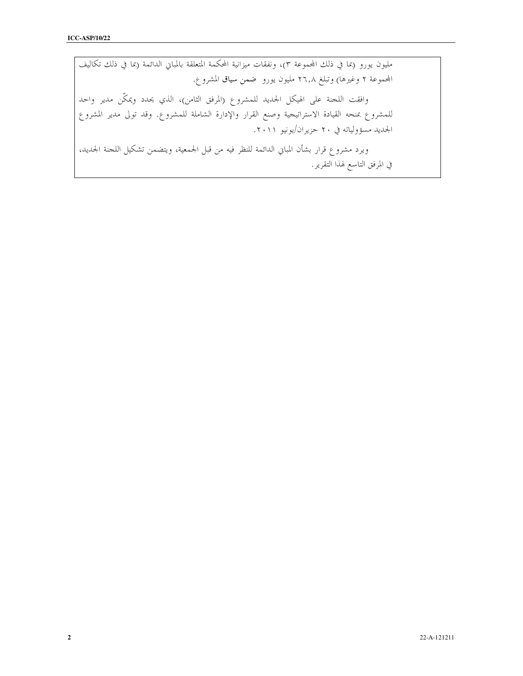مليون يورو (بما في ذلك المجموعة ٣)، ونفقات ميزانية المحكمة المتعلقة بالمباني الدائمة (بما في ذلك تكاليف المحموعة ٢ وغيرها) وتبلغ ٢٦٫٨ مليون يورو ضمن سياق المشروع. وافقت اللجنة على الهيكل الجديد للمشروع (المرفق الثامن)، الذي يحدد ويمكّن مدير واحد للمشروع بمنحه القيادة الاستراتيجية وصنع القرار والإدارة الشاملة للمشروع. وقد تولى مدير المشروع الجديد مسؤولياته في ٢٠ حزيران/يونيو ٢٠١١. ويرد مشروع قرار بشأن المباني الدائمة للنظر فيه من قبل الجمعية، ويتضمن تشكيل اللجنة الجديد، في المرفق التاسع لهذا التقرير.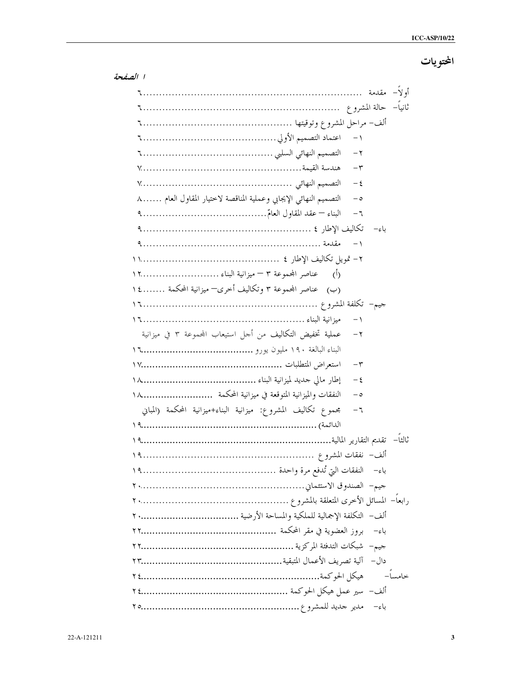المحتويات

| $-1$                                                                             |
|----------------------------------------------------------------------------------|
| $-\tau$                                                                          |
|                                                                                  |
| $-\xi$                                                                           |
| التصميم النهائي الإيجابي وعملية المناقصة لاختيار المقاول العام ٨<br>$-\circ$     |
| $-7$                                                                             |
|                                                                                  |
| $-1$                                                                             |
|                                                                                  |
| (أ)     عناصر المجموعة ٣ – ميزانية البناء  ١٢                                    |
| (ب) عناصر المجموعة ٣ وتكاليف أخرى— ميزانية المحكمة  ١٤                           |
|                                                                                  |
| $-1$                                                                             |
| عملية تخفيض التكاليف من أحل استيعاب المحموعة ٣ في ميزانية<br>$-\tau$             |
|                                                                                  |
| $-\tau$                                                                          |
| $-\epsilon$                                                                      |
| النفقات والميزانية المتوقعة في ميزانية المحكمة  ١٨<br>ہ –                        |
| مجموع تكاليف المشروع: ميزانية البناء+ميزانية المحكمة (المباني<br>$-\mathfrak{r}$ |
|                                                                                  |
|                                                                                  |
|                                                                                  |
|                                                                                  |
|                                                                                  |
|                                                                                  |
|                                                                                  |
|                                                                                  |
|                                                                                  |
|                                                                                  |
|                                                                                  |
|                                                                                  |
|                                                                                  |

ا الصفحة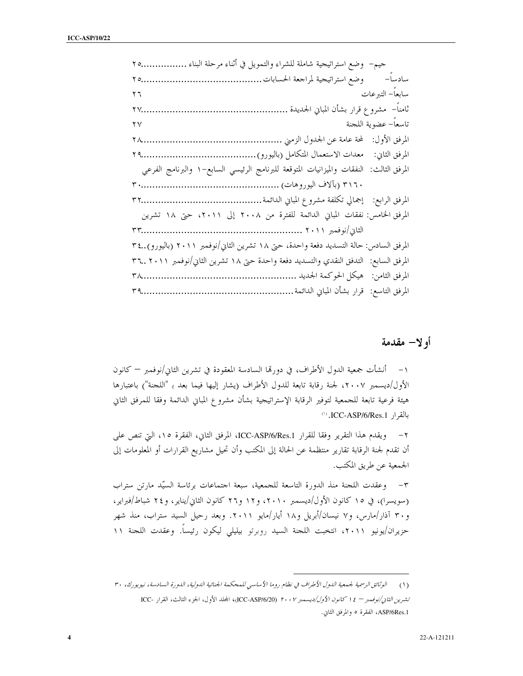| جيم–  وضع استراتيجية شاملة للشراء والتمويل في أثناء مرحلة البناء ٢٥                    |  |
|----------------------------------------------------------------------------------------|--|
|                                                                                        |  |
| سابعاً– التبرعات<br>$\mathbf{y}$ $\mathbf{y}$                                          |  |
| ثامناً–  مشروع قرار بشأن المباني الجديدة<br><b>Y</b> Y                                 |  |
| تاسعاً– عضوية اللجنة<br>$\mathbf{Y} \mathbf{V}$                                        |  |
|                                                                                        |  |
|                                                                                        |  |
| المرفق الثالث: النفقات والميزانيات المتوقعة للبرنامج الرئيسي السابع–١ والبرنامج الفرعي |  |
|                                                                                        |  |
|                                                                                        |  |
| المرفق الخامس: نفقات المباني الدائمة للفترة من ٢٠٠٨ إلى ٢٠١١، حتى ١٨ تشرين             |  |
|                                                                                        |  |
| المرفق السادس: حالة التسديد دفعة واحدة، حتى ١٨ تشرين الثاني/نوفمبر ٢٠١١ (باليورو)٣٤    |  |
| المرفق السابع:  التدفق النقدي والتسديد دفعة واحدة حتى ١٨ تشرين الثاني/نوفمبر ٣٦ ٢٠١١   |  |
|                                                                                        |  |
|                                                                                        |  |

## أولا— مقدمة

١– أنشأت جمعية الدول الأطراف، في دورقما السادسة المعقودة في تشرين الثاني/نوفمبر — كانون الأول/ديسمبر ٢٠٠٧، لجنة رقابة تابعة للدول الأطراف (يشار إليها فيما بعد بـ "اللجنة") باعتبارها هيئة فرعية تابعة للجمعية لتوفير الرقابة الإستراتيجية بشأن مشروع المباني الدائمة وفقا للمرفق الثاني بالقرار ICC-ASP/6/Res.1.

٢- ويقدم هذا التقرير وفقا للقرار ICC-ASP/6/Res.1، المرفق الثاني، الفقرة ١٥، التي تنص على أن تقدم لجنة الرقابة تقارير منتظمة عن الحالة إلى المكتب وأن تحيل مشاريع القرارات أو المعلومات إلى الجمعية عن طريق المكتب.

٣- وعقدت اللجنة منذ الدورة التاسعة للجمعية، سبعة احتماعات برئاسة السيّد مارتن ستراب (سويسرا)، في ١٥ كانون الأول/ديسمبر ٢٠١٠، و١٢ و٢٦ كانون الثاني/يناير، و٢٤ شباط/فبراير، و ۳۰ آذار/مارس، و۷ نیسان/أبریل و۱۸ أیار/مایو ۲۰۱۱. وبعد رحیل السید ستراب، منذ شهر حزيران/يونيو ٢٠١١، انتخبت اللجنة السيد روبرتو بيليلي ليكون رئيساً. وعقدت اللجنة ١١

<sup>(</sup>١) الوثائق الرسمية لجمعية الدول الأطراف في نظام روما الأساسي للمحكمة الجنائية الدولية، الدورة السادسة، نيويورك، ٣٠ تشرين الثاني/نوفِمبر - ١٤ كانون الأول/ديسمبر ٢٠٠٧ (ICC-ASP/6/20)، المجلد الأول، الجزء الثالث، القرار -ICC ASP/6Res.1، الفقرة ٥ والمرفق الثاني.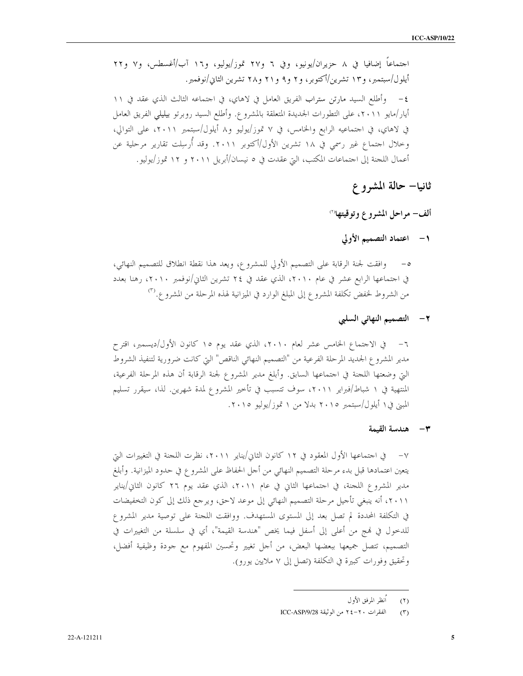احتماعاً إضافيا في ٨ حزيران/يونيو، وفي ٦ و٢٧ تموز/يوليو، و١٦ آب/أغسطس، و٧ و٢٢ أيلول/سبتمبر، و١٣ تشرين/أكتوبر، و٢ و٩ و٢١ و٢٨ تشرين الثاني/نوفمبر. ٤- وأطلع السيد مارتن ستراب الفريق العامل في لاهاي، في احتماعه الثالث الذي عقد في ١١ أيار/مايو ٢٠١١، على التطورات الجديدة المتعلقة بالمشروع. وأطلع السيد روبرتو بيليلي الفريق العامل في لاهاي، في احتماعيه الرابع والخامس، في ٧ تموز/يوليو و٨ أيلول/سبتمبر ٢٠١١، على التوالي، وخلال اجتماع غير رسمي في ١٨ تشرين الأول/أكتوبر ٢٠١١. وقد أُرسِلت تقارير مرحلية عن أعمال اللجنة إلى احتماعات المكتب، التي عقدت في ٥ نيسان/أبريل ٢٠١١ و ١٢ تموز/يوليو.

## ثانيا– حالة المشروع

### ألف– مراحل المشروع وتوقيتها<sup>(٢)</sup>

### ١- اعتماد التصميم الأولى

وافقت لجنة الرقابة على التصميم الأولى للمشروع، ويعد هذا نقطة انطلاق للتصميم النهائي، في اجتماعها الرابع عشر في عام ٢٠١٠، الذي عقد في ٢٤ تشرين الثاني/نوفمبر ٢٠١٠، رهنا بعدد من الشروط لخفض تكلفة المشروع إلى المبلغ الوارد في الميزانية لهذه المرحلة من المشرو ع.<sup>(٣)</sup>

### ٢ – التصميم النهائي السلبي

مدير المشروع الجديد المرحلة الفرعية من "التصميم النهائي الناقص" التي كانت ضرورية لتنفيذ الشروط التي وضعتها اللحنة في احتماعها السابق. وأبلغ مدير المشروع لجنة الرقابة أن هذه المرحلة الفرعية، المنتهية في ١ شباط/فبراير ٢٠١١، سوف تتسبب في تأخير المشروع لمدة شهرين. لذا، سيقرر تسليم المبين في ١ أيلول/سبتمبر ٢٠١٥ بدلًا من ١ تموز/يوليو ٢٠١٥.

### ٣– هندسة القيمة

٧– في اجتماعها الأول المعقود في ١٢ كانون الثاني/يناير ٢٠١١، نظرت اللجنة في التغييرات التي يتعين اعتمادها قبل بدء مرحلة التصميم النهائي من أحل الحفاظ على المشرو ع في حدود الميزانية. وأبلغ مدير المشروع اللجنة، في احتماعها الثاني في عام ٢٠١١، الذي عقد يوم ٢٦ كانون الثاني/يناير ٢٠١١، أنه ينبغي تأجيل مرحلة التصميم النهائي إلى موعد لاحق، ويرجع ذلك إلى كون التخفيضات في التكلفة المحددة لم تصل بعد إلى المستوى المستهدف. ووافقت اللجنة على توصية مدير المشروع للدخول في فمج من أعلى إلى أسفل فيما يخص "هندسة القيمة"، أي في سلسلة من التغييرات في التصميم، تتصل جميعها ببعضها البعض، من أجل تغيير وتحسين المفهوم مع جودة وظيفية أفضل، وتحقيق وفورات كبيرة في التكلفة (تصل إلى ٧ ملايين يورو).

انظر المرفق الأول  $(1)$ 

الفقرات ٢٠-٢٤ من الوثيقة ICC-ASP/9/28  $(5)$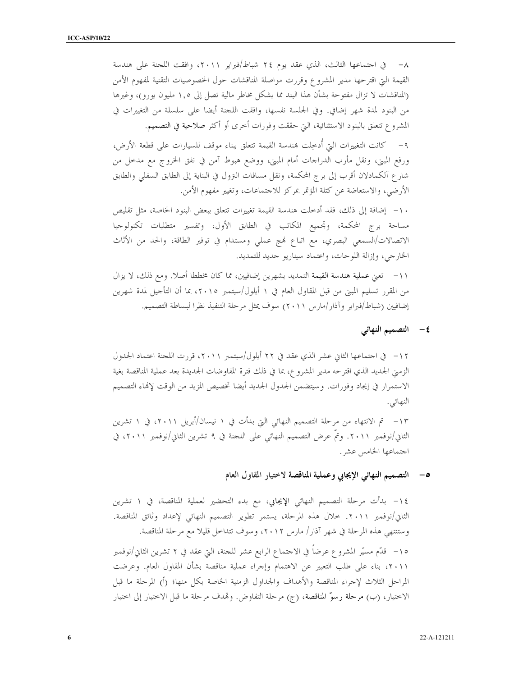٨– في اجتماعها الثالث، الذي عقد يوم ٢٤ شباط/فبراير ٢٠١١، وافقت اللجنة على هندسة القيمة التي اقترحها مدير المشروع وقررت مواصلة المناقشات حول الخصوصيات التقنية لمفهوم الأمن (المناقشات لا تزال مفتوحة بشأن هذا البند مما يشكل مخاطر مالية تصل إلى ١,٥ مليون يورو)، وغيرها من البنود لمدة شهر إضافي. وفي الجلسة نفسها، وافقت اللحنة أيضا على سلسلة من التغييرات في المشروع تتعلق بالبنود الاستثنائية، التي حققت وفورات أخرى أو أكثر صلاحية في التصميم. ٩ – كانت التغييرات التيّ أدخِلت بمندسة القيمة تتعلق ببناء موقف للسيارات على قطعة الأرض، ورفع المبني، ونقل مأرب الدراجات أمام المبني، ووضع هبوط آمن في نفق الخروج مع مدخل من شارع آلكمادلان أقرب إلى برج المحكمة، ونقل مسافات النزول في البناية إلى الطابق السفلي والطابق

الأرضى، والاستعاضة عن كتلة المؤتمر بمركز للاجتماعات، وتغيير مفهوم الأمن. ١٠– إضافة إلى ذلك، فقد أدخلت هندسة القيمة تغييرات تتعلق ببعض البنود الخاصة، مثل تقليص مساحة برج المحكمة، وتجميع المكاتب في الطابق الأول، وتفسير متطلبات تكنولوجيا الاتصالات/السمعي البصري، مع اتباع نمج عملي ومستدام في توفير الطاقة، والحد من الأثاث الخارجي، وإزالة اللوحات، واعتماد سيناريو جديد للتمديد.

١١– تعني عملية هندسة القيمة التمديد بشهرين إضافيين، مما كان مخططا أصلًا. ومع ذلك، لا يزال من المقرر تسليم المبني من قبل المقاول العام في ١ أيلول/سبتمبر ٢٠١٥، بما أن التأجيل لمدة شهرين إضافيين (شباط/فبراير وآذار/مارس ٢٠١١) سوف يمثل مرحلة التنفيذ نظرا لبساطة التصميم.

٤ – التصميم النهائي

١٢– في اجتماعها الثاني عشر الذي عقد في ٢٢ أيلول/سبتمبر ٢٠١١، قررت اللجنة اعتماد الجدول الزمني الجديد الذي اقترحه مدير المشروع، بما في ذلك فترة المفاوضات الجديدة بعد عملية المناقصة بغية الاستمرار في إيجاد وفورات. وسيتضمن الجدول الجديد أيضا تخصيص المزيد من الوقت لإنهاء التصميم النهائي.

١٣– تم الانتهاء من مرحلة التصميم النهائي التي بدأت في ١ نيسان/أبريل ٢٠١١، في ١ تشرين الثاني/نوفمبر ٢٠١١. وتمَّ عرض التصميم النهائي على اللحنة في ٩ تشرين الثاني/نوفمبر ٢٠١١، في اجتماعها الخامس عشر .

### ٥– التصميم النهائي الإيجابي وعملية المناقصة لاختيار المقاول العام

١٤ - بدأت مرحلة التصميم النهائي الإيجابي، مع بدء التحضير لعملية المناقصة، في ١ تشرين الثاني/نوفمبر ٢٠١١. خلال هذه المرحلة، يستمر تطوير التصميم النهائي لإعداد وثائق المناقصة. وستنتهي هذه المرحلة في شهر آذار/ مارس ٢٠١٢، وسوف تتداخل قليلا مع مرحلة المناقصة. ٥١– قدّم مسيّر المشروع عرضاً في الاحتماع الرابع عشر للحنة، التي عقد في ٢ تشرين الثاني/نوفمبر ٢٠١١، بناء على طلب التعبير عن الاهتمام وإجراء عملية مناقصة بشأن المقاول العام. وعرضت المراحل الثلاث لإجراء المناقصة والأهداف والجداول الزمنية الخاصة بكل منها؛ (أ) المرحلة ما قبل الاختيار، (ب) مرحلة رسوّ المناقصة، (ج) مرحلة التفاوض. وتمدف مرحلة ما قبل الاختيار إلى اختيار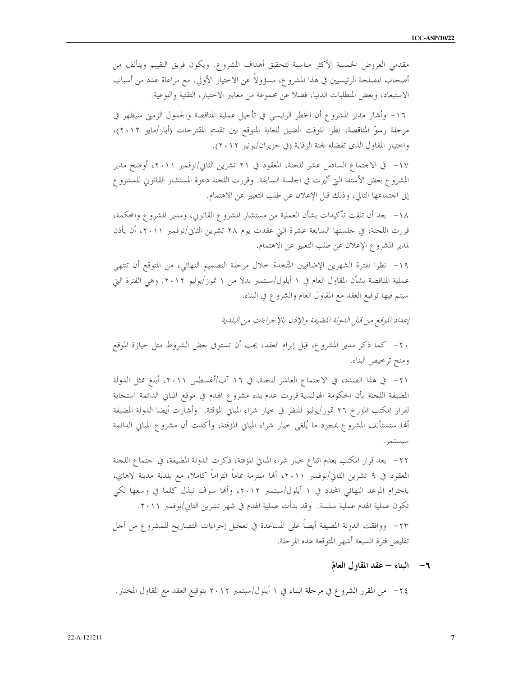مقدمي العروض الخمسة الأكثر مناسبة لتحقيق أهداف المشروع. ويكون فريق التقييم ويتألف من أصحاب المصلحة الرئيسيين في هذا المشروع، مسؤولاً عن الاختيار الأولى، مع مراعاة عدد من أسباب الاستبعاد، وبعض المتطلبات الدنيا، فضلاً عن مجموعة من معايير الاختيار، التقنية والنوعية.

١٦- وأشار مدير المشروع أن الخطر الرئيسي في تأجيل عملية المناقصة والجدول الزمني سيظهر في مرحلة رسوّ المناقصة، نظرا للوقت الضيق للغاية المتوقع بين تقديم المقترحات (أيار/مايو ٢٠١٢)، واختيار المقاول الذي تفضله لجنة الرقابة (في حزيران/يونيو ٢٠١٢).

١٧– في الاحتماع السادس عشر للجنة، المعقود في ٢١ تشرين الثاني/نوفمبر ٢٠١١، أوضح مدير المشروع بعض الأسئلة التي أثيرت في الجلسة السابقة. وقررت اللجنة دعوة المستشار القانوين للمشروع إلى احتماعها التالي، وذلك قبل الإعلان عن طلب التعبير عن الاهتمام.

١٨– بعد أن تلقت تأكيدات بشأن العملية من مستشار المشروع القانويي، ومدير المشروع والمحكمة، قررت اللجنة، في حلستها السابعة عشرة التي عقدت يوم ٢٨ تشرين الثاني/نوفمبر ٢٠١١، أن يأذن لمدير المشروع الإعلان عن طلب التعبير عن الاهتمام.

١٩- نظرا لفترة الشهرين الإضافيين المتّخذة خلال مرحلة التصميم النهائي، من المتوقع أن تنتهي عملية المناقصة بشأن المقاول العام في ١ أيلول/سبتمبر بدلا من ١ تموز/يوليو ٢٠١٢. وهي الفترة التي سيتم فيها توقيع العقد مع المقاول العام والشروع في البناء.

إعداد الموقع من قبل الدولة المضيفة والإذن بالإجراءات من البلدية

٢٠– كما ذكر مدير المشروع، قبل إبرام العقد، يجب أن تستوفى بعض الشروط مثل حيازة الموقع ومنح ترخيص البناء.

المضيفة اللجنة بأن الحكومة الهولندية قررت عدم بدء مشروع الهدم في موقع المباني الدائمة استجابة لقرار المكتب المؤرخ ٢٦ تموز/يوليو للنظر في حيار شراء المباني المؤقتة. ۖ وأشارت أيضا الدولة المضيفة ألها ستستأنف المشروع بمجرد ما يُلغى خيار شراء المباني المؤقتة، وأكدت أن مشروع المباني الدائمة

٢٢– بعد قرار المكتب بعدم اتباع حيار شراء المباني المؤقتة، ذكرت الدولة المضيفة، في احتماع اللجنة المعقود في ٩ تشرين الثاني/نوفمبر ٢٠١١، ألها ملتزمة تماماً التزاماً كاملا، مع بلدية مدينة لاهاي، باحترام الموعد النهائي المحدد في ١ أيلول/سبتمبر ٢٠١٢، وألها سوف تبذل كلما في وسعها لكي تكون عملية الهدم عملية سلسة. ۖ وقد بدأت عملية الهدم في شهر تشرين الثاني/نوفمبر ٢٠١١. ٢٣- ووافقت الدولة المضيفة أيضاً على المساعدة في تعجيل إجراءات التصاريح للمشروع من أجل تقليص فترة السبعة أشهر المتوقعة لهذه المرحلة.

٦- البناء - عقد المقاول العامّ

٢٤ – من المقرر الشرو ع في مرحلة البناء في ١ أيلول/سبتمبر ٢٠١٢ بتوقيع العقد مع المقاول المختار.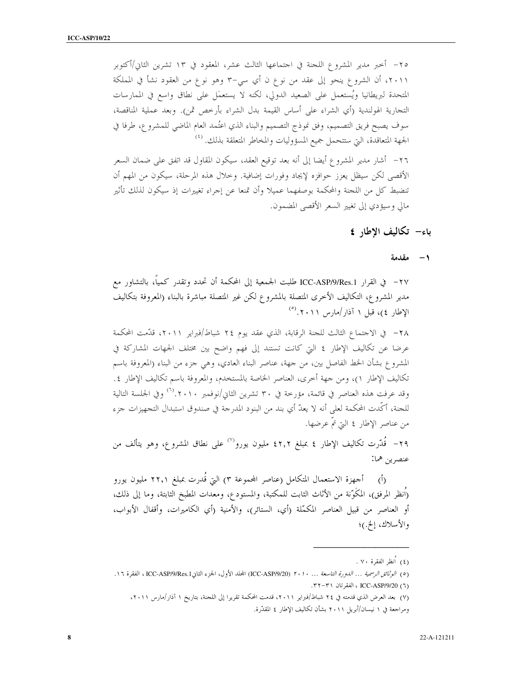٢٥– أحبر مدير المشروع اللجنة في اجتماعها الثالث عشر، المعقود في ١٣ تشرين الثاني/أكتوبر ٢٠١١، أن الشروع ينحو إلى عقد من نوع ن أي سي–٣ وهو نوع من العقود نشأ في المملكة المتحدة لبريطانيا ويُستعمل على الصعيد الدولي، لكنه لا يستعمَل على نطاق واسع في الممارسات التجارية الهولندية (أي الشراء على أساس القيمة بدل الشراء بأرخص ثمن). وبعد عملية المناقصة، سوف يصبح فريق التصميم، وفق نموذج التصميم والبناء الذي اعتُمد العام الماضي للمشروع، طرفا في الجهة المتعاقدة، التي ستتحمل جميع المسؤوليات والمخاطر المتعلقة بذلك. <sup>(٤)</sup> ٢٦– أشار مدير المشروع أيضا إلى أنه بعد توقيع العقد، سيكون المقاول قد اتفق على ضمان السعر

الأقصى لكن سيظل يعزز حوافزه لإيجاد وفورات إضافية. وخلال هذه المرحلة، سيكون من المهم أن تنضبط كل من اللحنة والمحكمة بوصفهما عميلا وأن تمنعا عن إجراء تغييرات إذ سيكون لذلك تأثير مالي وسيؤدي إلى تغيير السعر الأقصى المضمون.

## باء– تكاليف الاطار ٤

### ١ - مقدمة

٢٧– في القرار ICC-ASP/9/Res.1 طلبت الجمعية إلى المحكمة أن تحدد وتقدر كمياً، بالتشاور مع مدير المشروع، التكاليف الأخرى المتصلة بالمشروع لكن غير المتصلة مباشرة بالبناء (المعروفة بتكاليف  $(\text{``}, \text{''}, \text{''}, \text{''})$ الإطار ع)، قبل ١ آذار /مارس ١ . ٢ . (

٢٨ – في الاجتماع الثالث للجنة الرقابة، الذي عقد يوم ٢٤ شباط/فبراير ٢٠١١، قدَّمت المحكمة عرضا عن تكاليف الإطار ٤ التي كانت تستند إلى فهم واضح بين مختلف الجهات المشاركة في المشروع بشأن الخط الفاصل بين، من جهة، عناصر البناء العادي، وهي جزء من البناء (المعروفة باسم تكاليف الإطار ١)، ومن جهة أخرى، العناصر الخاصة بالمستخدم، والمعروفة باسم تكاليف الإطار ٤. وقد عرفت هذه العناصر في قائمة، مؤرخة في ٣٠ تشرين الثاني/نوفمبر ٢٠١٠\.(<sup>٦)</sup> وفي الجلسة التالية للجنة، أكَّدت المحكمة لعلى أنه لا يعدّ أي بند من البنود المدرجة في صندوق استبدال التجهيزات جزء من عناصر الإطار ٤ التي تمّ عرضها.

٢٩- قُدّرت تكاليف الإطار ٤ بمبلغ ٤٢٫٢ مليون يورو<sup>(٧)</sup> على نطاق المشروع، وهو يتألف من عنصرين هما:

(أ) أحهزة الاستعمال المتكامل (عناصر المجموعة ٣) التي قُدرت بمبلغ ٢٢٫١ مليون يورو (اُنظر المرفق)، المكَوّنة من الأثاث الثابت للمكتبة، والمستودع، ومعدات المطبخ الثابتة، وما إلى ذلك، أو العناصر من قبيل العناصر المكمّلة (أي، الستائر)، والأمنية (أي الكاميرات، وأقفال الأبواب، والأسلاك، إلخ.)؛

<sup>(</sup>٤) أنظر الفقرة ٧٠ .

<sup>(</sup>٥) ا*لوثائق الرسمية ... الدورة التاسعة ... ٢٠١٠* (ICC-ASP/9/20) المجلد الأول، الجزء الثانPCC-ASP/9/Res.1، الفقرة ١٦. (٦) ICC-ASP/9/20 ، الفقر تان ٣١-٣٢.

<sup>(</sup>٧) بعد العرض الذي قدمته في ٢٤ شباط/فبراير ٢٠١١، قدمت المحكمة تقريرا إلى اللحنة، بتاريخ ١ آذار/مارس ٢٠١١، ومراجعة في ١ نيسان/أبريل ٢٠١١ بشأن تكاليف الإطار ٤ المقدَّرة.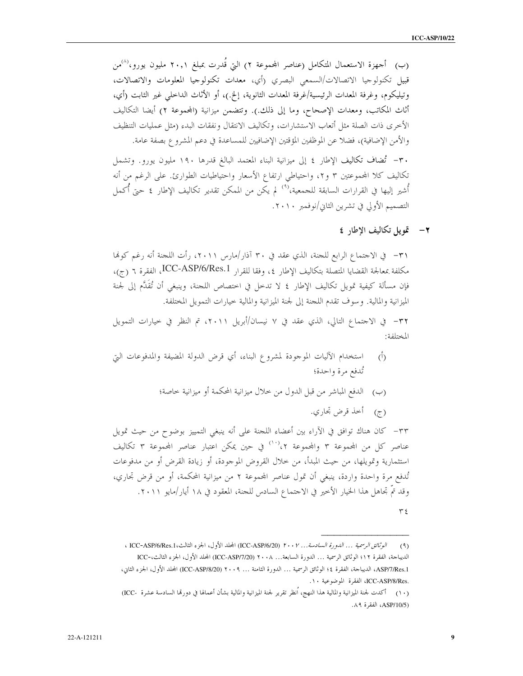(ب) أحهزة الاستعمال المتكامل (عناصر المحموعة ٢) التي قُدرت بمبلغ ٢٠,١ مليون يورو،<sup>(٨)</sup>من قبيل تكنولوجيا الاتصالات/السمعي البصري (أي، معدات تكنولوجيا المعلومات والاتصالات، وتيليكوم، وغرفة المعدات الرئيسية/غرفة المعدات الثانوية، إلخ.)، أو الأثاث الداخلي غير الثابت (أي، أثاث المكاتب، ومعدات الإصحاح، وما إلى ذلك.). وتتضمن ميزانية (المحموعة ٢) أيضا التكاليف الأخرى ذات الصلة مثل أتعاب الاستشارات، وتكاليف الانتقال ونفقات البدء (مثل عمليات التنظيف والأمن الإضافية)، فضلاً عن الموظفين المؤقتين الإضافيين للمساعدة في دعم المشروع بصفة عامة. ٣٠- تُضاف تكاليف الإطار ٤ إلى ميزانية البناء المعتمد البالغ قدرها ١٩٠ مليون يورو. وتشمل تكاليف كلا المحموعتين ٣ و٢، واحتياطي ارتفاع الأسعار واحتياطيات الطوارئ. على الرغم من أنه أُشير إليها في القرارات السابقة للجمعية،'<sup>٩)</sup> لم يكن من الممكن تقدير تكاليف الإطار ٤ حتى أُكمل التصميم الأولى في تشرين الثاني/نوفمبر ٢٠١٠.

٢- تمويل تكاليف الإطار ٤

٣١– في الاحتماع الرابع للجنة، الذي عقد في ٣٠ آذار/مارس ٢٠١١، رأت اللجنة أنه رغم كومًا مكلفة بمعالجة القضايا المتصلة بتكاليف الإطار ٤، وفقا للقرار ICC-ASP/6/Res.1، الفقرة ٦ (ج)، فإن مسألة كيفية تمويل تكاليف الإطار ٤ لا تدخل في اختصاص اللجنة، وينبغي أن تُقَدَّم إلى لجنة الميزانية والمالية. وسوف تقدم اللجنة إلى لجنة الميزانية والمالية خيارات التمويل المختلفة.

٣٢- في الاجتماع التالي، الذي عقد في ٧ نيسان/أبريل ٢٠١١، تم النظر في خيارات التمويل المختلفة:

- استخدام الآليات الموجودة لمشروع البناء، أي قرض الدولة المضيفة والمدفوعات التي  $\hat{(\mathcal{L})}$ تُدفع مرة واحدة؛
	- (ب) الدفع المباشر من قبل الدول من خلال ميزانية المحكمة أو ميزانية خاصة؛
		- (ج) أخذ قرض تجاري.

٣٣– كان هناك توافق في الآراء بين أعضاء اللجنة على أنه ينبغي التمييز بوضوح من حيث تمويل عناصر كل من المجموعة ٣ والمجموعة ٢،<sup>(١٠)</sup> في حين يمكن اعتبار عناصر المجموعة ٣ تكاليف استثمارية وتمويلها، من حيث المبدأ، من حلال القروض الموجودة، أو زيادة القرض أو من مدفوعات تُدفع مرة واحدة واردة، ينبغي أن تمول عناصر المحموعة ٢ من ميزانية المحكمة، أو من قرض تجاري، وقد تمَّ تجاهل هذا الخيار الأخير في الاحتماع السادس للحنة، المعقود في ١٨ أيار/مايو ٢٠١١.

 $\tau$  {

الوثائق الرسمية ... الدورة السادسة... ٢٠٠٧ (ICC-ASP/6/20 المجلد الأول، الجزء الثالث، ICC-ASP/6/Res.1 ،  $(9)$ الديباجة، الفقرة ١٢؛ الوثائق الرسمية ... الدورة السابعة... ٢٠٠٨ (ICC-ASP/7/20) المجلد الأول، الجزء الثالث،-ICC ASP/7/Res.1، الديباجة، الفقرة ٤؛ الوثائق الرسمية ... الدورة الثامنة ... ٢٠٠٩ (ICC-ASP/8/20) المجلد الأول، الجزء الثاني، .ICC-ASP/8/Res، الفقرة الموضوعية ١٠.

<sup>(</sup>١٠) أكدت لجنة الميزانية والمالية هذا النهج، أنظر تقرير لجنة الميزانية والمالية بشأن أعمالها في دورقما السادسة عشرة -ICC) (ASP/10/5، الفقرة ٨٩.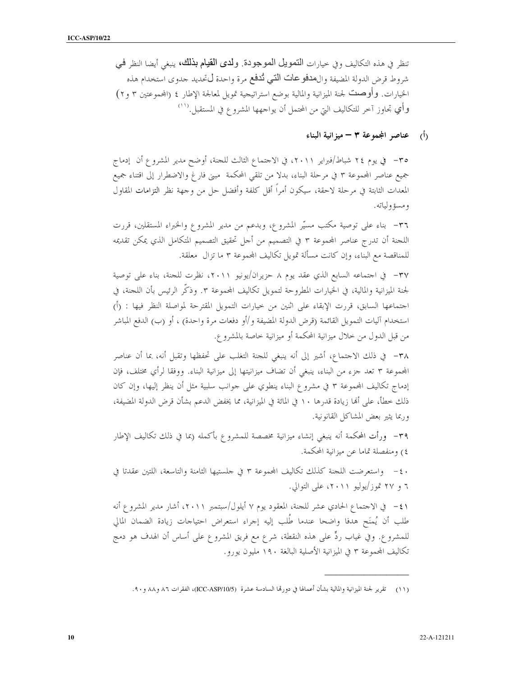تنظر في هذه التكاليف وفي حيارات التصويل المعوجودة. ولدى القيام بذلك، ينبغي أيضا النظر في شروط قرض الدولة المضيفة وال&فوعات التبي ثُدفع مرة واحدة لىتحديد حدوى استخدام هذه الخيارات. وأوصلتُ لجنة الميزانية والمالية بوضع استراتيجية تمويل لمعالجة الإطار ٤ (المحموعتين ٣ و٢) وأي تجاوز آخر للتكاليف التي من المحتمل أن يواجهها المشروع في المستقبل.''''

(أ) عناصر المجموعة ٣ - ميزانية البناء

٣٥– في يوم ٢٤ شباط/فبراير ٢٠١١، في الاحتماع الثالث للحنة، أوضح مدير المشروع أن إدماج جميع عناصر المجموعة ٣ في مرحلة البناء، بدلا من تلقى المحكمة ً مبنى فار غ والاضطرار إلى اقتناء جميع المعدات الثابتة في مرحلة لاحقة، سيكون أمراً أقل كلفة وأفضل حل من وجهة نظر التزامات المقاول ومسؤولياته.

٣٦- بناء على توصية مكتب مسيَّر المشروع، وبدعم من مدير المشروع والخبراء المستقلين، قررت اللجنة أن تدرج عناصر المجموعة ٣ في التصميم من أجل تحقيق التصميم المتكامل الذي يمكن تقديمه للمناقصة مع البناء، وإن كانت مسألة تمويل تكاليف المحموعة ٣ ما تزال معلقة.

٣٧- في احتماعه السابع الذي عقد يوم ٨ حزيران/يونيو ٢٠١١، نظرت للجنة، بناء على توصية لجنة الميزانية والمالية، في الخيارات المطروحة لتمويل تكاليف المجموعة ٣. وذكَّر الرئيس بأن اللجنة، في اجتماعها السابق، قررت الإبقاء على اثنين من حيارات التمويل المقترحة لمواصلة النظر فيها : (أ) استخدام آليات التمويل القائمة (قرض الدولة المضيفة و/أو دفعات مرة واحدة) ، أو (ب) الدفع المباشر من قبل الدول من حلال ميزانية المحكمة أو ميزانية خاصة بالمشروع.

٣٨ - في ذلك الاحتماع، أشير إلى أنه ينبغي للجنة التغلب على تحفظها وتقبل أنه، بما أن عناصر المحموعة ٣ تعد جزء من البناء، ينبغي أن تضاف ميزانيتها إلى ميزانية البناء. ووفقا لرأي مختلف، فإن إدماج تكاليف المحموعة ٣ في مشروع البناء ينطوي على حوانب سلبية مثل أن ينظر إليها، وإن كان ذلك خطأ، على أَمَا زيادة قدرها ١٠ في المائة في الميزانية، مما يخفض الدعم بشأن قرض الدولة المضيفة، وربما يثير بعض المشاكل القانونية.

٣٩- ورأت المحكمة أنه ينبغي إنشاء ميزانية مخصصة للمشروع بأكمله (بما في ذلك تكاليف الإطار ٤) ومنفصلة تماما عن ميزانية المحكمة.

· ٤- واستعرضت اللجنة كذلك تكاليف المجموعة ٣ في جلستيها الثامنة والتاسعة، اللتين عقدتا في ٦ و ٢٧ تموز/يوليو ٢٠١١، على التوالي.

٤١ – في الاحتماع الحادي عشر للحنة، المعقود يوم ٧ أيلول/سبتمبر ٢٠١١، أشار مدير المشروع أنه طلب أن يُمنَح هدفا واضحا عندما طُلب إليه إجراء استعراض احتياجات زيادة الضمان المالي للمشروع. وفي غياب ردٍّ على هذه النقطة، شرع مع فريق المشروع على أساس أن الهدف هو دمج تكاليف المحموعة ٣ في الميزانية الأصلية البالغة ١٩٠ مليون يورو .

<sup>(</sup>١١) تقرير لجنة الميزانية والمالية بشأن أعمالها في دورقما السادسة عشرة (ICC-ASP/10/5)، الفقرات ٨٦ و٨٨ و ٩٠.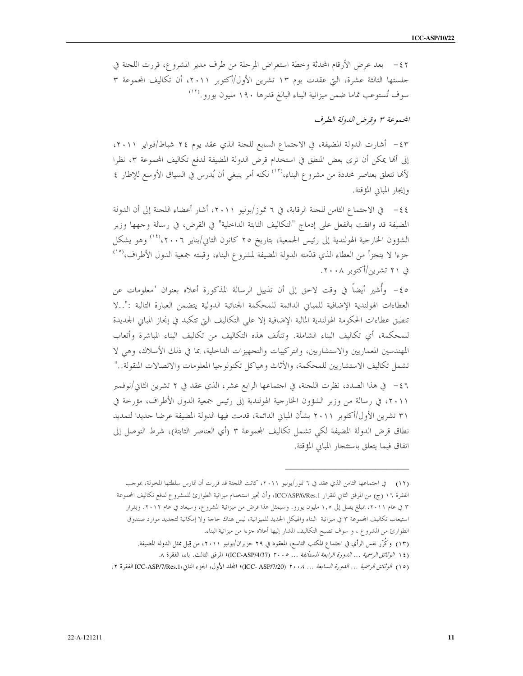٤٢ – بعد عرض الأرقام المحدثة وخطة استعراض المرحلة من طرف مدير المشروع، قررت اللجنة في جلستها الثالثة عشرة، التي عقدت يوم ١٣ تشرين الأول/أكتوبر ٢٠١١، أن تكاليف المحموعة ٣ سوف تُستوعب تماما ضمن ميزانية البناء البالغ قدرها ١٩٠ مليون يورو.<sup>(١٢)</sup>

المجيد وعة ٣ وقرض اللهولة الطيرف

٤٣ – أشارت الدولة المضيفة، في الاحتماع السابع للجنة الذي عقد يوم ٢٤ شباط/فبراير ٢٠١١، إلى أُها يمكن أن ترى بعض المنطق في استخدام قرض الدولة المضيفة لدفع تكاليف المجموعة ٣، نظرا لألها تتعلق بعناصر محددة من مشروع البناء،'``` لكنه أمر ينبغي أن يُدرس في السياق الأوسع للإطار ٤ وإيجار المباين المؤقتة.

٤٤ – في الاحتماع الثامن للجنة الرقابة، في ٦ تموز/يوليو ٢٠١١، أشار أعضاء اللجنة إلى أن الدولة المضيفة قد وافقت بالفعل على إدماج "التكاليف الثابتة الداخلية" في القرض، في رسالة وجهها وزير الشؤون الخارجية الهولندية إلى رئيس الجمعية، بتاريخ ٢٥ كانون الثاني/يناير ٢٠٠٦، (<sup>١٤)</sup> وهو يشكل جزءا لا يتجزأ من العطاء الذي قدّمته الدولة المضيفة لمشروع البناء، وقبلته جمعية الدول الأطراف،<sup>(١٥</sup>) فی ۲۱ تشرین/اُکتوبر ۲۰۰۸.

٥٤– وأُشير أيضاً في وقت لاحق إلى أن تذييل الرسالة المذكورة أعلاه بعنوان "معلومات عن العطاءات الهولندية الإضافية للمباني الدائمة للمحكمة الجنائية الدولية يتضمن العبارة التالية :"..لا تنطبق عطاءات الحكومة الهولندية المالية الإضافية إلا على التكاليف التي تتكبد في إنحاز المباني الجديدة للمحكمة، أي تكاليف البناء الشاملة. وتتألف هذه التكاليف من تكاليف البناء المباشرة وأتعاب المهندسين المعماريين والاستشاريين، والتركيبات والتجهيزات الداخلية، بما في ذلك الأسلاك، وهي لا تشمل تكاليف الاستشاريين للمحكمة، والأثاث وهياكل تكنولوجيا المعلومات والاتصالات المنقولة.."

٤٦ - في هذا الصدد، نظرت اللجنة، في احتماعها الرابع عشر، الذي عقد في ٢ تشرين الثاني/نوفمبر ٢٠١١، في رسالة من وزير الشؤون الخارجية الهولندية إلى رئيس جمعية الدول الأطراف، مؤرخة في ٣١ تشرين الأول/أكتوبر ٢٠١١ بشأن المباني الدائمة، قدمت فيها الدولة المضيفة عرضا جديدا لتمديد نطاق قرض الدولة المضيفة لكي تشمل تكاليف المحموعة ٣ (أي العناصر الثابتة)، شرط التوصل إلى اتفاق فيما يتعلق باستئجار المبانى المؤقتة.

<sup>(</sup>١٢) في اجتماعها الثامن الذي عقد في ٦ تموز/يوليو ٢٠١١، كانت اللجنة قد قررت أن تمارس سلطتها المخولة، بموجب الفقرة ١٦ (ج) من المرفق الثاني للقرار ICC/ASP/6/Res.1، وأن تجيز استخدام ميزانية الطوارئ للمشروع لدفع تكاليف المحموعة ٣ في عام ٢٠١١، بمبلغ يصل إلى ١,٥ مليون يورو. وسيمثل هذا قرض من ميزانية المشروع، وسيعاد في عام ٢٠١٢. وبقرار استيعاب تكاليف المحموعة ٣ في ميزانية البناء والهيكل الجديد للميزانية، ليس هناك حاجة ولا إمكانية لتجديد موارد صندوق الطوارئ من المشروع ، و سوف تصبح التكاليف المشار إليها أعلاه جزءا من ميزانية البناء.

<sup>(</sup>١٣) ۚ وكُرَّر نفس الرأي في احتماع المكتب التاسع، المعقود في ٢٩ حزيران/يونيو ٢٠١١، من قِبل ممثل الدولة المضيفة.

<sup>(</sup>١٤ ا*لوثائق الرسمية ... الدورة الرابعة المستأنفة ... ٢٠٠٥ (ICC-ASP/4/37)* المرفق الثالث. باء، الفقرة ٨.

<sup>(</sup>١٥) *الوثائق الرسمية ... الدورة السابعة ... ٢٠٠٨ (I*CC- ASP/7/20) المجلد الأول، الجزء الثاني، ICC-ASP/7/Res.1 الفقرة ٢.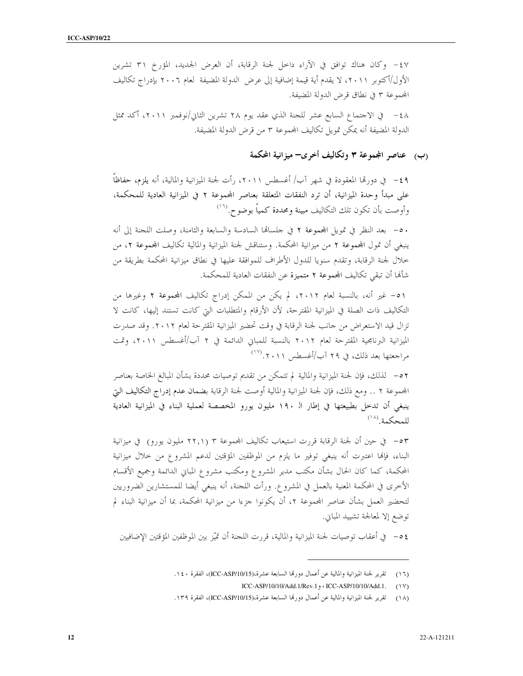٤٧-- وكان هناك توافق في الآراء داخل لجنة الرقابة، أن العرض الجديد، المؤرخ ٣١ تشرين الأول/أكتوبر ٢٠١١، لا يقدم أية قيمة إضافية إلى عرض الدولة المضيفة لعام ٢٠٠٦ بإدراج تكاليف المجموعة ٣ في نطاقٍ قرض الدولة المضيفة.

٤٨ - في الاحتماع السابع عشر للجنة الذي عقد يوم ٢٨ تشرين الثاني/نوفمبر ٢٠١١، أكد ممثل الدولة المضيفة أنه يمكن تمويل تكاليف المحموعة ٣ من قرض الدولة المضيفة.

### (ب) عناصر المجموعة ٣ وتكاليف أخرى– ميزانية المحكمة

٤٩ – في دورتما المعقودة في شهر آب/ أغسطس ٢٠١١، رأت لجنة الميزانية والمالية، أنه يلزم، حفاظاً على مبدأ وحدة الميزانية، أن ترد النفقات المتعلقة بعناصر المجموعة ٢ في الميزانية العادية للمحكمة، وأوصت بأن تكون تلك التكاليف مبينة ومحددة كمياً بوضوح.<sup>(١٦</sup>)

٥٠ – بعد النظر في تمويل المجموعة ٢ في حلسالها السادسة والسابعة والثامنة، وصلت اللجنة إلى أنه ينبغي أن تمول المحموعة ٢ من ميزانية المحكمة. وستناقش لجنة الميزانية والمالية تكاليف المحموعة ٢، من خلال لجنة الرقابة، وتقدم سنويا للدول الأطراف للموافقة عليها في نطاق ميزانية المحكمة بطريقة من شأهْا أن تبقى تكاليف المحموعة ٢ متميزة عن النفقات العادية للمحكمة.

٥١ – غير أنه، بالنسبة لعام ٢٠١٢، لم يكن من الممكن إدراج تكاليف المحموعة ٢ وغيرها من التكاليف ذات الصلة في الميزانية المقترحة، لأن الأرقام والمتطلبات التي كانت تستند إليها، كانت لا تزال قيد الاستعراض من حانب لجنة الرقابة في وقت تحضير الميزانية المقترحة لعام ٢٠١٢. وقد صدرت الميزانية البرنامجية المقترحة لعام ٢٠١٢ بالنسبة للمباني الدائمة في ٢ آب/أغسطس ٢٠١١، وتمت مراجعتها بعد ذلك، في ٢٩ آب/أغسطس ٢٠١١. (١٧)

٥٢ – لذلك، فإن لجنة الميزانية والمالية لم تتمكن من تقديم توصيات محددة بشأن المبالغ الخاصة بعناصر المجموعة ٢ . . ومع ذلك، فإن لجنة الميزانية والمالية أوصت لجنة الرقابة بضمان عدم إدراج التكاليف التي ينبغي أن تدحل بطبيعتها في إطار الـ ١٩٠ مليون يورو المخصصة لعملية البناء في الميزانية العادية للمحكمة. (١٨)

٥٣= في حين أن لجنة الرقابة قررت استيعاب تكاليف المجموعة ٣ (٢٢,١) مليون يورو) في ميزانية البناء، فإلها اعتبرت أنه ينبغي توفير ما يلزم من الموظفين المؤقتين لدعم المشروع من حلال ميزانية المحكمة، كما كان الحال بشأن مكتب مدير المشروع ومكتب مشروع المباني الدائمة وجميع الأقسام الأخرى في المحكمة المعنية بالعمل في المشروع. ورأت اللجنة، أنه ينبغي أيضا للمستشارين الضروريين لتحضير العمل بشأن عناصر المجموعة ٢، أن يكونوا جزءا من ميزانية المحكمة، بما أن ميزانية البناء لم توضع إلا لمعالجة تشييد المباين.

٤ ٥ – في أعقاب توصيات لجنة الميزانية والمالية، قررت اللجنة أن تميّز بين الموظفين المؤقتين الإضافيين

تقرير لجنة الميزانية والمالية عن أعمال دورقما السابعة عشرة،(ICC-ASP/10/15)، الفقرة ١٤٠.  $(11)$ 

ICC-ASP/10/10/Add.1/Rev.1, • ICC-ASP/10/10/Add.1.  $(1Y)$ 

تقرير لجنة الميزانية والمالية عن أعمال دورتما السابعة عشرة،(ICC-ASP/10/15)، الفقرة ١٣٩.  $(\lambda)$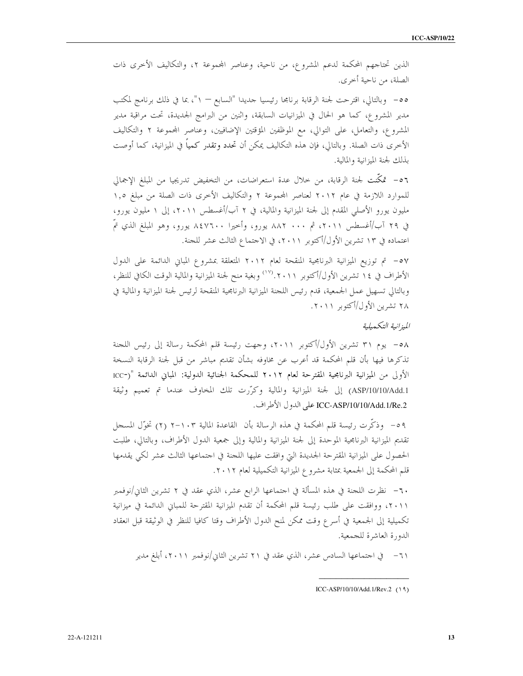الذين تحتاجهم المحكمة لدعم المشروع، من ناحية، وعناصر المجموعة ٢، والتكاليف الأخرى ذات الصلة، من ناحية أخرى.

٥٥- وبالتالي، اقترحت لجنة الرقابة برنامجا رئيسيا جديدا "السابع — ١"، بما في ذلك برنامج لمكتب مدير المشروع، كما هو الحال في الميزانيات السابقة، واثنين من البرامج الجديدة، تحت مراقبة مدير المشروع، والتعامل، على التوالي، مع الموظفين المؤقتين الإضافيين، وعناصر المحموعة ٢ والتكاليف الأخرى ذات الصلة. وبالتالي، فإن هذه التكاليف يمكن أن تحدد وتقدر كمياً في الميزانية، كما أوصت بذلك لجنة الميزانية والمالية.

٥٦- تمكَّنت لجنة الرقابة، من حلال عدة استعراضات، من التخفيض تدريجيا من المبلغ الإجمالي للموارد اللازمة في عام ٢٠١٢ لعناصر المحموعة ٢ والتكاليف الأخرى ذات الصلة من مبلغ ١,٥ مليون يورو الأصلي المقدم إلى لجنة الميزانية والمالية، في ٢ آب/أغسطس ٢٠١١، إلى ١ مليون يورو، في ٢٩ آب/أغسطس ٢٠١١، ثم ٨٠٠ ٨٨٢ يورو، وأحيرا ٨٤٧٦٠٠ يورو، وهو المبلغ الذي تمّ اعتماده في ١٣ تشرين الأول/أكتوبر ٢٠١١، في الاحتماع الثالث عشر للحنة.

٥٧- تم توزيع الميزانية البرنامجية المنقحة لعام ٢٠١٢ المتعلقة بمشروع المباني الدائمة على الدول الأطراف في ١٤ تشرين الأول/أكتوبر ٢٠١١. (``` وبغية منح لجنة الميزانية والمالية الوقت الكافي للنظر، وبالتالي تسهيل عمل الجمعية، قدم رئيس اللجنة الميزانية البرنامجية المنقحة لرئيس لجنة الميزانية والمالية في ۲۸ تشرین الأول/أكتوبر ۲۰۱۱.

المزانية التكميلية

٥٨ - يوم ٣١ تشرين الأول/أكتوبر ٢٠١١، وجهت رئيسة قلم المحكمة رسالة إلى رئيس اللجنة تذكرها فيها بأن قلم المحكمة قد أعرب عن مخاوفه بشأن تقديم مباشر من قبل لجنة الرقابة النسخة الأولى من الميزانية البرنامجية المقترحة لعام ٢٠١٢ للمحكمة الجنائية الدولية: المباني الدائمة "(-ICC ASP/10/10/Add.1) إلى لجنة الميزانية والمالية وكرّرت تلك المخاوف عندما تم تعميم وثيقة ICC-ASP/10/10/Add.1/Re.2 على الدول الأطراف.

٥٩ – وذكَّرت رئيسة قلم المحكمة في هذه الرسالة بأن القاعدة المالية ٢-١٠١ (٢) تخوَّل المسجل تقديم الميزانية البرنامجية الموحدة إلى لجنة الميزانية والمالية وإلى جمعية الدول الأطراف، وبالتالي، طلبت الحصول على الميزانية المقترحة الجديدة التي وافقت عليها اللجنة في اجتماعها الثالث عشر لكي يقدمها قلم المحكمة إلى الجمعية بمثابة مشروع الميزانية التكميلية لعام ٢٠١٢.

٦٠– نظرت اللحنة في هذه المسألة في احتماعها الرابع عشر، الذي عقد في ٢ تشرين الثاني/نوفمبر ٢٠١١، ووافقت على طلب رئيسة قلم المحكمة أن تقدم الميزانية المقترحة للمباني الدائمة في ميزانية تكميلية إلى الجمعية في أسرع وقت ممكن لمنح الدول الأطراف وقتا كافيا للنظر في الوثيقة قبل انعقاد الدورة العاشرة للجمعية.

ICC-ASP/10/10/Add.1/Rev.2 (19)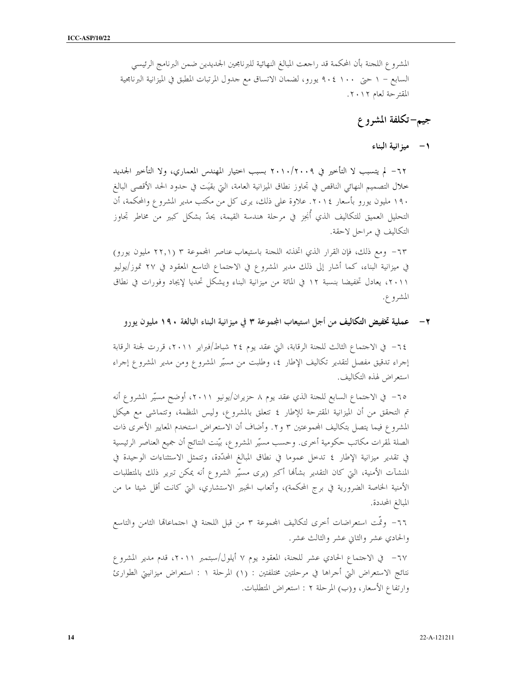المشروع اللحنة بأن المحكمة قد راجعت المبالغ النهائية للبرنامحين الجديدين ضمن البرنامج الرئيسي السابع – ١ حتى ١٠٠ ٢٠٤ يورو، لضمان الاتساق مع حدول المرتبات المطبق في الميزانية البرنامجية المقترحة لعام ٢٠١٢.

## جيم–تكلفة المشروع

١ – ميزانية البناء

٦٢– لم يتسبب لا التأخير في ٢٠١٠/٢٠٠٩ بسبب احتيار المهندس المعماري، ولا التأخير الجمديد خلال التصميم النهائي الناقص في تجاوز نطاق الميزانية العامة، التي بقيَت في حدود الحد الأقصى البالغ ۱۹۰ مليون يورو بأسعار ٢٠١٤. علاوة على ذلك، يرى كلِّ من مكتب مدير المشروع والمحكمة، أن التحليل العميق للتكاليف الذي أُنجِز في مرحلة هندسة القيمة، يحدّ بشكل كبير من مخاطر تجاوز التكاليف في مراحل لاحقة.

٦٣– ومع ذلك، فإن القرار الذي اتخذته اللجنة باستيعاب عناصر المحموعة ٣ (٢٢,١ مليون يورو) في ميزانية البناء، كما أشار إلى ذلك مدير المشروع في الاحتماع التاسع المعقود في ٢٧ تموز/يوليو ٢٠١١، يعادل تخفيضا بنسبة ١٢ في المائة من ميزانية البناء ويشكل تحديا لإيجاد وفورات في نطاق المشروع.

عملية تخفيض التكاليف من أجل استيعاب المجموعة ٣ في ميزانية البناء البالغة ١٩٠ مليون يورو  $-7$ 

٦٤– في الاحتماع الثالث للجنة الرقابة، التي عقد يوم ٢٤ شباط/فبراير ٢٠١١، قررت لجنة الرقابة إجراء تدقيق مفصل لتقدير تكاليف الإطار ٤، وطلبت من مسيَّر المشروع ومن مدير المشروع إجراء استعراض لهذه التكاليف.

٦٥– في الاجتماع السابع للجنة الذي عقد يوم ٨ حزيران/يونيو ٢٠١١، أوضح مسيَّر المشروع أنه تم التحقق من أن الميزانية المقترحة للإطار ٤ تتعلق بالمشروع، وليس المنظمة، وتتماشى مع هيكل المشروع فيما يتصل بتكاليف المجموعتين ٣ و٢. وأضاف أن الاستعراض استخدم المعايير الأخرى ذات الصلة لمقرات مكاتب حكومية أخرى. وحسب مسيَّر المشروع، بيَّنت النتائج أن جميع العناصر الرئيسية في تقدير ميزانية الإطار ٤ تدخل عموما في نطاق المبالغ المحدّدة، وتتمثل الاستثناءات الوحيدة في المنشآت الأمنية، التي كان التقدير بشألها أكبر (يرى مسيّر الشروع أنه يمكن تبرير ذلك بالمتطلبات الأمنية الخاصة الضرورية في برج المحكمة)، وأتعاب الخبير الاستشاري، التي كانت أقل شيئا ما من المبالغ المحددة.

٦٦– وتمَّت استعراضات أخرى لتكاليف المحموعة ٣ من قبل اللجنة في اجتماعالها الثامن والتاسع والحادي عشر والثابي عشر والثالث عشر.

٦٧– في الاجتماع الحادي عشر للجنة، المعقود يوم ٧ أيلول/سبتمبر ٢٠١١، قدم مدير المشروع نتائج الاستعراض التي أحراها في مرحلتين مختلفتين : (١) المرحلة ١ : استعراض ميزانيتي الطوارئ وارتفاع الأسعار، و(ب) المرحلة ٢ : استعراض المتطلبات.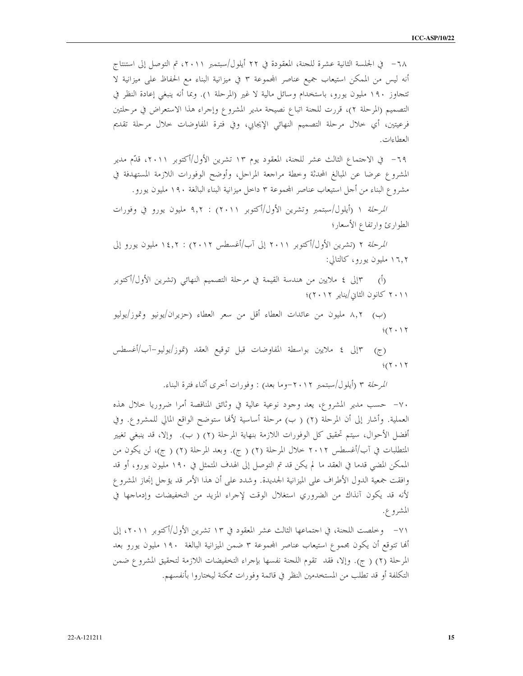٦٨ – في الجلسة الثانية عشرة للجنة، المعقودة في ٢٢ أيلول/سبتمبر ٢٠١١، تم التوصل إلى استنتاج أنه ليس من الممكن استيعاب جميع عناصر المحموعة ٣ في ميزانية البناء مع الحفاظ على ميزانية لا تتجاوز ١٩٠ مليون يورو، باستخدام وسائل مالية لا غير (المرحلة ١). وبما أنه ينبغي إعادة النظر في التصميم (المرحلة ٢)، قررت للجنة اتباع نصيحة مدير المشروع وإجراء هذا الاستعراض في مرحلتين فرعيتين، أي حلال مرحلة التصميم النهائي الإيجابي، وفي فترة المفاوضات حلال مرحلة تقديم العطاءات.

٦٩– في الاجتماع الثالث عشر للجنة، المعقود يوم ١٣ تشرين الأول/أكتوبر ٢٠١١، قدَّم مدير المشروع عرضا عن المبالغ المحدثة وخطة مراجعة المراحل، وأوضح الوفورات اللازمة المستهدفة في مشروع البناء من أحل استيعاب عناصر المحموعة ٣ داخل ميزانية البناء البالغة ١٩٠ مليون يورو.

/لمرحلة ١ (أيلول/سبتمبر وتشرين الأول/أكتوبر ٢٠١١) : ٩,٢ مليون يورو في وفورات الطوارئ وارتفاع الأسعار؛

/لمرحلة ٢ (تشرين الأول/أكتوبر ٢٠١١ إلى آب/أغسطس ٢٠١٢) : ١٤,٢ مليون يورو إلى ۱۶٫۲ مليون يورو، كالتالي:

۲۰۱۱ كانون الثاني/يناير ۲۰۱۲)؛

(ب) ٨٫٢ مليون من عائدات العطاء أقل من سعر العطاء (حزيران/يونيو وتموز/يوليو  $4(7 \cdot 17)$ 

١٣إلى ٤ ملايين بواسطة المفاوضات قبل توقيع العقد (تموز/يوليو–آب/أغسطس  $(7)$  $4(7.17$ 

/لمرحلة ٣ (أيلول/سبتمبر ٢٠١٢–وما بعد) : وفورات أخرى أثناء فترة البناء.

٧٠– حسب مدير المشروع، يعد وجود نوعية عالية في وثائق المناقصة أمرا ضروريا حلال هذه العملية. وأشار إلى أن المرحلة (٢) ( ب) مرحلة أساسية لألها ستوضح الواقع المالي للمشروع. وفي أفضل الأحوال، سيتم تحقيق كل الوفورات اللازمة بنهاية المرحلة (٢) ( ب). ۖ وإلا، قد ينبغي تغيير المتطلبات في آب/أغسطس ٢٠١٢ خلال المرحلة (٢) ( ج). وبعد المرحلة (٢) ( ج)، لن يكون من الممكن المضي قدما في العقد ما لم يكن قد تم التوصل إلى الهدف المتمثل في ١٩٠ مليون يورو، أو قد وافقت جمعية الدول الأطراف على الميزانية الجديدة. وشدد على أن هذا الأمر قد يؤجل إنجاز المشرو ع لأنه قد يكون آنذاك من الضروري استغلال الوقت لإجراء المزيد من التخفيضات وإدماجها في المشروع.

٧١– وخلصت اللجنة، في احتماعها الثالث عشر المعقود في ١٣ تشرين الأول/أكتوبر ٢٠١١، إلى ألها تتوقع أن يكون مجموع استيعاب عناصر المجموعة ٣ ضمن الميزانية البالغة ١٩٠ مليون يورو بعد المرحلة (٢) ( ج). وإلا، فقد تقوم اللجنة نفسها بإجراء التخفيضات اللازمة لتحقيق المشروع ضمن التكلفة أو قد تطلب من المستخدمين النظر في قائمة وفورات ممكنة ليختاروا بأنفسهم.

15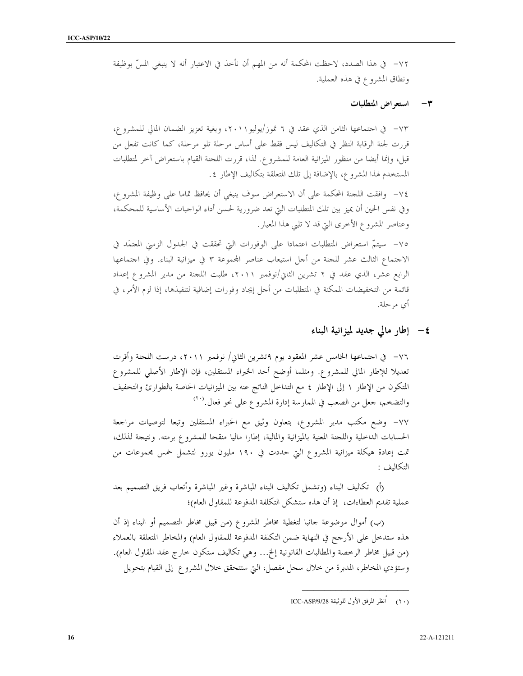٧٢- في هذا الصدد، لاحظت المحكمة أنه من المهم أن نأخذ في الاعتبار أنه لا ينبغي المسِّ بوظيفة ونطاق المشروع في هذه العملية.

#### استعراض المتطلبات  $\mathbf{\breve{v}}$

٧٣- في احتماعها الثامن الذي عقد في ٦ تموز/يوليو٢٠١١، وبغية تعزيز الضمان المالي للمشروع، قررت لجنة الرقابة النظر في التكاليف ليس فقط على أساس مرحلة تلو مرحلة، كما كانت تفعل من قبل، وإنما أيضا من منظور الميزانية العامة للمشروع. لذا، قررت اللجنة القيام باستعراض آخر لمتطلبات المستخدم لهذا المشروع، بالإضافة إلى تلك المتعلقة بتكاليف الإطار ٤.

٧٤– وافقت اللجنة المحكمة على أن الاستعراض سوف ينبغي أن يحافظ تماما على وظيفة المشرو ع، وفي نفس الحين أن يميز بين تلك المتطلبات التي تعد ضرورية لحسن أداء الواجبات الأساسية للمحكمة، وعناصر المشروع الأخرى التي قد لا تلبي هذا المعيار.

٧٥- سيتمّ استعراض المتطلبات اعتمادا على الوفورات التي تحققت في الجدول الزمني المعتمَد في الاجتماع الثالث عشر للجنة من أحل استيعاب عناصر المحموعة ٣ في ميزانية البناء. وفي اجتماعها الرابع عشر، الذي عقد في ٢ تشرين الثاني/نوفمبر ٢٠١١، طلبت اللجنة من مدير المشروع إعداد قائمة من التخفيضات الممكنة في المتطلبات من أحل إيجاد وفورات إضافية لتنفيذها، إذا لزم الأمر، في أي مرحلة.

٤- إطار مالي جديد لميزانية البناء

٧٦– في اجتماعها الخامس عشر المعقود يوم ٩تشرين الثاني/ نوفمبر ٢٠١١، درست اللجنة وأقرت تعديلا للإطار المالي للمشروع. ومثلما أوضح أحد الخبراء المستقلين، فإن الإطار الأصلي للمشروع المتكون من الإطار ١ إلى الإطار ٤ مع التداخل الناتج عنه بين الميزانيات الخاصة بالطوارئ والتخفيف والتضخم، حعل من الصعب في الممارسة إدارة المشروع على نحو فعال.<sup>(٢٠</sup>)

٧٧– وضع مكتب مدير المشروع، بتعاون وثيق مع الخبراء المستقلين وتبعا لتوصيات مراجعة الحسابات الداخلية واللحنة المعنية بالميزانية والمالية، إطارا ماليا منقحا للمشروع برمته. ونتيحة لذلك، تمت إعادة هيكلة ميزانية المشروع التي حددت في ١٩٠ مليون يورو لتشمل خمس مجموعات من التكاليف :

(أ) تكاليف البناء (وتشمل تكاليف البناء المباشرة وغير المباشرة وأتعاب فريق التصميم بعد عملية تقديم العطاءات، ۚ إذ أن هذه ستشكل التكلفة المدفوعة للمقاول العام)؛

(ب) أموال موضوعة حانبا لتغطية مخاطر المشروع (من قبيل مخاطر التصميم أو البناء إذ أن هذه ستدخل على الأرجح في النهاية ضمن التكلفة المدفوعة للمقاول العام) والمخاطر المتعلقة بالعملاء (من قبيل مخاطر الرخصة والمطالبات القانونية إلخ... وهي تكاليف ستكون حارج عقد المقاول العام). وستؤدي المخاطر، المدبرة من حلال سجل مفصل، التي ستتحقق حلال المشروع إلى القيام بتحويل

<sup>(</sup>٢٠) أُنظر المرفق الأول للوثيقة ICC-ASP/9/28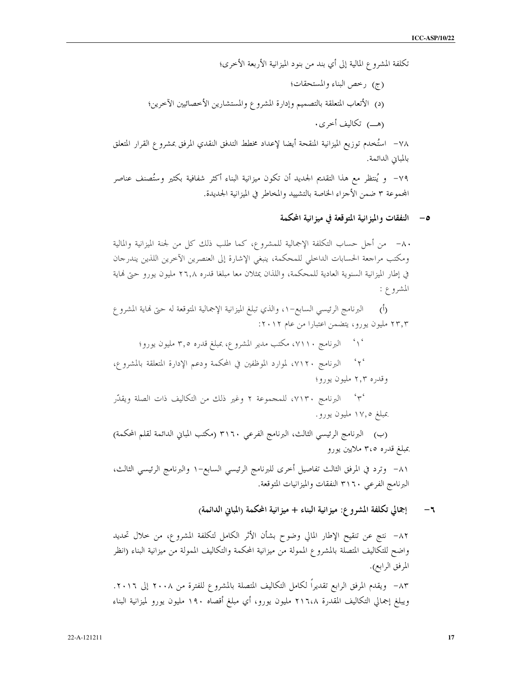تكلفة المشروع المالية إلى أي بند من بنود الميزانية الأربعة الأخرى؛ (ج) رخص البناء والمستحقات؛ (د) الأتعاب المتعلقة بالتصميم وإدارة المشروع والمستشارين الأخصائيين الآخرين؛ ٧٨– استُخدم توزيع الميزانية المنقحة أيضا لإعداد مخطط التدفق النقدي المرفق بمشروع القرار المتعلق بالمباني الدائمة. ٧٩– و يُنتظر مع هذا التقديم الجديد أن تكون ميزانية البناء أكثر شفافية بكثير وستُصنف عناصر

المحموعة ٣ ضمن الأحزاء الخاصة بالتشييد والمخاطر في الميزانية الجديدة.

٥– النفقات والميزانية المتوقعة في ميزانية المحكمة

٨٠- من أحل حساب التكلفة الإجمالية للمشروع، كما طلب ذلك كل من لجنة الميزانية والمالية ومكتب مراجعة الحسابات الداخلي للمحكمة، ينبغي الإشارة إلى العنصرين الأخرين اللذين يندرجان في إطار الميزانية السنوية العادية للمحكمة، واللذان يمثلان معا مبلغا قدره ٢٦٫٨ مليون يورو حتى نماية المشروع :

البرنامج الرئيسي السابع–٥١ والذي تبلغ الميزانية الإجمالية المتوقعة له حتى نماية المشرو ع  $\dot{(\theta)}$ ۲۳٫۳ ملیون یورو، یتضمن اعتبارا من عام ۲۰۱۲:

'۱' البرنامج ۷۱۱۰، مكتب مدير المشروع، بمبلغ قدره ٣٫٥ مليون يورو؛

 $\sim$   $\sim$   $\sim$ البرنامج ٧١٢٠، لموارد الموظفين في المحكمة ودعم الإدارة المتعلقة بالمشروع، وقدره ۲٫۳ مليون يورو؛

٣<sup>٠</sup> البرنامج ، ٧١٣، للمجموعة ٢ وغير ذلك من التكاليف ذات الصلة ويقدَّر بمبلغ ۱۷٫۰ مليون يورو.

(ب) البرنامج الرئيسي الثالث، البرنامج الفرعي ٣١٦٠ (مكتب المباني الدائمة لقلم المحكمة) بمبلغ قدره ٣،٥ ملايين يورو

٨١– وترد في المرفق الثالث تفاصيل أحرى للبرنامج الرئيسي السابع–١ والبرنامج الرئيسي الثالث، البرنامج الفرعي ٣١٦٠ النفقات والميزانيات المتوقعة.

> إجمالي تكلفة المشروع: ميزانية البناء + ميزانية المحكمة (المبابي الدائمة)  $-1$

٨٢– نتج عن تنقيح الإطار المالي وضوح بشأن الأثر الكامل لتكلفة المشروع، من حلال تحديد واضح للتكاليف المتصلة بالمشروع الممولة من ميزانية المحكمة والتكاليف الممولة من ميزانية البناء (انظر المرفق الرابع). ٨٣– ويقدم المرفق الرابع تقديراً لكامل التكاليف المتصلة بالمشروع للفترة من ٢٠٠٨ إلى ٢٠١٦. ويبلغ إجمالي التكاليف المقدرة ٢١٦،٨ مليون يورو، أي مبلغ أقصاه ١٩٠ مليون يورو لميزانية البناء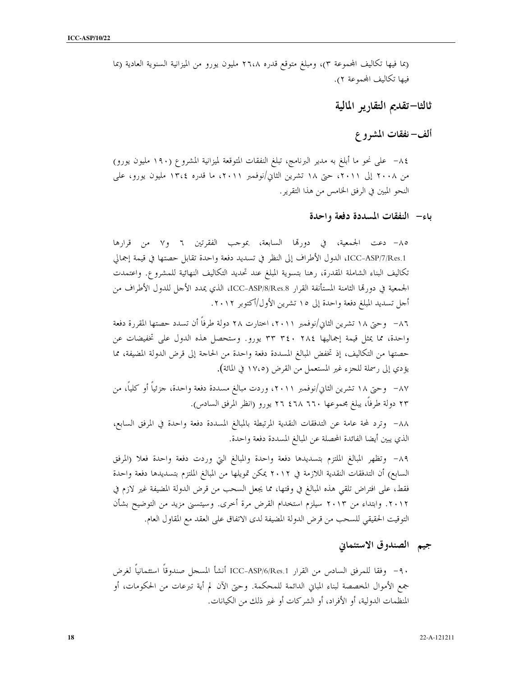(بما فيها تكاليف المجموعة ٣)، ومبلغ متوقع قدره ٢٦،٨ مليون يورو من الميزانية السنوية العادية (بما فيها تكاليف المحموعة ٢).

## ثالثا–تقديم التقارير المالية

## ألف–نفقات المشروع

٨٤ – على نحو ما أبلغ به مدير البرنامج، تبلغ النفقات المتوقعة لميزانية المشروع (١٩٠ مليون يورو) من ٢٠٠٨ إلى ٢٠١١، حتى ١٨ تشرين الثاني/نوفمبر ٢٠١١، ما قدره ١٣،٤ مليون يورو، على النحو المبين في الرفق الخامس من هذا التقرير.

باء النفقات المسددة دفعة واحدة

٨٥- دعت الجمعية، في دورتها السابعة، بموجب الفقرتين ٦ و٧ من قرارها ICC-ASP/7/Res.1، الدول الأطراف إلى النظر في تسديد دفعة واحدة تقابل حصتها في قيمة إجمالي تكاليف البناء الشاملة المقدرة، رهنا بتسوية المبلغ عند تحديد التكاليف النهائية للمشروع. واعتمدت الجمعية في دورتما الثامنة المستأنفة القرار ICC-ASP/8/Res.8، الذي يمدد الأحل للدول الأطراف من أحل تسديد المبلغ دفعة واحدة إلى ١٥ تشرين الأول/أكتوبر ٢٠١٢.

٨٦– وحتى ١٨ تشرين الثاني/نوفمبر ٢٠١١، احتارت ٢٨ دولة طرفاً أن تسدد حصتها المقررة دفعة واحدة، مما يمثل قيمة إجماليها ٣٤٠ ٣٤٠ ٣٣ يورو. وستحصل هذه الدول على تخفيضات عن حصتها من التكاليف، إذ تخفض المبالغ المسددة دفعة واحدة من الحاحة إلى قرض الدولة المضيفة، مما يؤدي إلى رسملة للجزء غير المستعمل من القرض (١٧،٥ في المائة).

٨٧– وحتى ١٨ تشرين الثاني/نوفمبر ٢٠١١، وردت مبالغ مسددة دفعة واحدة، جزئياً أو كلياً، من ٢٣ دولة طرفاً، يبلغ مجموعها ٦٦٠ ٤٦٨ ٢٦ يورو (انظر المرفق السادس).

٨٨– وترد لمحة عامة عن التدفقات النقدية المرتبطة بالمبالغ المسددة دفعة واحدة في المرفق السابع، الذي يبين أيضا الفائدة المحصلة عن المبالغ المسددة دفعة واحدة.

٨٩- وتظهر المبالغ الملتزم بتسديدها دفعة واحدة والمبالغ التي وردت دفعة واحدة فعلا (المرفق السابع) أن التدفقات النقدية اللازمة في ٢٠١٢ يمكن تمويلها من المبالغ الملتزم بتسديدها دفعة واحدة فقط، على افتراض تلقى هذه المبالغ في وقتها، مما يجعل السحب من قرض الدولة المضيفة غير لازم في ٢٠١٢. وابتداء من ٢٠١٣ سيلزم استخدام القرض مرة أخرى. وسيتسنى مزيد من التوضيح بشأن التوقيت الحقيقي للسحب من قرض الدولة المضيفة لدى الاتفاق على العقد مع المقاول العام.

جيم الصندوق الاستئماني

∙ ٩- وفقا للمرفق السادس من القرار ICC-ASP/6/Res.1 أنشأ المسجل صندوقاً استئمانياً لغرض جمع الأموال المخصصة لبناء المباني الدائمة للمحكمة. وحتى الآن لم أية تبرعات من الحكومات، أو المنظمات الدولية، أو الأفراد، أو الشركات أو غير ذلك من الكيانات.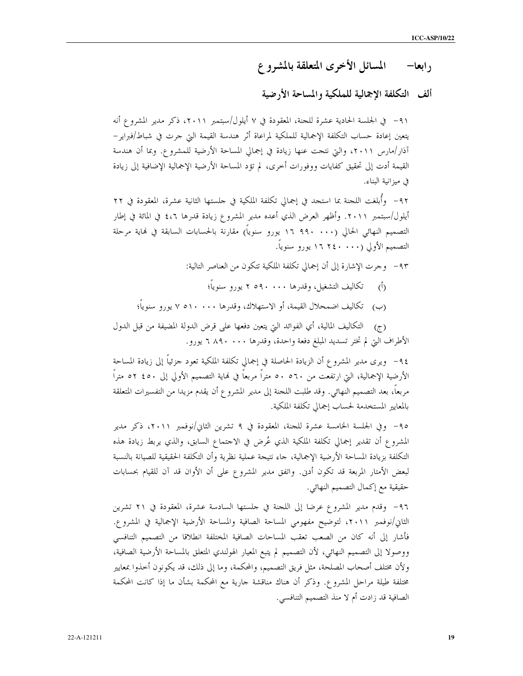## ألف التكلفة الاجمالية للملكية والمساحة الأرضية

٩١- في الجلسة الحادية عشرة للجنة، المعقودة في ٧ أيلول/سبتمبر ٢٠١١، ذكر مدير المشروع أنه يتعين إعادة حساب التكلفة الإجمالية للملكية لمراعاة أثر هندسة القيمة التي حرت في شباط/فبراير− آذار/مارس ٢٠١١، والتي نتجت عنها زيادة في إجمالي المساحة الأرضية للمشروع. وبما أن هندسة القيمة أدت إلى تحقيق كفايات ووفورات أخرى، لم تؤد المساحة الأرضية الإجمالية الإضافية إلى زيادة في ميزانية البناء.

٩٢– وأُبلغت اللجنة بما استجد في إجمالى تكلفة الملكية في حلستها الثانية عشرة، المعقودة في ٢٢ أيلول/سبتمبر ٢٠١١. وأظهر العرض الذي أعده مدير المشروع زيادة قدرها ٤،٦ في المائة في إطار التصميم النهائي الحالي (١٠٠٠ ٩٩٠ ١٦ يورو سنوياً) مقارنة بالحسابات السابقة في نماية مرحلة التصميم الأولى (١٦٤٠ - ٢٤٠ إيورو سنوياً.

٩٣- وجرت الإشارة إلى أن إجمالي تكلفة الملكية تتكون من العناصر التالية:

- تكاليف التشغيل، وقدرها ٢٥٩٠ . ٢ ص بيورو سنوياً؛  $\langle \hat{O} \rangle$
- (ب) \_ تكاليف اضمحلال القيمة، أو الاستهلاك، وقدرها ٧٠٠٠ ، ٧ يورو سنوياً؛

(ج) التكاليف المالية، أي الفوائد التي يتعين دفعها على قرض الدولة المضيفة من قبل الدول الأطراف التي لم تختر تسديد المبلغ دفعة واحدة، وقدرها ٨٩٠ . ٦ ٨٩٠ يورو.

٩٤– ويرى مدير المشروع أن الزيادة الحاصلة في إجمالي تكلفة الملكية تعود حزئياً إلى زيادة المساحة الأرضية الإجمالية، التي ارتفعت من ٥٦٠ ٥٠ متراً مربعاً في نماية التصميم الأولى إلى ٥٠٤ ٥٢ متراً مربعاً، بعد التصميم النهائي. وقد طلبت اللجنة إلى مدير المشروع أن يقدم مزيدا من التفسيرات المتعلقة بالمعايير المستخدمة لحساب إجمالي تكلفة الملكية.

٩٥- وفي الجلسة الخامسة عشرة للجنة، المعقودة في ٩ تشرين الثاني/نوفمبر ٢٠١١، ذكر مدير المشروع أن تقدير إجمالي تكلفة الملكية الذي عُرض في الاحتماع السابق، والذي يربط زيادة هذه التكلفة بزيادة المساحة الأرضية الإجمالية، جاء نتيجة عملية نظرية وأن التكلفة الحقيقية للصيانة بالنسبة لبعض الأمتار المربعة قد تكون أدبى. واتفق مدير المشروع على أن الأوان قد آن للقيام بحسابات حقيقية مع إكمال التصميم النهائي.

٩٦- وقدم مدير المشروع عرضا إلى اللجنة في حلستها السادسة عشرة، المعقودة في ٢١ تشرين الثاني/نوفمبر ٢٠١١، لتوضيح مفهومي المساحة الصافية والمساحة الأرضية الإجمالية في المشروع. فأشار إلى أنه كان من الصعب تعقب المساحات الصافية المختلفة انطلاقا من التصميم التنافسي ووصولًا إلى التصميم النهائي، لأن التصميم لم يتبع المعيار الهولندي المتعلق بالمساحة الأرضية الصافية، ولأن مختلف أصحاب المصلحة، مثل فريق التصميم، والمحكمة، وما إلى ذلك، قد يكونون أخذوا بمعايير مختلفة طيلة مراحل المشروع. وذكر أن هناك مناقشة جارية مع المحكمة بشأن ما إذا كانت المحكمة الصافية قد زادت أم لا منذ التصميم التنافسي.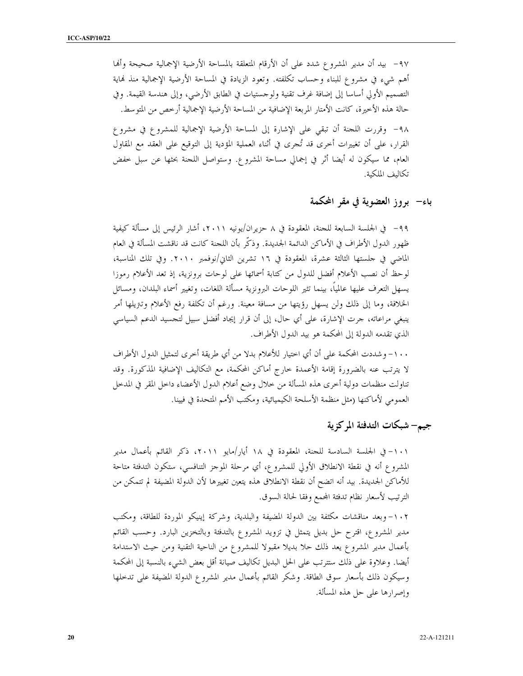٩٧- بيد أن مدير المشروع شدد على أن الأرقام المتعلقة بالمساحة الأرضية الإجمالية صحيحة وألها أهم شيء في مشروع للبناء وحساب تكلفته. وتعود الزيادة في المساحة الأرضية الإجمالية منذ نماية التصميم الأولي أساسا إلى إضافة غرف تقنية ولوحستيات في الطابق الأرضى، وإلى هندسة القيمة. وفي حالة هذه الأخيرة، كانت الأمتار المربعة الإضافية من المساحة الأرضية الإجمالية أرخص من المتوسط.

٩٨- وقررت اللحنة أن تبقى على الإشارة إلى المساحة الأرضية الإجمالية للمشروع في مشروع القرار، على أن تغييرات أخرى قد تُجرى في أثناء العملية المؤدية إلى التوقيع على العقد مع المقاول العام، مما سيكون له أيضا أثر في إجمالي مساحة المشروع. وستواصل اللجنة بحثها عن سبل خفض تكالىف الملكية.

باء— بروز العضوية في مقر المحكمة

٩٩– في الجلسة السابعة للجنة، المعقودة في ٨ حزيران/يونيه ٢٠١١، أشار الرئيس إلى مسألة كيفية ظهور الدول الأطراف في الأماكن الدائمة الجديدة. وذكَّر بأن اللجنة كانت قد ناقشت المسألة في العام الماضي في حلستها الثالثة عشرة، المعقودة في ١٦ تشرين الثاني/نوفمبر ٢٠١٠. وفي تلك المناسبة، لوحظ أن نصب الأعلام أفضل للدول من كتابة أسمائها على لوحات برونزية، إذ تعد الأعلام رموزا يسهل التعرف عليها عالمياً، بينما تثير اللوحات البرونزية مسألة اللغات، وتغيير أسماء البلدان، ومسائل الخلافة، وما إلى ذلك ولن يسهل رؤيتها من مسافة معينة. ورغم أن تكلفة رفع الأعلام وتتريلها أمر ينبغي مراعاته، جرت الإشارة، على أي حال، إلى أن قرار إيجاد أفضل سبيل لتجسيد الدعم السياسي الذي تقدمه الدولة إلى المحكمة هو بيد الدول الأطراف.

١٠٠- وشددت المحكمة على أن أي اختيار للأعلام بدلا من أي طريقة أخرى لتمثيل الدول الأطراف لا يترتب عنه بالضرورة إقامة الأعمدة خارج أماكن المحكمة، مع التكاليف الإضافية المذكورة. وقد تناولت منظمات دولية أخرى هذه المسألة من حلال وضع أعلام الدول الأعضاء داخل المقر في المدخل العمومي لأماكنها (مثل منظمة الأسلحة الكيميائية، ومكتب الأمم المتحدة في فيينا.

جيم– شبكات التدفئة المركزية

١٠١- في الجلسة السادسة للجنة، المعقودة في ١٨ أيار/مايو ٢٠١١، ذكر القائم بأعمال مدير المشروع أنه في نقطة الانطلاق الأولى للمشروع، أي مرحلة الموحز التنافسي، ستكون التدفئة متاحة للأماكن الجديدة. بيد أنه اتضح أن نقطة الانطلاق هذه يتعين تغييرها لأن الدولة المضيفة لم تتمكن من الترتيب لأسعار نظام تدفئة المحمع وفقا لحالة السوق.

١٠٢–وبعد مناقشات مكثفة بين الدولة المضيفة والبلدية، وشركة إينيكو الموردة للطاقة، ومكتب مدير المشروع، اقترح حل بديل يتمثل في تزويد المشروع بالتدفئة وبالتخزين البارد. وحسب القائم بأعمال مدير المشروع يعد ذلك حلا بديلا مقبولا للمشروع من الناحية التقنية ومن حيث الاستدامة أيضا. وعلاوة على ذلك ستترتب على الحل البديل تكاليف صيانة أقل بعض الشيء بالنسبة إلى المحكمة وسيكون ذلك بأسعار سوق الطاقة. وشكر القائم بأعمال مدير المشروع الدولة المضيفة على تدخلها وإصرارها على حل هذه المسألة.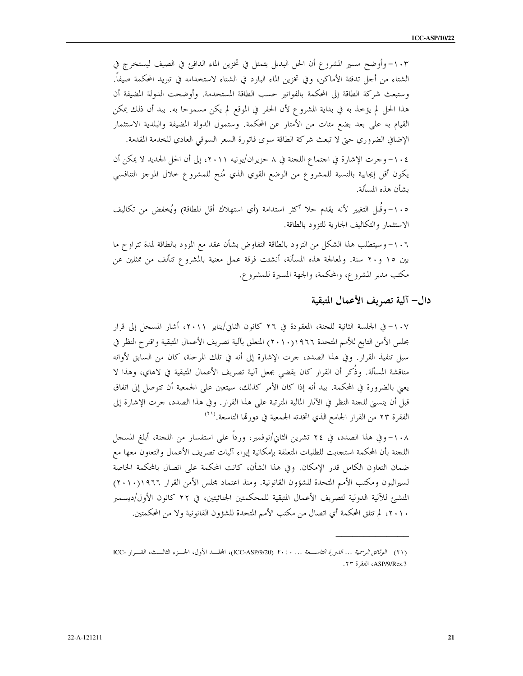١٠٣- وأوضح مسير المشروع أن الحل البديل يتمثل في تخزين الماء الدافئ في الصيف ليستخرج في الشتاء من أحل تدفئة الأماكن، وفي تخزين الماء البارد في الشتاء لاستخدامه في تبريد المحكمة صيفاً. وستبعث شركة الطاقة إلى المحكمة بالفواتير حسب الطاقة المستخدمة. وأوضحت الدولة المضيفة أن هذا الحل لم يؤخذ به في بداية المشروع لأن الحفر في الموقع لم يكن مسموحا به. بيد أن ذلك يمكن القيام به على بعد بضع مئات من الأمتار عن المحكمة. وستمول الدولة المضيفة والبلدية الاستثمار الإضافي الضروري حتى لا تبعث شركة الطاقة سوى فاتورة السعر السوقى العادي للخدمة المقدمة.

١٠٤- وجرت الإشارة في اجتماع اللجنة في ٨ حزيران/يونيه ٢٠١١، إلى أن الحل الجديد لا يمكن أن يكون أقل إيجابية بالنسبة للمشروع من الوضع القوي الذي مُنح للمشروع حلال الموحز التنافسي ىشأن هذه المسألة.

١٠٥- وقُبل التغيير لأنه يقدم حلا أكثر استدامة (أي استهلاك أقل للطاقة) ويُخفض من تكاليف الاستثمار والتكاليف الجارية للتزود بالطاقة.

١٠٦- وسيتطلب هذا الشكل من التزود بالطاقة التفاوض بشأن عقد مع المزود بالطاقة لمدة تتراوح ما بين ١٥ و٢٠ سنة. ولمعالجة هذه المسألة، أنشئت فرقة عمل معنية بالمشروع تتألف من ممثلين عن مكتب مدير المشروع، والمحكمة، والجهة المسيرة للمشروع.

### دال– آلية تصريف الأعمال المتبقية

١٠٧– في الجلسة الثانية للجنة، المعقودة في ٢٦ كانون الثاني/يناير ٢٠١١، أشار المسجل إلى قرار مجلس الأمن التابع للأمم المتحدة ١٩٦٦(٢٠١٠) المتعلق بآلية تصريف الأعمال المتبقية واقترح النظر في سبل تنفيذ القرار. وفي هذا الصدد، حرت الإشارة إلى أنه في تلك المرحلة، كان من السابق لأوانه مناقشة المسألة. وذُكر أن القرار كان يقضي بجعل آلية تصريف الأعمال المتبقية في لاهاي، وهذا لا يعني بالضرورة في المحكمة. بيد أنه إذا كان الأمر كذلك، سيتعين على الجمعية أن تتوصل إلى اتفاق قبل أن يتسنى للجنة النظر في الآثار المالية المترتبة على هذا القرار. وفي هذا الصدد، حرت الإشارة إلى الفقرة ٢٣ من القرار الجامع الذي اتخذته الجمعية في دورتما التاسعة.<sup>(٢١</sup>)

١٠٨–وفي هذا الصدد، في ٢٤ تشرين الثاني/نوفمبر، ورداً على استفسار من اللجنة، أبلغ المسجل اللجنة بأن المحكمة استجابت للطلبات المتعلقة بإمكانية إيواء آليات تصريف الأعمال والتعاون معها مع ضمان التعاون الكامل قدر الإمكان. وفي هذا الشأن، كانت المحكمة على اتصال بالمحكمة الخاصة لسيراليون ومكتب الأمم المتحدة للشؤون القانونية. ومنذ اعتماد مجلس الأمن القرار ٢٠١٠)١٩٦٦, المنشئ للآلية الدولية لتصريف الأعمال المتبقية للمحكمتين الجنائيتين، في ٢٢ كانون الأول/ديسمبر ٢٠١٠، لم تتلق المحكمة أي اتصال من مكتب الأمم المتحدة للشؤون القانونية ولا من المحكمتين.

<sup>(</sup>٢١) ا*لوثائق الرسمية ... الدورة التاس*عة *... ٢٠١٠* (ICC-ASP/9/20)، المجلسد الأول، الجسوء الثالست، القسرار -ICC ASP/9/Res.3، الفقرة ٢٣.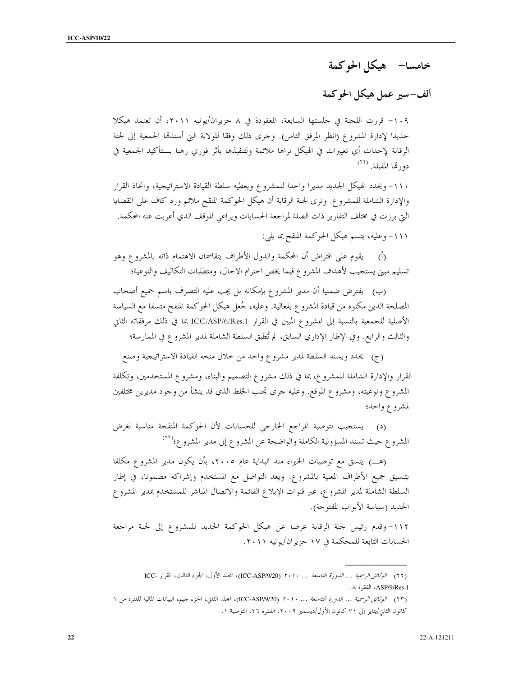خامسا– هيكل الحوكمة

## ألف-سير عمل هيكل الحوكمة

١٠٩- قررت اللجنة في حلستها السابعة، المعقودة في ٨ حزيران/يونيه ٢٠١١، أن تعتمد هيكلا حديدا لإدارة المشروع (انظر المرفق الثامن). وحرى ذلك وفقا للولاية التي أسندقما الجمعية إلى لجنة الرقابة لإحداث أي تغييرات في الهيكل تراها ملائمة ولتنفيذها بأثر فوري رهنا بـــتأكيد الجمعية في دورتها المقبلة. (٢٢)

١١٠- ويحدد الهيكل الجديد مديرا واحدا للمشروع ويعطيه سلطة القيادة الاستراتيجية، واتخاذ القرار والإدارة الشاملة للمشروع. وترى لجنة الرقابة أن هيكل الحوكمة المنقح ملائم ورد كاف على القضايا اليت برزت في مختلف التقارير ذات الصلة لمراجعة الحسابات ويراعى الموقف الذي أعربت عنه المحكمة. ١١١- وعليه، يتسم هيكل الحوكمة المنقح بما يلي:

(أ) يقوم على افتراض أن المحكمة والدول الأطراف يتقاسمان الاهتمام ذاته بالمشروع وهو تسليم مبني يستجيب لأهداف المشروع فيما يخص احترام الآحال، ومتطلبات التكاليف والنوعية؛

(ب) يفترض ضمنيا أن مدير المشروع بإمكانه بل يجب عليه التصرف باسم جميع أصحاب المصلحة الذين مكنوه من قيادة المشروع بفعالية. وعليه، جُعل هيكل الحوكمة المنقح متسقا مع السياسة الأصلية للجمعية بالنسبة إلى المشروع المبين في القرار ICC/ASP/6/Res.1 بما في ذلك مرفقاته الثاني والثالث والرابع. وفي الإطار الإداري السابق، لم تُطبق السلطة الشاملة لمدير المشروع في الممارسة؛

(ج) يحدد ويسند السلطة لمدير مشروع واحد من حلال منحه القيادة الاستراتيجية وصنع

القرار والإدارة الشاملة للمشروع، بما في ذلك مشروع التصميم والبناء، ومشروع المستخدمين، وتكلفة المشروع ونوعيته، ومشروع الموقع. وعليه حرى تجنب الخلط الذي قد ينشأ من وحود مديرين مختلفين لمشروع واحد؛

(د) يستجيب لتوصية المراجع الخارجي للحسابات لأن الحوكمة المنقحة مناسبة لغرض المشروع حيث تسند المسؤولية الكاملة والواضحة عن المشروع إلى مدير المشروع؛<sup>(٢٣)</sup>

(هـ) يتسق مع توصيات الخبراء منذ البداية عام ٢٠٠٥، بأن يكون مدير المشروع مكلفا بتنسيق جميع الأطراف المعنية بالمشروع. ويعد التواصل مع المستخدم وإشراكه مضمونا، في إطار السلطة الشاملة لمدير المشروع، عبر قنوات الإبلاغ القائمة والاتصال المباشر للمستخدم بمدير المشروع الجديد (سياسة الأبواب المفتوحة).

١١٢-وقدم رئيس لجنة الرقابة عرضا عن هيكل الحوكمة الجديد للمشروع إلى لجنة مراجعة الحسابات التابعة للمحكمة في ١٧ حزير ان/يونيه ٢٠١١.

<sup>(</sup>٢٢) الوثنائق الرسمية ... الدورة التاسعة ... ٢٠١٠ (ICC-ASP/9/20)، المجلد الأول، الجزء الثالث، القرار -ICC ASP/9/Res.1، الفقرة ٨.

<sup>(</sup>٢٣) ا*لوثائق الرسمية … الدورة التاسعة … ٢٠١٠* (ICC-ASP/9/20)، المجلد الثاني، الجزء جيم، البيانات المالية للفترة من ١ كانون الثاني/يناير إلى ٣١ كانون الأول/ديسمبر ٢٠٠٩، الفقرة ٢٦، التوصية ١.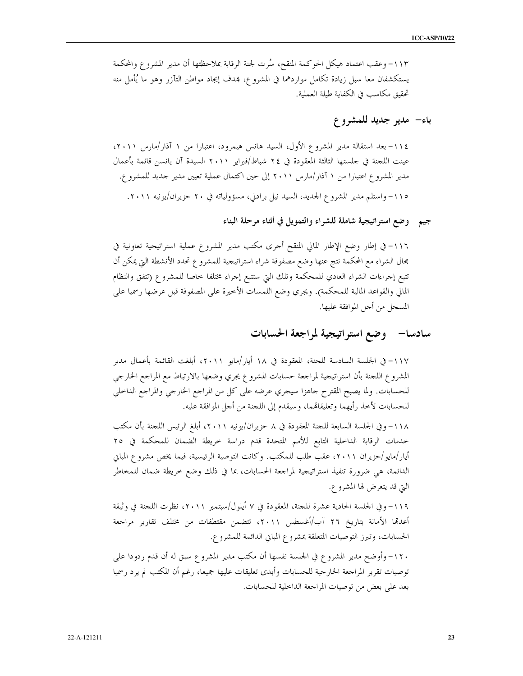١١٣- وعقب اعتماد هيكل الحوكمة المنقح، سُرت لجنة الرقابة بملاحظتها أن مدير المشروع والمحكمة يستكشفان معا سبل زيادة تكامل مواردهما في المشروع، بمدف إيجاد مواطن التآزر وهو ما يُأمل منه تحقيق مكاسب في الكفاية طيلة العملية.

باء- مدير جديد للمشروع

١١٤- بعد استقالة مدير المشروع الأول، السيد هانس هيمرود، اعتبارا من ١ آذار/مارس ٢٠١١، عينت اللجنة في جلستها الثالثة المعقودة في ٢٤ شباط/فبراير ٢٠١١ السيدة آن يانسن قائمة بأعمال مدير المشروع اعتبارا من ١ آذار/مارس ٢٠١١ إلى حين اكتمال عملية تعيين مدير جديد للمشروع. ١١٥- واستلم مدير المشروع الجديد، السيد نيل برادلي، مسؤولياته في ٢٠ حزيران/يونيه ٢٠١١.

جيم وضع استراتيجية شاملة للشراء والتمويل في أثناء مرحلة البناء

١١٦- في إطار وضع الإطار المالي المنقح أحرى مكتب مدير المشروع عملية استراتيجية تعاونية في محال الشراء مع المحكمة نتج عنها وضع مصفوفة شراء استراتيجية للمشروع تحدد الأنشطة التي يمكن أن تتبع إجراءات الشراء العادي للمحكمة وتلك التي ستتبع إجراء مختلفا خاصا للمشروع (تتفق والنظام المالي والقواعد المالية للمحكمة). ويجري وضع اللمسات الأخيرة على المصفوفة قبل عرضها رسميا على المسجل من أحل الموافقة عليها.

### سادسا— وضع استراتيجية لمراجعة الحسابات

١١٧- في الجلسة السادسة للجنة، المعقودة في ١٨ أيار/مايو ٢٠١١، أبلغت القائمة بأعمال مدير المشروع اللحنة بأن استراتيجية لمراجعة حسابات المشروع يجري وضعها بالارتباط مع المراجع الخارجي للحسابات. ولما يصبح المقترح حاهزا سيجري عرضه على كل من المراجع الخارجي والمراجع الداخلي للحسابات لأخذ رأيهما وتعليقاتهما، وسيقدم إلى اللجنة من أجل الموافقة عليه.

١١٨- وفي الجلسة السابعة للجنة المعقودة في ٨ حزيران/يونيه ٢٠١١، أبلغ الرئيس اللجنة بأن مكتب حدمات الرقابة الداخلية التابع للأمم المتحدة قدم دراسة خريطة الضمان للمحكمة في ٢٥ أيار/مايو/حزيران ٢٠١١، عقب طلب للمكتب. وكانت التوصية الرئيسية، فيما يخص مشروع المباني الدائمة، هي ضرورة تنفيذ استراتيجية لمراجعة الحسابات، بما في ذلك وضع خريطة ضمان للمخاطر التي قد يتعرض لها المشرو ع.

١١٩- وفي الجلسة الحادية عشرة للحنة، المعقودة في ٧ أيلول/سبتمبر ٢٠١١، نظرت اللحنة في وثيقة أعدتما الأمانة بتاريخ ٢٦ آب/أغسطس ٢٠١١، تتضمن مقتطفات من مختلف تقارير مراجعة الحسابات، وتبرز التوصيات المتعلقة بمشروع المبايي الدائمة للمشروع.

١٢٠- وأوضح مدير المشروع في الجلسة نفسها أن مكتب مدير المشروع سبق له أن قدم ردودا على توصيات تقرير المراجعة الخارجية للحسابات وأبدى تعليقات عليها جميعا، رغم أن المكتب لم يرد رسميا بعد على بعض من توصيات المراجعة الداخلية للحسابات.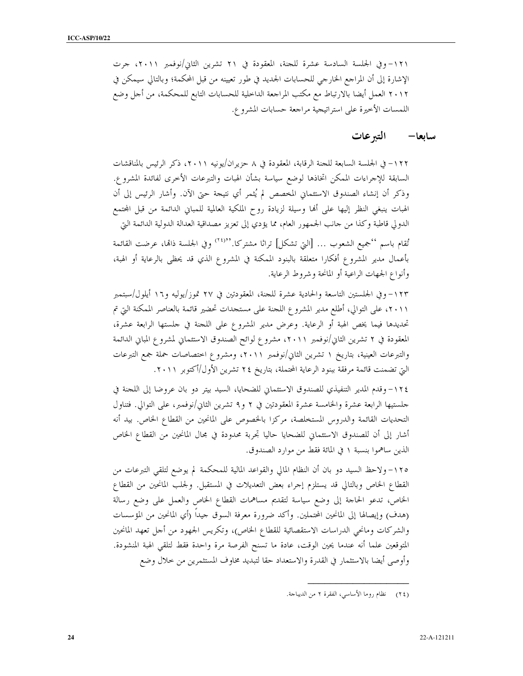١٢١- وفي الجلسة السادسة عشرة للجنة، المعقودة في ٢١ تشرين الثاني/نوفمبر ٢٠١١، جرت الإشارة إلى أن المراجع الخارجي للحسابات الجمديد في طور تعيينه من قبل المحكمة؛ وبالتالي سيمكن في ٢٠١٢ العمل أيضا بالارتباط مع مكتب المراجعة الداخلية للحسابات التابع للمحكمة، من أحل وضع اللمسات الأخيرة على استراتيجية مراجعة حسابات المشروع.

#### التبر عات سابعا—

١٢٢- في الجلسة السابعة للجنة الرقابة، المعقودة في ٨ حزيران/يونيه ٢٠١١، ذكر الرئيس بالمناقشات السابقة للإجراءات الممكن اتخاذها لوضع سياسة بشأن الهبات والتبرعات الأخرى لفائدة المشروع. وذكر أن إنشاء الصندوق الاستئماني المخصص لم يُثمر أي نتيجة حتى الآن. وأشار الرئيس إلى أن الهبات ينبغي النظر إليها على ألها وسيلة لزيادة روح الملكية العالمية للمباني الدائمة من قبل المحتمع الدولي قاطبة وكذا من حانب الجمهور العام، مما يؤدي إلى تعزيز مصداقية العدالة الدولية الدائمة التي

تُقام باسم ''جميع الشعوب … [التي تشكل] تراثا مشتركا.'<sup>((٢٤)</sup> وفي الجلسة ذاقما، عرضت القائمة بأعمال مدير المشروع أفكارا متعلقة بالبنود الممكنة في المشروع الذي قد يحظى بالرعاية أو الهبة، وأنواع الجهات الراعية أو المانحة وشروط الرعاية.

١٢٣–وفي الجلستين التاسعة والحادية عشرة للجنة، المعقودتين في ٢٧ تموز/يوليه و١٦ أيلول/سبتمبر ٢٠١١، على التوالي، أطلع مدير المشروع اللحنة على مستحدات تحضير قائمة بالعناصر الممكنة التي تم تحديدها فيما يخص الهبة أو الرعاية. وعرض مدير المشروع على اللجنة في حلستها الرابعة عشرة، المعقودة في ٢ تشرين الثاني/نوفمبر ٢٠١١، مشروع لوائح الصندوق الاستئماني لمشروع المباني الدائمة والتبرعات العينية، بتاريخ ١ تشرين الثاني/نوفمبر ٢٠١١، ومشروع اختصاصات حملة جمع التبرعات التي تضمنت قائمة مرفقة ببنود الرعاية المحتملة، بتاريخ ٢٤ تشرين الأول/أكتوبر ٢٠١١.

١٢٤- وقدم المدير التنفيذي للصندوق الاستئماني للضحايا، السيد بيتر دو بان عروضا إلى اللجنة في حلستيها الرابعة عشرة والخامسة عشرة المعقودتين في ٢ و٩ تشرين الثاني/نوفمبر، على التوالي. فتناول التحديات القائمة والدروس المستخلصة، مركزا بالخصوص على المانحين من القطاع الخاص. بيد أنه أشار إلى أن للصندوق الاستئماني للضحايا حاليا تجربة محدودة في مجال المانحين من القطاع الخاص الذين ساهموا بنسبة ١ في المائة فقط من موارد الصندوق.

١٢٥– ولاحظ السيد دو بان أن النظام المالي والقواعد المالية للمحكمة لم يوضع لتلقى التبرعات من القطاع الخاص وبالتالي قد يستلزم إجراء بعض التعديلات في المستقبل. ولجلب المانحين من القطاع الخاص، تدعو الحاجة إلى وضع سياسة لتقديم مساهمات القطاع الخاص والعمل على وضع رسالة (هدف) وإيصالها إلى المانحين المحتملين. وأكد ضرورة معرفة السوق جيداً (أي المانحين من المؤسسات والشركات ومانحي الدراسات الاستقصائية للقطاع الخاص)، وتكريس الجهود من أحل تعهد المانحين المتوقعين علما أنه عندما يحين الوقت، عادة ما تسنح الفرصة مرة واحدة فقط لتلقى الهبة المنشودة. وأوصى أيضا بالاستثمار في القدرة والاستعداد حقا لتبديد مخاوف المستثمرين من حلال وضع

<sup>(</sup>٢٤) نظام روما الأساسي، الفقرة ٢ من الديباجة.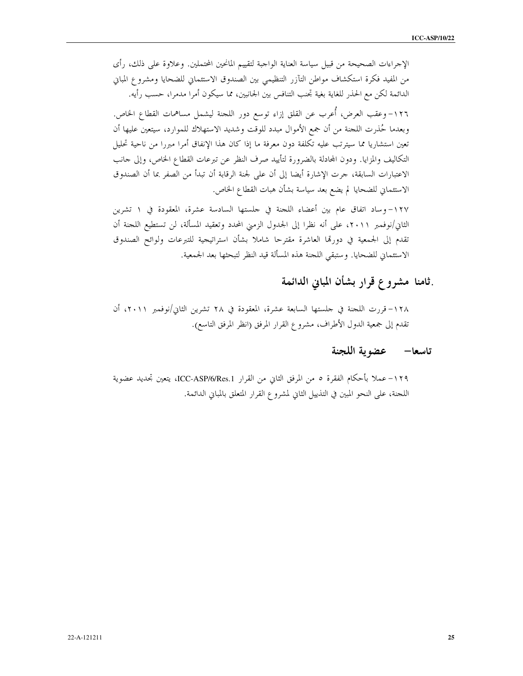الإحراءات الصحيحة من قبيل سياسة العناية الواجبة لتقييم المانحين المحتملين. وعلاوة على ذلك، رأى من المفيد فكرة استكشاف مواطن التآزر التنظيمي بين الصندوق الاستئماني للضحايا ومشروع المباني الدائمة لكن مع الحذر للغاية بغية تجنب التنافس بين الجانبين، مما سيكون أمرا مدمرا، حسب رأيه. ١٢٦- وعقب العرض، أُعرب عن القلق إزاء توسع دور اللجنة ليشمل مساهمات القطاع الخاص. وبعدما حُذرت اللجنة من أن جمع الأموال مبدد للوقت وشديد الاستهلاك للموارد، سيتعين عليها أن تعين استشاريا مما سيترتب عليه تكلفة دون معرفة ما إذا كان هذا الإنفاق أمرا مبررا من ناحية تحليل التكاليف والمزايا. ودون المحادلة بالضرورة لتأييد صرف النظر عن تبرعات القطاع الخاص، وإلى حانب الاعتبارات السابقة، حرت الإشارة أيضا إلى أن على لجنة الرقابة أن تبدأ من الصفر بما أن الصندوق الاستئماني للضحايا لم يضع بعد سياسة بشأن هبات القطاع الخاص.

١٢٧– وساد اتفاق عام بين أعضاء اللجنة في حلستها السادسة عشرة، المعقودة في ١ تشرين الثاني/نوفمبر ٢٠١١، على أنه نظرا إلى الجدول الزمني المحدد وتعقيد المسألة، لن تستطيع اللجنة أن تقدم إلى الجمعية في دورقما العاشرة مقترحا شاملا بشأن استراتيجية للتبرعات ولوائح الصندوق الاستئماني للضحايا. وستبقى اللجنة هذه المسألة قيد النظر لتبحثها بعد الجمعية.

## فامنا مشروع قرار بشأن المباين الدائمة

١٢٨–قررت اللحنة في حلستها السابعة عشرة، المعقودة في ٢٨ تشرين الثاني/نوفمبر ٢٠١١، أن تقدم إلى جمعية الدول الأطراف، مشروع القرار المرفق (انظر المرفق التاسع).

### تاسعا— عضوية اللجنة

١٢٩–عملاً بأحكام الفقرة ٥ من المرفق الثاني من القرار ICC-ASP/6/Res.1، يتعين تجديد عضوية اللحنة، على النحو المبين في التذييل الثاني لمشروع القرار المتعلق بالمباني الدائمة.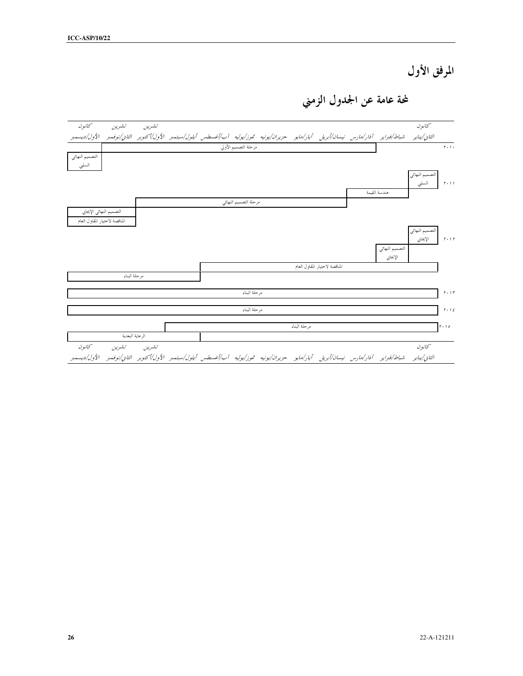المرفق الأول

لمحة عامة عن الجدول الزمني

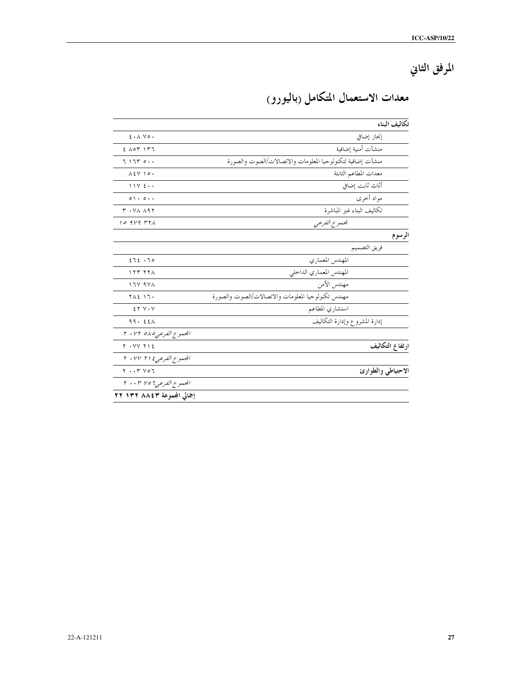المرفق الثاني

| معدات الاستعمال المتكامل (باليورو) |  |  |
|------------------------------------|--|--|
|                                    |  |  |

|                                               |                                                            | تكاليف البناء   |
|-----------------------------------------------|------------------------------------------------------------|-----------------|
| $\xi \cdot \wedge \vee \circ \cdot$           | إنحاز إضافي                                                |                 |
| $2 \wedge 0$ $\uparrow$ $\uparrow$ $\uparrow$ | منشآت أمنية إضافية                                         |                 |
| 71770.                                        | منشآت إضافية لتكنولوجيا المعلومات والاتصالات/الصوت والصورة |                 |
| $\lambda$ { $\vee$ $\lambda$ $\circ$ $\cdot$  | معدات المطاعم الثابتة                                      |                 |
| $11Y \xi \cdot \cdot$                         | أثاث ثابت إضافي                                            |                 |
| $\circ \wedge \cdot \circ \cdot \cdot$        | مواد أخرى                                                  |                 |
| $Y \cdot Y \wedge \wedge 9Y$                  | تكاليف البناء غير المباشرة                                 |                 |
| $10.919$ $\mu$ r $\lambda$                    | الجمموع الفرعي                                             |                 |
|                                               |                                                            | الرسوم          |
|                                               | فريق التصميم                                               |                 |
| 272.70                                        | المهندس المعماري                                           |                 |
| 157.77                                        | المهندس المعماري الداخلي                                   |                 |
| <b>177974</b>                                 | مهندس الأمن                                                |                 |
| <b>TAE 17.</b>                                | مهندس تكنولوجيا المعلومات والاتصالات/الصوت والصورة         |                 |
| $2YV\cdot V$                                  | استشارى المطاعم                                            |                 |
| 99.52                                         | إدارة المشروع وإدارة التكاليف                              |                 |
| الجموع الفرعي٥ ٥٨ ٢٠٧٢                        |                                                            |                 |
| $Y \cdot YV Y12$                              |                                                            | ارتفاع التكاليف |
| المحموع الفرعي ٢ / ٢ / ٢٠                     |                                                            |                 |
| $Y \cdot Y$                                   | الاحتياطي والطوارئ                                         |                 |
| المحموع الفرعي ٢ ٢٠٣ ٢ ٠٠٣                    |                                                            |                 |
| إجمالي المجموعة ٢٢ ٨٨٤٣ ٢٢                    |                                                            |                 |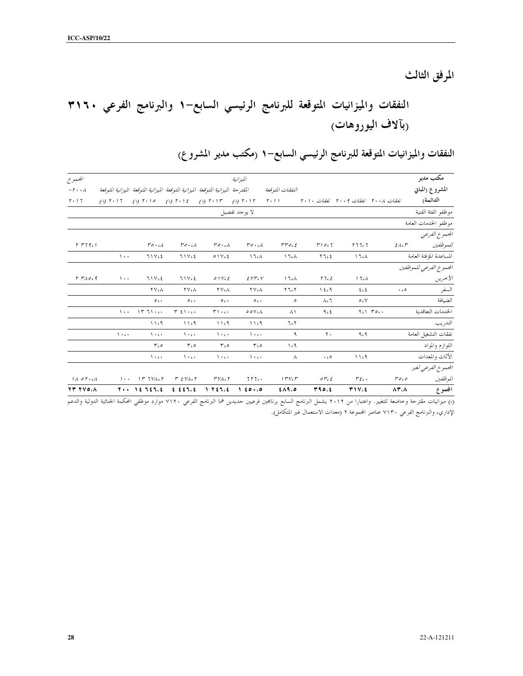المرفق الثالث

# النفقات والميزانيات المتوقعة للبرنامج الرئيسي السابع–١ والبرنامج الفرعي ٣١٦٠ ربآلاف اليوروهات)

| المجموع                        |                                                |                                                 |                                                                                                                                                                                                                                                                                                                                          |                              | الميزانية                       |                         |                                  |                  |                                         | مكتب مدير                                              |
|--------------------------------|------------------------------------------------|-------------------------------------------------|------------------------------------------------------------------------------------------------------------------------------------------------------------------------------------------------------------------------------------------------------------------------------------------------------------------------------------------|------------------------------|---------------------------------|-------------------------|----------------------------------|------------------|-----------------------------------------|--------------------------------------------------------|
| $-\mathsf{r}\cdot\cdot\lambda$ |                                                |                                                 | المقترحة الميزانية المتوقعة الميزانية المتوقعة الميزانية المتوقعة الميزانية المتوقعة                                                                                                                                                                                                                                                     |                              |                                 | النفقات المتوقعة        |                                  |                  |                                         | المشروع (المباني                                       |
| $r \cdot 17$                   | $(*)$ $\uparrow$ $\cdot$ $\uparrow$ $\uparrow$ |                                                 | (*) $\Gamma \cdot 10$ (*) $\Gamma \cdot 12$ (*) $\Gamma \cdot 17$ (*) $\Gamma \cdot 17$                                                                                                                                                                                                                                                  |                              |                                 |                         |                                  |                  | نفقات ٢٠٠٨ نفقات ٢٠٠٩ نفقات ٢٠١٠ - ٢٠١١ | الدائمة)                                               |
|                                |                                                |                                                 |                                                                                                                                                                                                                                                                                                                                          |                              | لا يوحد تفصيل                   |                         |                                  |                  |                                         | موظفو الفثة الفنية                                     |
|                                |                                                |                                                 |                                                                                                                                                                                                                                                                                                                                          |                              |                                 |                         |                                  |                  |                                         | موظفو الخدمات العامة                                   |
|                                |                                                |                                                 |                                                                                                                                                                                                                                                                                                                                          |                              |                                 |                         |                                  |                  |                                         | الجحموع الفرعي                                         |
| $r$ $r$ $79.1$                 |                                                | $r \circ \cdot \circ \wedge$                    | $r \circ \cdot \circ \wedge$                                                                                                                                                                                                                                                                                                             | $r \circ \cdot \circ \wedge$ | $r \circ \cdot \circ \wedge$    | $rroc\epsilon$          | $r_{1017}$                       | 577.7            | $2\lambda$ c $r$                        | للموظفين                                               |
|                                | $\lambda$ .                                    | 71116                                           | 71762                                                                                                                                                                                                                                                                                                                                    | $0 \vee c$                   | 17 <sub>6</sub>                 | $\Lambda$ 1 ( $\Lambda$ | $Y$ $762$                        | 17cA             |                                         | المساعدة المؤقتة العامة                                |
|                                |                                                |                                                 |                                                                                                                                                                                                                                                                                                                                          |                              |                                 |                         |                                  |                  |                                         | الجموع الفرعي للموظفين                                 |
| $r$ $r_A \circ c$              | $\lambda$ .                                    | 711                                             | 71762                                                                                                                                                                                                                                                                                                                                    | $0.1$ $V \in \mathcal{E}$    | EVTcV                           | ۱٦،۸                    | 17.5                             | 17c <sub>A</sub> |                                         | الآ خرين                                               |
|                                |                                                | <b>YV</b> cA                                    | <b>YVLA</b>                                                                                                                                                                                                                                                                                                                              | <b>YVLA</b>                  | <b>YV</b> cA                    | ۲ ٦، ۲                  | 12.9                             | ٤،٤              | $\cdot$ . $\circ$                       | السفر                                                  |
|                                |                                                | $\circ$ .                                       | O(1)                                                                                                                                                                                                                                                                                                                                     | $\circ$ .                    | $\circ$ .                       | ٥                       | $\Lambda$ (                      | O <sub>4</sub>   |                                         | الضيافة                                                |
|                                | $\lambda$                                      | $15.71 \cdot 1$                                 | $T \nleq 1 \cdot \cdots$                                                                                                                                                                                                                                                                                                                 | $r \rightarrow \cdots$       | $\circ \circ \vee \circ \wedge$ | $\lambda \setminus$     | 962                              |                  | $Y(1)$ $Y_0($ .                         | الحدمات التعاقدية                                      |
|                                |                                                | 11c9                                            | 11.9                                                                                                                                                                                                                                                                                                                                     | 11.9                         | 11c9                            | 7.7                     |                                  |                  |                                         | التدريب                                                |
|                                | $\lambda$                                      | $\lambda$                                       | $\lambda$ + c +                                                                                                                                                                                                                                                                                                                          | $\lambda$                    | $\lambda$ + $\epsilon$ +        | ٩                       | $\mathbf{r}$ .                   | ۹،۹              |                                         | نفقات التشغيل العامة                                   |
|                                |                                                | ۲،۰                                             | $r_{0}$                                                                                                                                                                                                                                                                                                                                  | $r_{0}$                      | $r_{0}$                         | ۱،۹                     |                                  |                  |                                         | اللوازم والمواد                                        |
|                                |                                                | $\lambda$                                       | $\lambda$                                                                                                                                                                                                                                                                                                                                | $\lambda$                    | $\lambda$                       | ٨                       | $\cdot$ . $\circ$                | 11.9             |                                         | الأثاث والمعدات                                        |
|                                |                                                |                                                 |                                                                                                                                                                                                                                                                                                                                          |                              |                                 |                         |                                  |                  |                                         | المحموع الفرعبي لغير                                   |
| 1101.4                         |                                                | $1 \cdot \cdot$ $1 \cdot 7$ $1 \cdot 1 \cdot 7$ | r evacr                                                                                                                                                                                                                                                                                                                                  | <i>FVACT</i>                 | 7177.                           | $1 - V(T)$              | $\mathfrak{o} \mathfrak{r}'$ c g | $r_{\ell}$ .     | ه ، ه ۳                                 | الموظفين                                               |
| <b>TY TVOA</b>                 |                                                |                                                 | $Y_{11}$ , $Y_2 = Y_1 + Y_2 + Y_3 + Y_4 + Y_5 + Y_6 + Y_7 + Y_8 + Y_9 + Y_1 + Y_2 + Y_3 + Y_4 + Y_5 + Y_6 + Y_7 + Y_8 + Y_9 + Y_1 + Y_2 + Y_3 + Y_4 + Y_5 + Y_6 + Y_7 + Y_8 + Y_9 + Y_1 + Y_2 + Y_3 + Y_4 + Y_5 + Y_6 + Y_7 + Y_8 + Y_9 + Y_1 + Y_2 + Y_3 + Y_4 + Y_5 + Y_6 + Y_7 + Y_8 + Y_9 + Y_1 + Y_2 + Y_3 + Y_4 + Y_6 + Y_7 + Y_8$ |                              |                                 | 6.19.0                  | 490.6                            | TIV.6            |                                         | $\Lambda$ $\mu$ , $\Lambda$ $\mu$ $\mu$ $\Delta$ $\mu$ |

النفقات والميزانيات المتوقعة للبرنامج الرئيسي السابع−١ (مكتب مدير المشروع)

المجموع - ۱۱٬۸۱/ ۱۱٬۸۰۰ - ۱۱٬۰۰۰ - ۱۰۰۰ - ۱۰۰۰ - ۱٬۰۰۰ - ۱٬۰۰۰ - ۱٬۰۰۰ - ۱٬۰۰۰ - ۱٬۰۰۰ - ۱٬۰۰۰ - ۱٬۰۰۰ - ۱٬۰۰۰<br>(۰) ميزانيات مقترحة وخاضعة للتغيير. واعتبارا من ۲۰۱۲ يشمل البرنامج السابع برنامجين فرعيين جديدين هما البرنامج الإداري، والبرنامج الفرعي ٧١٣٠ عناصر المجموعة ٢ (معدات الاستعمال غير المتكامل).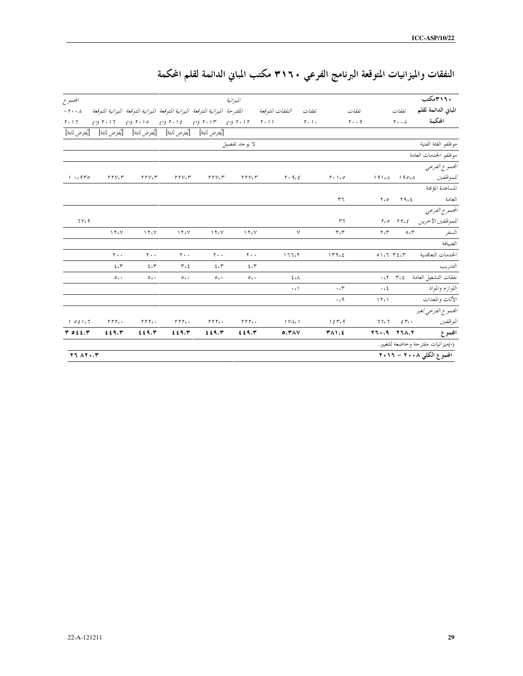|  | النفقات والميزانيات المتوقعة البرنامج الفرعي ٣١٦٠ مكتب المباني الدائمة لقلم المحكمة |
|--|-------------------------------------------------------------------------------------|
|--|-------------------------------------------------------------------------------------|

| المجموع                           |                               |                           |                                                                                                                   |                              | الميزانية                     |                                                                                                       |                                 |                               |                                     |                   | ۳۱٦۰ مکتب                          |
|-----------------------------------|-------------------------------|---------------------------|-------------------------------------------------------------------------------------------------------------------|------------------------------|-------------------------------|-------------------------------------------------------------------------------------------------------|---------------------------------|-------------------------------|-------------------------------------|-------------------|------------------------------------|
| $-\mathbf{r} \cdot \cdot \lambda$ |                               |                           |                                                                                                                   |                              |                               | النفقات المتوقعة فللقترحة الميزانية المتوقعة الميزانية المتوقعة الميزانية المتوقعة الميزانية المتوقعة | نفقات                           |                               | نفقات                               | نفقات             | المباني الدائمة لقلم               |
| $r \cdot 17$                      |                               |                           | (a) $\Gamma \cdot 17$ (b) $\Gamma \cdot 10$ (b) $\Gamma \cdot 12$ (b) $\Gamma \cdot 17$ (b) $\Gamma \cdot 17$ (c) |                              |                               |                                                                                                       | $\mathbf{r} \cdot \mathbf{y}$ . |                               | $r \cdot q$                         | $r \cdot \lambda$ | المحكمة                            |
|                                   |                               |                           | [يُفترض ثابتة]     [يُفترض ثابتة]     [يُفترض ثابتة]     [يُفترض ثابتة]    [يُفترض ثابتة]                         |                              |                               |                                                                                                       |                                 |                               |                                     |                   |                                    |
|                                   |                               |                           |                                                                                                                   |                              | لا يوجد تفصيل                 |                                                                                                       |                                 |                               |                                     |                   | موظفو الفثة الفنية                 |
|                                   |                               |                           |                                                                                                                   |                              |                               |                                                                                                       |                                 |                               |                                     |                   | موظفو الخدمات العامة               |
|                                   |                               |                           |                                                                                                                   |                              |                               |                                                                                                       |                                 |                               |                                     |                   | المحموع الفرعبي                    |
| 1.470                             | $rrv_{c}r$                    | $rrv_{c}r$                | rrv                                                                                                               | rrv                          | rrv                           |                                                                                                       | $r \cdot 966$                   | 1.10                          | 191cA                               | 190c              | للموظفين                           |
|                                   |                               |                           |                                                                                                                   |                              |                               |                                                                                                       |                                 |                               |                                     |                   | المساعدة المؤقتة                   |
|                                   |                               |                           |                                                                                                                   |                              |                               |                                                                                                       |                                 | ٣٦                            | ۲،۰                                 | ۲۹،٤              | العامة                             |
|                                   |                               |                           |                                                                                                                   |                              |                               |                                                                                                       |                                 |                               |                                     |                   | المحموع الفرعبي                    |
| 71/9                              |                               |                           |                                                                                                                   |                              |                               |                                                                                                       |                                 | $r_{7}$                       |                                     |                   | للموظفين الآخرين 19، ٢٠٥           |
|                                   | $\lambda$ $\lambda$ $\lambda$ | $\gamma \gamma$           | 150                                                                                                               | $\lambda \Upsilon \Lambda V$ | $\lambda$ $\lambda$ $\lambda$ |                                                                                                       | ٧                               | $\mathbf{r} \cdot \mathbf{r}$ | $Y \in Y$                           | O(T)              | السفر                              |
|                                   |                               |                           |                                                                                                                   |                              |                               |                                                                                                       |                                 |                               |                                     |                   | الضيافة                            |
|                                   | $\mathbf{y}$ .                | $\mathbf{y}$ .            | $\mathbf{y}$ .                                                                                                    | $\mathbf{y}$ .               | $\mathbf{y}$ .                | 17707                                                                                                 |                                 | 119.5                         |                                     | 011757            | الخدمات التعاقدية                  |
|                                   | 50                            | 50                        | $T_{c}$                                                                                                           | 207                          | 2.5                           |                                                                                                       |                                 |                               |                                     |                   | التدريب                            |
|                                   | $\circ$ .                     | $\circ$ .                 | $\circ$ .                                                                                                         | $\circ$ .                    | $\circ$ .                     |                                                                                                       | $\xi$<br>$\zeta\Lambda$         |                               |                                     |                   | نفقات التشغيل العامة               |
|                                   |                               |                           |                                                                                                                   |                              |                               |                                                                                                       | $\cdot$ ( $\wedge$              | $\cdot$                       | $\cdot$ c $\epsilon$                |                   | اللوازم والمواد                    |
|                                   |                               |                           |                                                                                                                   |                              |                               |                                                                                                       |                                 | $\cdot$ $\cdot$ 9             | $\mathcal{N} \subset \mathcal{N}$   |                   | الأثاث والمعدات                    |
|                                   |                               |                           |                                                                                                                   |                              |                               |                                                                                                       |                                 |                               |                                     |                   | المحموع الفرعبي لغير               |
| 1021.7                            | $rrr$ .                       | $\Gamma \Gamma \Gamma$ c. | $\Gamma \Gamma \Gamma$ c.                                                                                         | $rrr$ .                      | $\Gamma \Gamma \Gamma$ c.     | VA                                                                                                    |                                 | 15r <sub>c</sub> q            | 77c7                                | $2r1$ .           | الموظفين                           |
| $T$ of $f$ , $T$                  | 229.7                         | 229.7                     | 229.7                                                                                                             | 2.59.7                       | 229.7                         | $0.7^{\circ} \Lambda V$                                                                               |                                 | ٣٨١،٤                         | $Y \setminus (A - Y \setminus A) Y$ |                   | المجموع                            |
|                                   |                               |                           |                                                                                                                   |                              |                               |                                                                                                       |                                 |                               |                                     |                   | (•)ميزانيات مقترحة وخاضعة للتغيير. |
| $YY \wedge Y \cdot Y$             |                               |                           |                                                                                                                   |                              |                               |                                                                                                       |                                 |                               |                                     |                   | المجموع الكلى ٢٠٠٨ – ٢٠١٦          |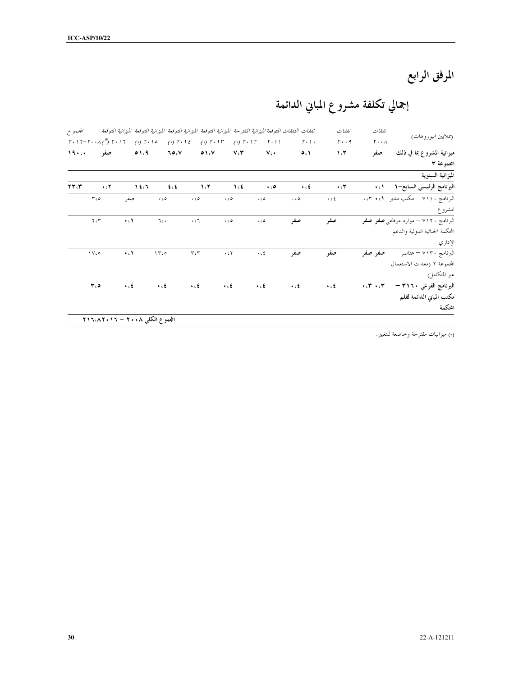المرفق الرابع

# إجمالي تكلفة مشروع المباني الدائمة

| (بملايين اليوروهات)                        | نفقات                        | نفقات                |                                     | نفقات النفقات المتوقعة الميزانية المقترحة الميزانية المتوقعة الميزانية المتوقعة الميزانية المتوقعة الميزانية المتوقعة |                                            |                                            |                                     |                                         |                                                                  | المجموع |
|--------------------------------------------|------------------------------|----------------------|-------------------------------------|-----------------------------------------------------------------------------------------------------------------------|--------------------------------------------|--------------------------------------------|-------------------------------------|-----------------------------------------|------------------------------------------------------------------|---------|
|                                            | $r \cdot \lambda$            | $r \cdot q$          | $r \cdot 1$ .                       | $\mathbf{r} \cdot \mathbf{1}$                                                                                         | $(9)$ $\uparrow \cdot$ $\uparrow \uparrow$ | $(9)$ $\uparrow \cdot$ $\uparrow \uparrow$ | $(9)$ $\uparrow \cdot$ 1 $\uparrow$ | $(9)$ $\uparrow \cdot$ $\uparrow \circ$ | $r \cdot 17 - r \cdot \cdot \lambda$ $\binom{r}{2}$ $r \cdot 17$ |         |
| ميزانية المشروع بما في ذلك                 | صفر                          | 1.7                  | O(1)                                | $V \cdot$                                                                                                             | $V \cdot V$                                | 01.5                                       | ۰٫۷ م                               | 0.1.9                                   | صفر                                                              | 19      |
| المجموعة ٣                                 |                              |                      |                                     |                                                                                                                       |                                            |                                            |                                     |                                         |                                                                  |         |
| الميزانية السنوية                          |                              |                      |                                     |                                                                                                                       |                                            |                                            |                                     |                                         |                                                                  |         |
| البرنامج الرئيسي السابع-١                  | $\cdot \cdot \cdot$          | $\cdot$ . $\tau$     | $\ddot{\bullet}$ . $\ddot{\bullet}$ | $\ddotsc$                                                                                                             | $\Lambda$ c                                | 1.7                                        | $f \in$                             | 12.7                                    | $\cdot$ cY                                                       | TT(T    |
| البرنامج ٧١١٠ – مكتب مدير ٠،٣٠١            |                              | $\cdot$ c $\epsilon$ | $\ddotsc$                           | $\cdot$ . $\circ$                                                                                                     | $\ddot{\phantom{0}}$                       | $\cdot$ . $\circ$                          | $\cdot$ 60                          | صفر                                     | $r_{c}$                                                          |         |
| المشروع                                    |                              |                      |                                     |                                                                                                                       |                                            |                                            |                                     |                                         |                                                                  |         |
| البرنامج ۷۱۲۰ – موارد موظفی <b>صفر صفر</b> |                              | صفر                  | صفر                                 | $\cdot$ . $\circ$                                                                                                     | $\cdot$ 60                                 | $\mathbf{r}$ .                             | 7.1                                 | $\cdot$ c $\lambda$                     | $\Upsilon \circ \Upsilon$                                        |         |
| المحكمة الجنائية الدولية والدعم            |                              |                      |                                     |                                                                                                                       |                                            |                                            |                                     |                                         |                                                                  |         |
| الإداري                                    |                              |                      |                                     |                                                                                                                       |                                            |                                            |                                     |                                         |                                                                  |         |
| البرنامج ٧١٣٠ – عناصر                      | صفر صفر                      | صفر                  | صفر                                 | $\cdot$ c $\xi$                                                                                                       | $\cdot$ $\epsilon$ $\!$                    | $\tau\, \mathfrak{c}\tau$                  | 1500                                | $\cdot$ c $\lambda$                     | $\sqrt{V}$                                                       |         |
| المحموعة ٢ (معدات الاستعمال                |                              |                      |                                     |                                                                                                                       |                                            |                                            |                                     |                                         |                                                                  |         |
| غير المتكامل)                              |                              |                      |                                     |                                                                                                                       |                                            |                                            |                                     |                                         |                                                                  |         |
| البرنامج الفرعي ٣١٦٠ –                     | $\star$ off $\to$ off $\sim$ | $\ddotsc$            | $\ddot{\bullet}$ . $\ddot{\bullet}$ | $\ddotsc$                                                                                                             | $\ddot{\bullet}$                           | $\cdot$ . $\epsilon$                       | $\ddot{\bullet}$                    | $\ddot{\phantom{0}}$                    | ه، ۳                                                             |         |
| مكتب المباني الدائمة لقلم                  |                              |                      |                                     |                                                                                                                       |                                            |                                            |                                     |                                         |                                                                  |         |
| المحكمة                                    |                              |                      |                                     |                                                                                                                       |                                            |                                            |                                     |                                         |                                                                  |         |

(\*) ميزانيات مقترحة وخاضعة للتغيير.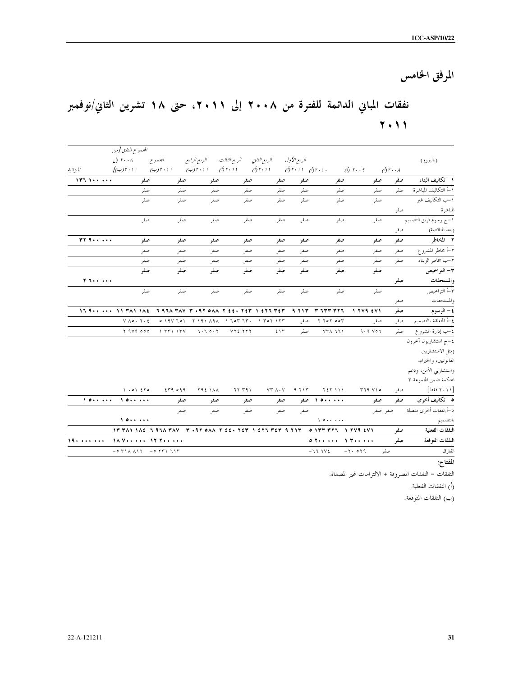المرفق الخامس

## نفقات المباني الدائمة للفترة من ٢٠٠٨ إلى ٢٠١١، حتى ١٨ تشرين الثاني/نوفمبر  $\mathbf{Y} \cdot \mathbf{Y}$

|               | الجحموع المنفق [من                                                                                                                   |                                                   |                                                                      |              |               |             |                 |              |                                          |                                     |
|---------------|--------------------------------------------------------------------------------------------------------------------------------------|---------------------------------------------------|----------------------------------------------------------------------|--------------|---------------|-------------|-----------------|--------------|------------------------------------------|-------------------------------------|
|               | ۲۰۰۸ إلى                                                                                                                             | المجموع                                           | الريع الرابع                                                         | الربع الثالث | الربع الثاني  | الربع الأول |                 |              |                                          | (باليورو)                           |
| الميزانية     | $\int_{\mathcal{C}}(\mathcal{L})$ ۲۰۱۱                                                                                               | . ۲۰۱۱ (ب) ۲۰۱۱ (ب) (۲۰۱۱ (ب) (۲۰۱۱ (ب) (۲۰۱۱ (ب) |                                                                      |              |               |             |                 | $\phi$ r     | $\bigwedge^r$ r $\cdot$ $\cdot$ $\wedge$ |                                     |
| 177.1         | صفر                                                                                                                                  | صفر                                               | صفر                                                                  | صفر          | صفر           | صفر         | صفر             | صفر          | صفر                                      | .<br>1- تكاليف البناء               |
|               | صفر                                                                                                                                  | صفر                                               | صفر                                                                  | صفر          | صفر           | صفر         | صفر             | صفر          | صفر                                      | ١–أ التكاليف المباشرة               |
|               | صفر                                                                                                                                  | صفر                                               | صفر                                                                  | صفر          | صفر           | صفه         | صفر             | صفر          |                                          | ١-ب التكاليف غير                    |
|               |                                                                                                                                      |                                                   |                                                                      |              |               |             |                 |              | صفر                                      | المباشرة                            |
|               | صفر                                                                                                                                  | صفر                                               | صفر                                                                  | صفر          | صفر           | صفر         | صفر             | صفر          |                                          | ١-ج رسوم فريق التصميم               |
|               |                                                                                                                                      |                                                   |                                                                      |              |               |             |                 |              | صفر                                      | (بعد المناقصة)                      |
| $rr + \cdots$ | صفر                                                                                                                                  | صفر                                               | صفر                                                                  | صفر          | صفر           | صفر         | صفر             | صفر          | صفر                                      | ۲ – المخاطر                         |
|               | صفر                                                                                                                                  | صفر                                               | صفر                                                                  | صفر          | صفر           | صفر         | صفر             | صفر          | صفر                                      | ٢-أ مخاطر المشروع                   |
|               | صفر                                                                                                                                  | صفر                                               | صفر                                                                  | صفر          | صفر           | صفر         | صفر             | صفر          | صفر                                      | ٢–ب مخاطر الزبناء                   |
|               | صفو                                                                                                                                  | صفر                                               | صف                                                                   | صفو          | صفو           | صفر         | صف              | صفر          |                                          | ٣- التراخيص                         |
|               |                                                                                                                                      |                                                   |                                                                      |              |               |             |                 |              | صفر                                      | والمستحقات                          |
|               | صفر                                                                                                                                  | صفر                                               | صفر                                                                  | صفر          | صفر           | صفر         | صفر             | صفر          |                                          | -<br>۳–أ التراخيص                   |
|               |                                                                                                                                      |                                                   |                                                                      |              |               |             |                 |              | صفر                                      | والمستحقات                          |
|               | $15.9$ 11 ٣٨١ ١٨٤ - ٦ ٩٦٨ ٣٨٧ - ٣ ٠٩٢ ٥٨٨ - ٢ ٤٤٠ ٢٤٣ - ٤٢٦ ٣٤٣                                                                      |                                                   |                                                                      |              |               | 9713        | r zrr rrz       | $1.744$ $&5$ | صفر                                      | ٤ – الرسوم                          |
|               | $V \wedge o \cdot V \cdot E$                                                                                                         |                                                   | $0.19V$ $101$ $81.41$ $141$ $141$ $140$ $170$ $18$ $191$ $191$ $191$ |              |               | صفر         | $Y$ $70Y$ $90Y$ | صفر          | صفر                                      | ٤–أ المتعلقة بالتصميم               |
|               | Y 979 000                                                                                                                            | 1.771.17Y                                         | 7.70.7                                                               | VYE YYY      | ٤١٣           | صفر         | YYA 771         | $9.9$ $07$   | صفر                                      | ٤–ب إدارة المشروع                   |
|               |                                                                                                                                      |                                                   |                                                                      |              |               |             |                 |              |                                          | ٤-ج استشاريون آحرون                 |
|               |                                                                                                                                      |                                                   |                                                                      |              |               |             |                 |              |                                          | (مثل الاستشاريين                    |
|               |                                                                                                                                      |                                                   |                                                                      |              |               |             |                 |              |                                          | القانونيين، والخبراء،               |
|               |                                                                                                                                      |                                                   |                                                                      |              |               |             |                 |              |                                          | واستشاريي الأمن، ودعم               |
|               |                                                                                                                                      |                                                   |                                                                      |              |               |             |                 |              |                                          | المحكمة ضمن المحموعة ٣              |
|               | $1.01$ 270                                                                                                                           | 259099                                            | <b>792 1 AA</b>                                                      | ۶۲ ۳۹۱       | $YY \wedge Y$ | 9.717       | <b>YET 111</b>  | 119.710      | صفر                                      | [۲۰۱۱ فقط]                          |
| 10            | 10                                                                                                                                   | صفر                                               | صفر                                                                  | صفر          | صفر           |             | ۱۵۰۰۰۰۰ صفر     | صفر          |                                          | <mark>0</mark> – تكاليف أخرى<br>صفر |
|               |                                                                                                                                      | صفر                                               | صفر                                                                  | صفر          | صفر           | صفر         |                 |              | صفر صفر                                  | ٥-أ.نفقات أخرى متصلة                |
|               | 10                                                                                                                                   |                                                   |                                                                      |              |               |             | $\sqrt{2}$      |              |                                          | بالتصميم                            |
|               |                                                                                                                                      |                                                   |                                                                      |              |               |             |                 |              | صفر                                      | النفقات الفعلية                     |
| 19.1111111111 | 18 Year and 17700 and                                                                                                                |                                                   |                                                                      |              |               |             |                 | $0.7$ $1.7$  | صفر                                      | النفقات المتوقعة                    |
|               | $-0$ $\uparrow$ 1 $\uparrow$ $\uparrow$ $\uparrow$ $-0$ $\uparrow$ $\uparrow$ $\uparrow$ $\uparrow$ $\uparrow$ $\uparrow$ $\uparrow$ |                                                   |                                                                      |              |               |             | $-777V$         | $-Y - O Y Q$ | صفر                                      | الفارق                              |
|               |                                                                                                                                      |                                                   |                                                                      |              |               |             |                 |              |                                          | والقساد المد                        |

المفتاح:

النفقات = النفقات المصروفة + الالتزامات غير المصفاة.

(أ) النفقات الفعلية.

(ب) النفقات المتوقعة.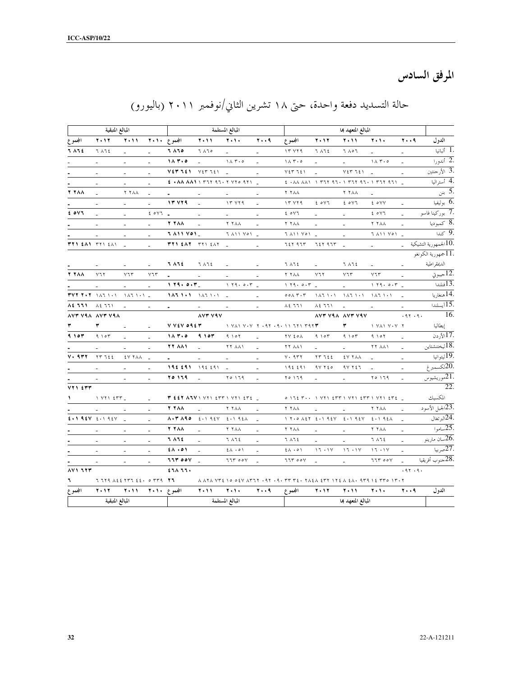المرفق السادس

|                        | المبالغ المتبقية                                                 |                                                                                       |                             |                                |                                               | المبالغ المستلمة                                  |                          |                                                                       |                 | المبالغ المتعهد بما                                 |                     |                     |                                                |
|------------------------|------------------------------------------------------------------|---------------------------------------------------------------------------------------|-----------------------------|--------------------------------|-----------------------------------------------|---------------------------------------------------|--------------------------|-----------------------------------------------------------------------|-----------------|-----------------------------------------------------|---------------------|---------------------|------------------------------------------------|
| المجموع                | <b>T . 1 T</b>                                                   | <b>T+11</b>                                                                           |                             | المجموع ۲۰۱۰                   | <b>T+11</b>                                   | 7.1.                                              | 79                       | المجموع                                                               | $Y \cdot Y$     | <b>T + 11</b>                                       | 5.1.                | 79                  | الدول                                          |
| 7 A 7 E                | 7 1 7 2                                                          |                                                                                       | ÷                           | 7 ٨٦٥                          | 7 170                                         |                                                   |                          | 15272                                                                 | 7 A 7 2         | ۲ ۵ ۵ ۲                                             |                     |                     | ألبانيا $\overline{1.}$                        |
|                        |                                                                  |                                                                                       |                             | 11.7.0                         |                                               | 11.50                                             |                          | $1 \wedge 7 \cdot 0$                                                  |                 |                                                     | 11.7.0              |                     | .2 أندورا                                      |
|                        |                                                                  | $\sim$                                                                                |                             | V E V T E V                    | $V \xi \Upsilon \Upsilon \xi$                 |                                                   |                          | V E V T E V                                                           |                 | $V \xi V \eta \xi V$                                |                     |                     | .3 الأرحنتين                                   |
|                        |                                                                  | $\overline{\phantom{a}}$                                                              |                             |                                |                                               |                                                   |                          |                                                                       |                 |                                                     |                     |                     | 4. أستراليا                                    |
| <b>Y YAA</b>           |                                                                  | <b>Y YAA</b>                                                                          |                             |                                |                                               |                                                   |                          | <b>Y YAA</b>                                                          |                 | <b>Y YAA</b>                                        |                     |                     | . <del>5</del> بنن                             |
|                        | $\sim$                                                           | $\omega$                                                                              |                             | <b>17 779</b>                  |                                               | 17 Y79                                            |                          | 17 Y19                                                                | 20V             | E OVT                                               | t ovv               |                     | .6 بوليفيا                                     |
| E OVI                  |                                                                  | $\overline{\phantom{a}}$                                                              | 20Y1                        |                                | $\overline{\phantom{a}}$                      | $\sim$                                            | $\overline{\phantom{a}}$ | E OVT                                                                 | $\sim$          | $\overline{\phantom{a}}$                            | 20Y                 |                     | <del>. 7 بوركينا فاسو</del>                    |
|                        | $\overline{\phantom{a}}$                                         | $\sim$                                                                                | $\overline{\phantom{a}}$    | <b>Y YAA</b>                   |                                               | <b>Y Y A A</b>                                    |                          | ۲ ۲ ۸ ۸                                                               |                 | $\sim$                                              | <b>Y 7 A A</b>      |                     | .8 كمبوديا                                     |
|                        | $\mathcal{L}_{\mathcal{A}}$                                      | $\sim$                                                                                | $\mathcal{L}_{\mathcal{A}}$ | J A11 VO1_                     |                                               | 7 AM YON _                                        |                          | T AII YOI _                                                           |                 | $\sim$                                              | 7 AMY YON           |                     | $\overline{\mathcal{L}}$ 9.                    |
| <b>٣٢١ ٤٨١</b> ٣٢١ ٤٨١ |                                                                  |                                                                                       | $\sim$                      | TTI EAT TTI EAT                |                                               |                                                   | $\sim$                   | 727 97T                                                               | 72 Y A 7 T      |                                                     | $\omega_{\rm{max}}$ | $\omega_{\rm{eff}}$ | الجمهورية التشيكية $10.$                       |
|                        |                                                                  |                                                                                       |                             |                                |                                               |                                                   |                          |                                                                       |                 |                                                     |                     |                     | .11جمهورية الكونغو                             |
|                        |                                                                  |                                                                                       | $\sim$                      | 7 A 7 E                        | 7 A 7 2                                       |                                                   |                          | 7 A 7 E                                                               |                 | ገ ለገደ                                               | $\sim$              |                     | الدعقراطية                                     |
| <b>Y YAA</b>           | $Y$ ٦٢                                                           | $V\mathcal{T}V$                                                                       | $Y \mathcal{T}$             | $\blacksquare$                 | $\sim$                                        | $\sim$                                            | $\sim$                   | <b>Y YAA</b>                                                          | $Y$ ٦٢          | $V\mathcal{I}\mathcal{F}$                           | $Y\bar{\tau}$       | $\sim$              | جيبوتي $\overline{12.}$                        |
|                        | $\sim$                                                           | $\omega$                                                                              | $\equiv$                    | 1.79.0.7                       |                                               | 1.79.0.7                                          |                          | 1.79.0.7                                                              |                 | $\sim$                                              | 1.79.0.7            |                     | فنلندا $13.$                                   |
|                        | $TVTT+T$ $\rightarrow$ $\rightarrow$ $\rightarrow$ $\rightarrow$ | 147111                                                                                |                             |                                |                                               |                                                   | ÷.                       | $000 \times T \cdot T$                                                | 11111111        | $1\wedge 7$ , $1\cdot 1$ , $1\wedge 7$ , $1\cdot 1$ |                     | $\sim$              | .14هنغاريا                                     |
| 82 771                 | $\lambda$ ٤ ٦٦١                                                  | $\mathbf{r}$                                                                          |                             |                                |                                               |                                                   |                          | $\lambda$ 2 $771$                                                     | $\lambda$ ٤ ٦٦١ |                                                     |                     |                     | 15.                                            |
|                        | AVT VAA AVT VAA                                                  |                                                                                       |                             |                                | AVY VAV                                       |                                                   |                          |                                                                       |                 | AVT VAA AVT VAV                                     |                     | .97.9.              | 16.                                            |
|                        | ٣                                                                |                                                                                       |                             | V VEV 09ET                     |                                               |                                                   |                          | $\left( \begin{array}{cc} 1 & 1 & 1 \\ 1 & 1 & 1 \end{array} \right)$ |                 | ٣                                                   | 1 YA1 Y . Y T       |                     | إيطاليا                                        |
| 9.107                  | 9.107                                                            |                                                                                       |                             | 11.7.0                         | 9107                                          | 9.107                                             |                          | <b>TV EOA</b>                                                         | 9.107           | 9.107                                               | 9.107               |                     | .17الأردن                                      |
|                        |                                                                  |                                                                                       |                             | <b>TT AA1</b>                  |                                               | <b>TT AA1</b>                                     |                          | <b>TT AAY</b>                                                         |                 |                                                     | <b>TT AA1</b>       |                     | ليختنشتاين $18.$                               |
| $V \cdot 977$          | TT722                                                            | $\begin{array}{ccccc} \xi \vee & \tau \wedge \wedge & \quad \underline{\ \end{array}$ |                             |                                |                                               |                                                   |                          | $V \cdot 977$                                                         | TTI22           | <b>EV YAA</b>                                       |                     |                     | .19ليتوانيا                                    |
|                        |                                                                  |                                                                                       |                             | 196.691                        | 192591                                        |                                                   |                          | 192291                                                                | $4V$ $Y$ $20$   | $9V$ $727$                                          |                     |                     | .<br>20لكسمبرغ                                 |
|                        |                                                                  | $\overline{\phantom{a}}$                                                              | $\mathcal{L}_{\mathcal{A}}$ | ۲۵ ۱۶۹                         |                                               | $Y \circ Y$                                       | $\sim$                   | $Y \circ 179$                                                         |                 |                                                     | $Y \circ 179$       |                     | .21موريشيوس                                    |
| $YY$ $Y$ $YY$          |                                                                  |                                                                                       |                             |                                |                                               |                                                   |                          |                                                                       |                 |                                                     |                     |                     | 22.                                            |
|                        | $1$ $V$ $T$ $1$ $5$ $T$ $T$ $_$                                  |                                                                                       |                             |                                |                                               | $T$ £ £ 7 $\Lambda$ ٦٧ ١ ٧٢١ ٤٣٣ ١ ٧٢١ ٤٣٤ $_{-}$ |                          |                                                                       |                 |                                                     |                     |                     | المكسيك                                        |
|                        |                                                                  |                                                                                       |                             | Y YAA                          |                                               | <b>Y YAA</b>                                      |                          | <b>Y YAA</b>                                                          |                 |                                                     | <b>Y YAA</b>        |                     | .<br>23الجبل الأسود                            |
|                        | $2.192V$ $2.192V$                                                |                                                                                       |                             | $\lambda \cdot \tau \wedge 90$ | $\epsilon \cdot 1$ 92Y $\epsilon \cdot 1$ 92A |                                                   |                          |                                                                       |                 |                                                     |                     |                     | $\overline{\lim_{\pi \downarrow 24}}$ البرتغال |
|                        |                                                                  |                                                                                       |                             | <b>Y YAA</b>                   |                                               | <b>Y Y A A</b>                                    |                          | <b>Y YAA</b>                                                          |                 |                                                     | <b>Y YAA</b>        |                     | $-25.$ ساموا                                   |
|                        |                                                                  |                                                                                       |                             | 7 A 7 E                        |                                               | 7 1 7 2                                           |                          | 7 A 7 2                                                               |                 |                                                     | 7 1 7 2             |                     | .<br>26سان مارينو                              |
|                        | $\sim$                                                           |                                                                                       |                             | $5 \wedge 0 \wedge$            |                                               | $2\lambda \cdot 0$                                |                          | $2 \wedge \cdot \circ \wedge$                                         | 17.1Y           | 17.1V                                               | 17.1Y               |                     | .27صربيا                                       |
|                        | $\blacksquare$                                                   | $\blacksquare$                                                                        |                             | <b>TIT OOV</b>                 |                                               | 77700V                                            |                          | <b>TIT OOV</b>                                                        | ÷.              | $\omega$                                            | 77700V              |                     | .<br>28حنوب أفريقيا                            |
| AY177                  |                                                                  |                                                                                       |                             | 211111                         |                                               |                                                   |                          |                                                                       |                 |                                                     |                     | .97.9.              |                                                |
| ٦.                     | $7.779$ $\lambda$ $22.8777$ $22.6$ $\circ$ $779$ $\overline{77}$ |                                                                                       |                             |                                |                                               |                                                   |                          |                                                                       |                 |                                                     |                     |                     |                                                |
| المجموع                | <b>7.17</b>                                                      | <b>T . 11</b>                                                                         |                             | المجموع ۲۰۱۰                   | <b>T . 11</b>                                 | 7.1.                                              | ۲۰۰۹                     | المجموع                                                               | 7.17            | <b>T . 11</b>                                       | 7.1.                | 79                  | الدول                                          |
|                        | المبالغ المتبقية                                                 |                                                                                       |                             |                                |                                               | المبالغ المستلمة                                  |                          |                                                                       |                 | المبالغ المتعهد بما                                 |                     |                     |                                                |

# حالة التسديد دفعة واحدة، حتى ١٨ تشرين الثاني/نوفمبر ٢٠١١ (باليورو)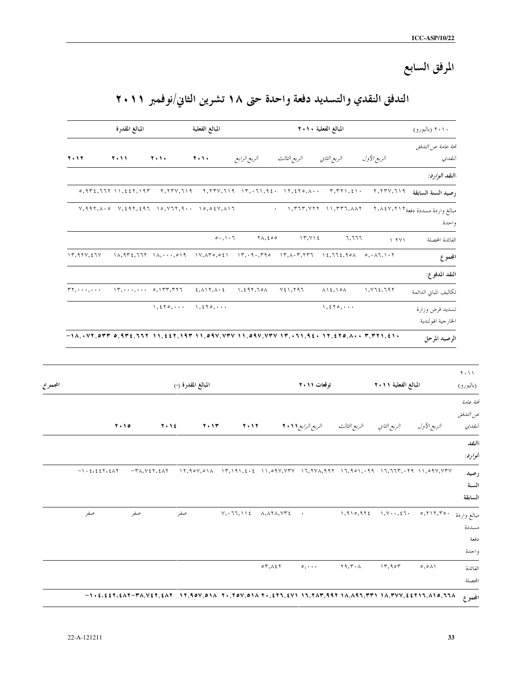# المرفق السابع

## التدفق النقدي والتسديد دفعة واحدة حتى ١٨ تشرين الثاني/نوفمبر ٢٠١١

|                                                                                     | ۲۰۱۰ (باليورو)                           |                                                 |                                                                           | المبالغ الفعلية ٢٠١٠                                                                                                                                                                                                                                                                                                           |                                                                               | المبالغ الفعلية                                               |                                                                                                                     | المبالغ المقدرة                                                                                                                                                                                                                                                                                                                                                                                                        |                       |
|-------------------------------------------------------------------------------------|------------------------------------------|-------------------------------------------------|---------------------------------------------------------------------------|--------------------------------------------------------------------------------------------------------------------------------------------------------------------------------------------------------------------------------------------------------------------------------------------------------------------------------|-------------------------------------------------------------------------------|---------------------------------------------------------------|---------------------------------------------------------------------------------------------------------------------|------------------------------------------------------------------------------------------------------------------------------------------------------------------------------------------------------------------------------------------------------------------------------------------------------------------------------------------------------------------------------------------------------------------------|-----------------------|
|                                                                                     | لمحة عامة عن التلفق                      |                                                 |                                                                           |                                                                                                                                                                                                                                                                                                                                |                                                                               |                                                               |                                                                                                                     |                                                                                                                                                                                                                                                                                                                                                                                                                        |                       |
|                                                                                     | النقلبي                                  | الربع الأول                                     |                                                                           | الربع الثالث<br>الربع الثاني                                                                                                                                                                                                                                                                                                   | الربع الرابع                                                                  | 7.1.                                                          | 7.1.                                                                                                                | 2011                                                                                                                                                                                                                                                                                                                                                                                                                   | 7.17                  |
|                                                                                     | االنقد الوارد:                           |                                                 |                                                                           |                                                                                                                                                                                                                                                                                                                                |                                                                               |                                                               |                                                                                                                     |                                                                                                                                                                                                                                                                                                                                                                                                                        |                       |
|                                                                                     | رصيد السنة السابقة ٢,٢٣٧,٦١٩             |                                                 | $\tau, \tau \tau \eta, \epsilon \eta$ .                                   |                                                                                                                                                                                                                                                                                                                                |                                                                               |                                                               |                                                                                                                     | $0, 972, 777$ $11, 227, 197$                                                                                                                                                                                                                                                                                                                                                                                           |                       |
|                                                                                     | مبالغ واردة مسددة دفعة ٢,٨٤٧,٢١<br>واحدة |                                                 |                                                                           | $\lambda$ , $\tau$ $\tau$ , $\gamma$ $\tau$ , $\tau$ , $\tau$ $\tau$ , $\lambda$                                                                                                                                                                                                                                               |                                                                               |                                                               | $V, 997, \lambda \cdot o$ $V, 297, 297$ $\mid o, V77, 9 \cdot \cdot \cdot$ $\mid o, o2V, \lambda \cdot \cdot \cdot$ |                                                                                                                                                                                                                                                                                                                                                                                                                        |                       |
|                                                                                     | الفائدة المحصلة                          | 1 Y Y                                           | ٦,٦٦٦                                                                     | $\Upsilon, \Upsilon, \Upsilon$                                                                                                                                                                                                                                                                                                 | $\gamma$ $\land$ , $\epsilon$ $\circ$ $\circ$                                 | $\circ \cdot, \cdot \cdot \tau$                               |                                                                                                                     |                                                                                                                                                                                                                                                                                                                                                                                                                        |                       |
|                                                                                     | المجموع                                  |                                                 |                                                                           | $\Lambda, 9155, 775$ $\Lambda, \cdots, 019$ $\Lambda, 0005$ $\Lambda, 790$ $\Lambda, 790$ $\Lambda, 757$ $\Lambda, 775, 900$ $\Lambda, 115$                                                                                                                                                                                    |                                                                               |                                                               |                                                                                                                     |                                                                                                                                                                                                                                                                                                                                                                                                                        | 17,974,574            |
|                                                                                     | النقد المدفوع:                           |                                                 |                                                                           |                                                                                                                                                                                                                                                                                                                                |                                                                               |                                                               |                                                                                                                     |                                                                                                                                                                                                                                                                                                                                                                                                                        |                       |
|                                                                                     | تكاليف المباين الدائمة                   | 1, 12, 797                                      |                                                                           | $\lambda$ 1 2, 1 0 $\lambda$<br>۷٤١,٢٩٦                                                                                                                                                                                                                                                                                        | 1, 297, 701                                                                   | $2, \lambda \setminus 7, \lambda \cdot 2$                     |                                                                                                                     | $\gamma$ , $\gamma$ , $\gamma$ , $\gamma$ , $\gamma$ , $\gamma$ , $\gamma$ , $\gamma$ , $\gamma$ , $\gamma$ , $\gamma$ , $\gamma$ , $\gamma$ , $\gamma$ , $\gamma$ , $\gamma$ , $\gamma$ , $\gamma$ , $\gamma$ , $\gamma$ , $\gamma$ , $\gamma$ , $\gamma$ , $\gamma$ , $\gamma$ , $\gamma$ , $\gamma$ , $\gamma$ , $\gamma$ , $\gamma$ , $\gamma$ , $\gamma$ , $\gamma$ , $\gamma$ , $\gamma$ , $\gamma$ , $\gamma$ , | $r_1, \ldots, \ldots$ |
|                                                                                     | تسديد قرض وزارة<br>الخارجية الهولندية    |                                                 | $\setminus$ , $\setminus$ $\setminus$ $\setminus$ $\setminus$ $\setminus$ |                                                                                                                                                                                                                                                                                                                                |                                                                               | $\setminus$ , $\setminus$ $\setminus$ $\setminus$ $\setminus$ | $\setminus$ , $\setminus$ $\setminus$ $\setminus$                                                                   |                                                                                                                                                                                                                                                                                                                                                                                                                        |                       |
|                                                                                     |                                          |                                                 |                                                                           | $-1$ $\lambda$ , * $YY$ , $\sigma YY$ $\sigma$ , $\tau YY$ $\tau Y$ , $\tau YY$ , $\tau YY$ , $\tau YY$ , $\sigma Y$ , $\sigma Y$ , $\tau YY$ , $\tau YY$ , $\tau YYY$ , $\tau YYY$ , $\tau YYY$ , $\tau YYY$ , $\tau YYY$ , $\tau YYY$ , $\tau YYY$ , $\tau YYYY$ , $\tau YYYYY$ , $\tau YYYYYYYYYYYYYYYYYYYYYYYYYYYYYYYYYYY$ |                                                                               |                                                               |                                                                                                                     |                                                                                                                                                                                                                                                                                                                                                                                                                        |                       |
|                                                                                     | الرصيد المرحل                            |                                                 |                                                                           |                                                                                                                                                                                                                                                                                                                                |                                                                               |                                                               |                                                                                                                     |                                                                                                                                                                                                                                                                                                                                                                                                                        |                       |
|                                                                                     |                                          | المبالغ الفعلية ٢٠١١                            |                                                                           | توقعات ۲۰۱۱                                                                                                                                                                                                                                                                                                                    |                                                                               |                                                               | المبالغ المقدرة (*)                                                                                                 |                                                                                                                                                                                                                                                                                                                                                                                                                        |                       |
|                                                                                     |                                          |                                                 |                                                                           |                                                                                                                                                                                                                                                                                                                                |                                                                               |                                                               |                                                                                                                     |                                                                                                                                                                                                                                                                                                                                                                                                                        |                       |
|                                                                                     | الربع الأول                              | الربع الثاني                                    | الربع الثالث                                                              | الربع الرابع 1 + ٢ +                                                                                                                                                                                                                                                                                                           | 2012                                                                          | ۲۰۱۳                                                          | ۲۰۱٤                                                                                                                | ۲۰۱۰                                                                                                                                                                                                                                                                                                                                                                                                                   |                       |
|                                                                                     |                                          |                                                 |                                                                           |                                                                                                                                                                                                                                                                                                                                |                                                                               |                                                               |                                                                                                                     |                                                                                                                                                                                                                                                                                                                                                                                                                        |                       |
|                                                                                     |                                          |                                                 |                                                                           | $\{17,9\circ\forall,\circ\beta\wedge\quad 17,191,2\cdot2\cdot11, \circ9\vee,\forall YY\quad 17,7\vee\lambda,99Y\quad 17,9\circ1,\cdot99\cdot\quad17,73\cdot17,73\cdot19\cdot11, \circ9\vee,\forall YY\}$                                                                                                                       |                                                                               |                                                               |                                                                                                                     | $-\mathsf{r}_\lambda, \mathsf{v}_\lambda$                                                                                                                                                                                                                                                                                                                                                                              | $-1.262276217$        |
|                                                                                     | $0,7$ $\setminus 7,70$ .                 | $\wedge$ , $\vee$ $\cdots$ , $\zeta$ $\wedge$ . | 1,910,912                                                                 | $\bullet$                                                                                                                                                                                                                                                                                                                      | $Y, \cdot 77, 112$<br>$\lambda, \lambda \Upsilon \lambda, \forall \Upsilon$ 2 |                                                               | صفر                                                                                                                 | صفر                                                                                                                                                                                                                                                                                                                                                                                                                    | صفر                   |
| $\mathbf{Y} \cdot \mathbf{1}$<br>(باليورو)<br>لمحة عامة<br>عن التدفق<br>مبالغ واردة | $\circ$ , $\circ$ $\wedge$ $\wedge$      | 17,907                                          | $\mathbf{Y} \mathbf{9}, \mathbf{Y} \cdot \mathbf{A}$                      | $\circ, \cdot \cdot \cdot$                                                                                                                                                                                                                                                                                                     | $\circ \tau, \wedge \epsilon \tau$                                            |                                                               |                                                                                                                     |                                                                                                                                                                                                                                                                                                                                                                                                                        |                       |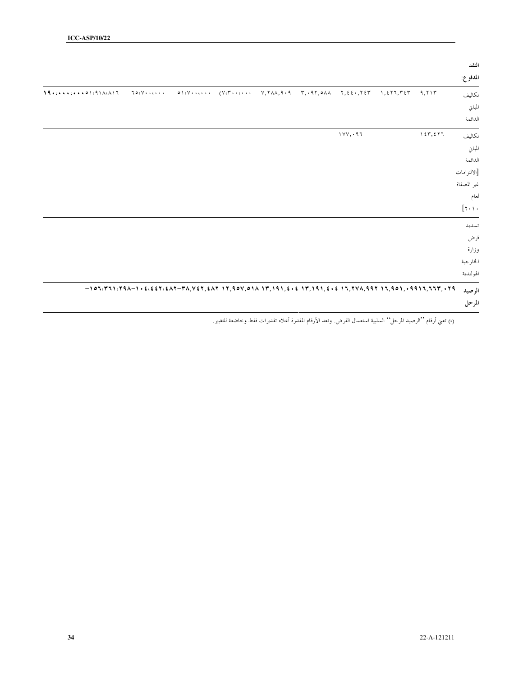| النقد<br>المدفوع:                    |         |          |  |  |                                                                                                         |  |
|--------------------------------------|---------|----------|--|--|---------------------------------------------------------------------------------------------------------|--|
| تكاليف                               | 9,717   |          |  |  | $70.1$ $\cdot \cdot \cdot \cdot$                                                                        |  |
| المباني                              |         |          |  |  |                                                                                                         |  |
| الدائمة                              |         |          |  |  |                                                                                                         |  |
| تكاليف                               | 157,577 | 1YY, .97 |  |  |                                                                                                         |  |
| المباني                              |         |          |  |  |                                                                                                         |  |
| الدائمة                              |         |          |  |  |                                                                                                         |  |
| [الالتزامات                          |         |          |  |  |                                                                                                         |  |
| غير المصفاة                          |         |          |  |  |                                                                                                         |  |
| لعام                                 |         |          |  |  |                                                                                                         |  |
| $[\mathbf{y} \cdot \mathbf{y} \cdot$ |         |          |  |  |                                                                                                         |  |
| تسديد                                |         |          |  |  |                                                                                                         |  |
| قرض                                  |         |          |  |  |                                                                                                         |  |
| وزارة                                |         |          |  |  |                                                                                                         |  |
| الخارجية                             |         |          |  |  |                                                                                                         |  |
| الهولندية                            |         |          |  |  |                                                                                                         |  |
| الرصيد                               |         |          |  |  | $-1$ 03(٣٦١(٢٩٨-١٠٤(٤٤٢(٤٨٢-٣٨,٧٤٢,٤٨٢-١٢,٩0٧,٥١٨-١٣,١٩١,٤٠٤-١٣,١٩١,٤٠٤-١٦,٢٧٨,٩٩٢-١٦,٩٥١,٠٩٩١٦,٦٦٣,٠٢٩ |  |
| المرحل                               |         |          |  |  |                                                                                                         |  |

(\*) تعني أرقام ''الرصيد المرحل'' السلبية استعمال القرض. وتعد الأرقام المقدرة أعلاه تقديرات فقط وخاضعة للتغيير.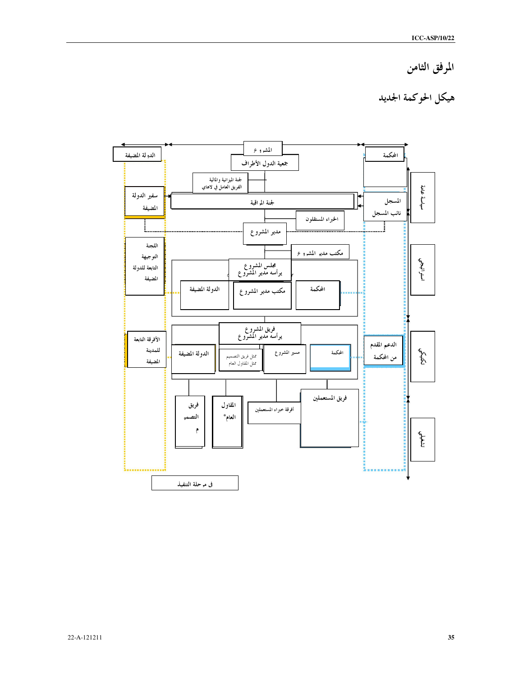## المرفق الثامن

## هيكل الحوكمة الجديد

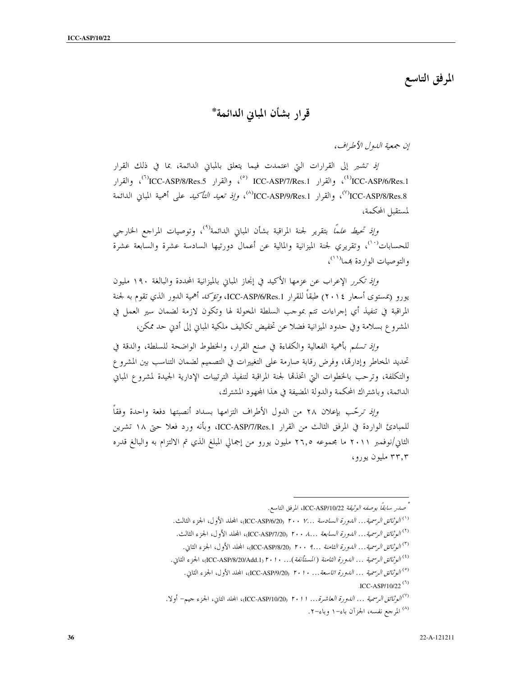المرفق التاسع

قرار بشأن المباني الدائمة\*

إن جمعية اللهول الأطراف،

إِذْ تَشْيَرِ إِلَى القرارات التي اعتمدت فيما يتعلق بالمباني الدائمة، بما في ذلك القرار ICC-ASP/8/Res.1) والقرار ICC-ASP/7/Res.1 <sup>(°)</sup>، والقرار ICC-ASP/8/Res.5 <sup>(\*)</sup>، والقرار <sup>(V)</sup>ICC-ASP/8/Res.8) والقرار ICC-ASP/9/Res.1*) وإذ تعيد التأكيد* على أهمية المباين الدائمة لمستقبل المحكمة،

وإِنَّه تحيط *علماً* بتقرير لجنة المراقبة بشأن المباين الدائمة<sup>(٩)</sup>، وتوصيات المراجع الخارجي للحسابات<sup>٬۰٬</sup>)، وتقريري لجنة الميزانية والمالية عن أعمال دورتيها السادسة عشرة والسابعة عشرة والتوصيات الوا<sub>د</sub> دة بمما<sup>(١١)</sup>،

وإذ تكرر الإعراب عن عزمها الأكيد في إنجاز المباين بالميزانية المحددة والبالغة ١٩٠ مليون يورو (بمستوى أسعار ٢٠١٤) طبقاً للقرار ICC-ASP/6/Res.1، *وتؤكد* أهمية الدور الذي تقوم به لجنة المراقبة في تنفيذ أي إجراءات تتم بموجب السلطة المخولة لها وتكون لازمة لضمان سير العمل في المشروع بسلامة وفي حدود الميزانية فضلا عن تخفيض تكاليف ملكية المبابي إلى أدبي حد ممكن،

وإِذِ تسلَّم بأهمية الفعالية والكفاءة في صنع القرار، والخطوط الواضحة للسلطة، والدقة في تحديد المخاطر وإدارتها، وفرض رقابة صارمة على التغييرات في التصميم لضمان التناسب بين المشروع والتكلفة، وترحب بالخطوات التي اتخذقما لجنة المراقبة لتنفيذ الترتيبات الإدارية الجيدة لمشروع المباني الدائمة، وباشتراك المحكمة والدولة المضيفة في هذا المجهود المشترك،

وإِنَّه ترحَّب بإعلان ٢٨ من الدول الأطراف التزامها بسداد أنصبتها دفعة واحدة وفقاً للمبادئ الواردة في المرفق الثالث من القرار ICC-ASP/7/Res.1، وبأنه ورد فعلا حتى ١٨ تشرين الثاني/نوفمبر ٢٠١١ ما مجموعه ٢٦,٥ مليون يورو من إجمالي المبلغ الذي تم الالتزام به والبالغ قدره ۳۳٫۳ مليون يورو،

<sup>(١)</sup> *الوثائق الرسمية... الدو رة السادسة ...Y . • • ١ (I*CC-ASP/6/20)، المجلد الأول، الجزء الثالث. <sup>(٢)</sup> *الوثائق الرسمية... الدو رة السابعة ...٨ . ٢٠٠* (ICC-ASP/7/20)، المجلد الأول، الجزء الثالث. <sup>(٣)</sup> *الوثائق الرسمية... الدورة الثامنة ...؟ ٢٠٠* (ICC-ASP/8/20)، المجلد الأول، الجزء الثاني. <sup>(٤)</sup> *الو ثائق الرسمية ... اللهو رة الثامنة (المستأنفة)... ٢٠١٠. ICC-ASP/8/20/Add.1) الجزء الثاني.* <sup>(٥)</sup> *الوثائق الرسمية ... الدورة اتاسعة... ٢٠١٠* (ICC-ASP/9/20، ٢٠١)، المحلد الأول، الجزء الثاني.

.ICC-ASP/10/22 $(7)$ 

صدر سابقاً بوصفه *الوثيقة I*CC-ASP/10/22، المرفق التاسع.

<sup>&</sup>lt;sup>(٧)</sup>ا*لوثائق الرسمية ... اللهورة العاشرة... ٢٠١١* (ICC-ASP/10/20م)، المجلد الثاني، الجزء جيم- أولا. (<sup>۸)</sup> المرجع نفسه، الجزآن باء–۱ وباء–۲.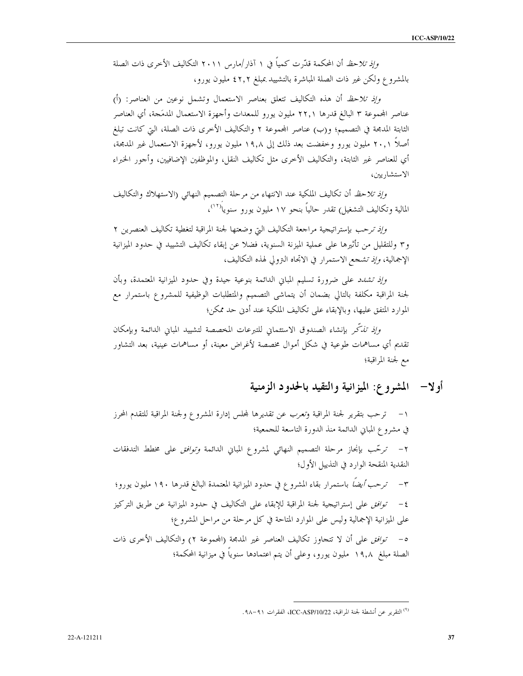وإِذِ تلاحظ أن المحكمة قدَّرت كمياً في ١ آذار /مارس ٢٠١١ التكاليف الأخرى ذات الصلة بالمشروع ولكن غير ذات الصلة المباشرة بالتشييد بمبلغ ٤٢,٢ مليون يورو،

وإذ تلاحظ أن هذه التكاليف تتعلق بعناصر الاستعمال وتشمل نوعين من العناصر: (أ) عناصر الجموعة ٣ البالغ قدرها ٢٢,١ مليون يورو للمعدات وأجهزة الاستعمال المدمَجة، أي العناصر الثابتة المدمجة في التصميم؛ و(ب) عناصر المجموعة ٢ والتكاليف الأخرى ذات الصلة، التي كانت تبلغ أصلاً ٢٠,١ مليون يورو وخفضت بعد ذلك إلى ١٩,٨ مليون يورو، لأحهزة الاستعمال غير المدمجة، أي للعناصر غير الثابتة، والتكاليف الأخرى مثل تكاليف النقل، والموظفين الإضافيين، وأجور الخبراء الاستشاريين،

وإذ تلاحظ أن تكاليف الملكية عند الانتهاء من مرحلة التصميم النهائي (الاستهلاك والتكاليف المالية وتكاليف التشغيل) تقدر حالياً بنحو ١٧ مليون يورو سنويا<sup>(١٢)</sup>،

وإذ ترحب بإستراتيجية مراجعة التكاليف التي وضعتها لجنة المراقبة لتغطية تكاليف العنصرين ٢ و٣ وللتقليل من تأثيرها على عملية الميزنة السنوية، فضلا عن إبقاء تكاليف التشييد في حدود الميزانية الإجمالية، *وإذ تشجع* الاستمرار في الاتحاه التزولي لهذه التكاليف،

*وإذ تشدد ع*لى ضرورة تسليم المباني الدائمة بنوعية جيدة وفي حدود الميزانية المعتمدة، وبأن لجنة المراقبة مكلفة بالتالي بضمان أن يتماشى التصميم والمتطلبات الوظيفية للمشروع باستمرار مع الموارد المتفق عليها، وبالإبقاء على تكاليف الملكية عند أدبى حد ممكن؛

وإنه تفكّر بإنشاء الصندوق الاستئماني للتبرعات المخصصة لتشييد المباني الدائمة وبإمكان تقديم أي مساهمات طوعية في شكل أموال مخصصة لأغراض معينة، أو مساهمات عينية، بعد التشاور مع لجنة المراقبة؛

## أو لا— المشروع: الميزانية والتقيد بالحدود الزمنية

١− ترحب بتقرير لجنة المراقبة وتعرب عن تقديرها لمجلس إدارة المشروع ولجنة المراقبة للتقدم المحرز في مشروع المباين الدائمة منذ الدورة التاسعة للجمعية؛ ٢- ترحّب بإنجاز مرحلة التصميم النهائي لمشروع المباني الدائمة *وتوافق* على مخطط التدفقات النقدية المنقحة الوارد في التذييل الأول؛ ٣ – *ترحب أيضاً* باستمرار بقاء المشروع في حدود الميزانية المعتمدة البالغ قدرها ١٩٠ مليون يورو؛ ٤ – توافق على إستراتيجية لجنة المراقبة للإبقاء على التكاليف في حدود الميزانية عن طريق التركيز على الميزانية الإجمالية وليس على الموارد المتاحة في كل مرحلة من مراحل المشروع؛ 0- *توافق على* أن لا تتجاوز تكاليف العناصر غير المدمجة (المجموعة ٢) والتكاليف الأخرى ذات الصلة مبلغ ١٩٫٨ مليون يورو، وعلى أن يتم اعتمادها سنوياً في ميزانية المحكمة؛

<sup>(&</sup>lt;sup>٩)</sup> التقرير عن أنشطة لجنة المراقبة، ICC-ASP/10/22، الفقرات ٩١١–٩٨.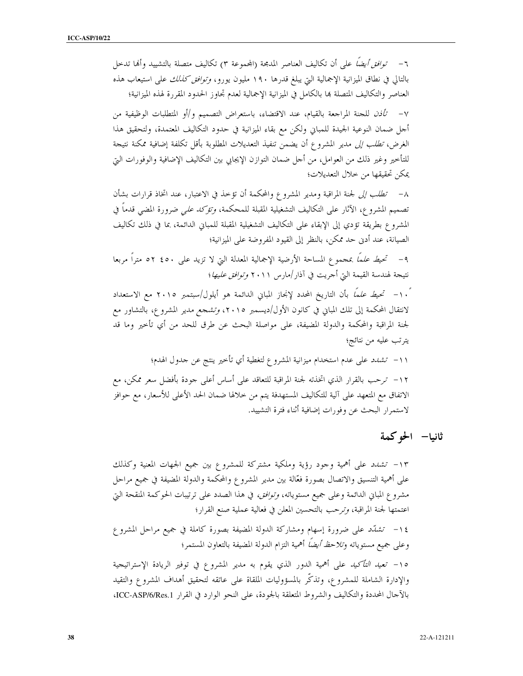٦– *توافق أيضاً* على أن تكاليف العناصر المدمجة (المجموعة ٣) تكاليف متصلة بالتشييد وألها تدخل بالتالي في نطاق الميزانية الإجمالية التي يبلغ قدرها ١٩٠ مليون يورو، *وتوافق كذلك* على استيعاب هذه العناصر والتكاليف المتصلة بما بالكامل في الميزانية الإجمالية لعدم تحاوز الحدود المقررة لهذه الميزانية؛

٧ – تَ*أذن* للجنة المراجعة بالقيام، عند الاقتضاء، باستعراض التصميم و/أو المتطلبات الوظيفية من أحل ضمان النوعية الجيدة للمباني ولكن مع بقاء الميزانية في حدود التكاليف المعتمدة، ولتحقيق هذا الغرض، *تطلب إلى* مدير المشرو ع أن يضمن تنفيذ التعديلات المطلوبة بأقل تكلفة إضافية ممكنة نتيجة للتأخير وغير ذلك من العوامل، من أحل ضمان التوازن الإيجابي بين التكاليف الإضافية والوفورات التي يمكن تحقيقها من حلال التعديلات؛

٨– *تطلب إلى* لجنة المراقبة ومدير المشروع والمحكمة أن تؤخذ في الاعتبار، عند اتخاذ قرارات بشأن تصميم المشروع، الآثار على التكاليف التشغيلية المقبلة للمحكمة، *وتؤكد على* ضرورة المضى قدماً في المشروع بطريقة تؤدي إلى الإبقاء على التكاليف التشغيلية المقبلة للمباني الدائمة، بما في ذلك تكاليف الصيانة، عند أدن حد ممكن، بالنظر إلى القيود المفروضة على الميزانية؛

٩– تحيط علمًا بمحموع المساحة الأرضية الإجمالية المعدلة التي لا تزيد على ٤٥٠ ٥٢ متراً مربعا نتيجة لهندسة القيمة التي أجريت في آذار /مارس ٢٠١١ و*توافق عليها*؛

ً ١٠- تحي*ط علماً* بأن التاريخ المحدد لإنجاز المباني الدائمة هو أيلول/سبتمبر ٢٠١٥ مع الاستعداد لانتقال المحكمة إلى تلك المباني في كانون الأول/ديسمبر ٢٠١٥، *وتشجع مدي*ر المشروع، بالتشاور مع لجنة المراقبة والمحكمة والدولة المضيفة، على مواصلة البحث عن طرق للحد من أي تأخير وما قد يترتب عليه من نتائج؛

١١– تش*دد ع*لى عدم استخدام ميزانية المشروع لتغطية أي تأخير ينتج عن حدول الهدم؛ ١٢– ترحب بالقرار الذي اتخذته لجنة المراقبة للتعاقد على أساس أعلى جودة بأفضل سعر ممكن، مع الاتفاق مع المتعهد على آلية للتكاليف المستهدفة يتم من خلالها ضمان الحد الأعلى للأسعار، مع حوافز لاستمرار البحث عن وفورات إضافية أثناء فترة التشييد.

ثانيا— الحوكمة

١٣- تشدد على أهمية وجود رؤية وملكية مشتركة للمشروع بين جميع الجهات المعنية وكذلك على أهمية التنسيق والاتصال بصورة فعَّالة بين مدير المشروع والمحكمة والدولة المضيفة في جميع مراحل مشروع المباني الدائمة وعلى جميع مستوياته، *وتوافق،* في هذا الصدد على ترتيبات الحوكمة المنقحة التي اعتمتها لجنة المراقبة، وترحب بالتحسين المعلن في فعالية عملية صنع القرار؛

١٤– تشتد على ضرورة إسهام ومشاركة الدولة المضيفة بصورة كاملة في جميع مراحل المشروع وعلى جميع مستوياته و*تلاحظ أيضاً* أهمية التزام الدولة المضيفة بالتعاون المستمر؛

١٥- تع*يد التأكيد* على أهمية الدور الذي يقوم به مدير المشروع في توفير الريادة الإستراتيجية والإدارة الشاملة للمشروع، وتذكَّر بالمسؤوليات الملقاة على عاتقه لتحقيق أهداف المشروع والتقيد بالآحال المحددة والتكاليف والشروط المتعلقة بالجودة، على النحو الوارد في القرار ICC-ASP/6/Res.1،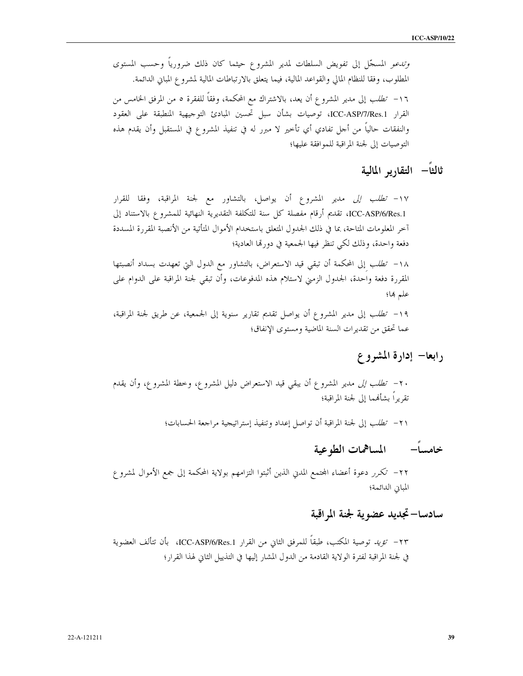*وتدعو* المسجّل إلى تفويض السلطات لمدير المشروع حيثما كان ذلك ضرورياً وحسب المستوى المطلوب، وفقا للنظام المالي والقواعد المالية، فيما يتعلق بالارتباطات المالية لمشروع المباني الدائمة. ١٦- *تطلب* إلى مدير المشروع أن يعد، بالاشتراك مع المحكمة، وفقاً للفقرة ٥ من المرفق الخامس من القرار ICC-ASP/7/Res.1، توصيات بشأن سبل تحسين المبادئ التوجيهية المنطبقة على العقود والنفقات حالياً من أحل تفادي أي تأخير لا مبرر له في تنفيذ المشروع في المستقبل وأن يقدم هذه التوصيات إلى لجنة المراقبة للموافقة عليها؛

ثالثاً– التقارير المالية

١٧- *تطلب إلى مدي*ر المشروع أن يواصل، بالتشاور مع لجنة المراقبة، وفقا للقرار ICC-ASP/6/Res.1، تقديم أرقام مفصلة كل سنة للتكلفة التقديرية النهائية للمشروع بالاستناد إلى آخر المعلومات المتاحة، بما في ذلك الجدول المتعلق باستخدام الأموال المتأتية من الأنصبة المقررة المسددة دفعة واحدة، وذلك لكي تنظر فيها الجمعية في دورتما العادية؛

١٨– ت*طلب* إلى المحكمة أن تبقى قيد الاستعراض، بالتشاور مع الدول التي تعهدت بسداد أنصبتها المقررة دفعة واحدة، الجدول الزمني لاستلام هذه المدفوعات، وأن تبقى لجنة المراقبة على الدوام على علم ها؛

١٩- تطلب إلى مدير المشروع أن يواصل تقديم تقارير سنوية إلى الجمعية، عن طريق لجنة المراقبة، عما تحقق من تقديرات السنة الماضية ومستوى الإنفاق؛

رابعا– إدارة المشروع

٢٠ *– تطلب إلى مدي*ر المشروع أن يبقي قيد الاستعراض دليل المشروع، وخطة المشروع، وأن يقدم تقريراً بشأنهما إلى لجنة المراقبة؛

٢١– تطلب إلى لجنة المراقبة أن تواصل إعداد وتنفيذ إستراتيجية مراجعة الحسابات؛

خامساً– المساهمات الطوعية

٢٢– تكرر دعوة أعضاء المحتمع المدني الذين أثبتوا التزامهم بولاية المحكمة إلى جمع الأموال لمشروع المباين الدائمة؛

## سادسا–تجديد عضوية لجنة المراقبة

٢٣ – تؤيد توصية المكتب، طبقاً للمرفق الثاني من القرار ICC-ASP/6/Res.1، بأن تتألف العضوية في لجنة المراقبة لفترة الولاية القادمة من الدول المشار إليها في التذييل الثاني لهذا القرار؛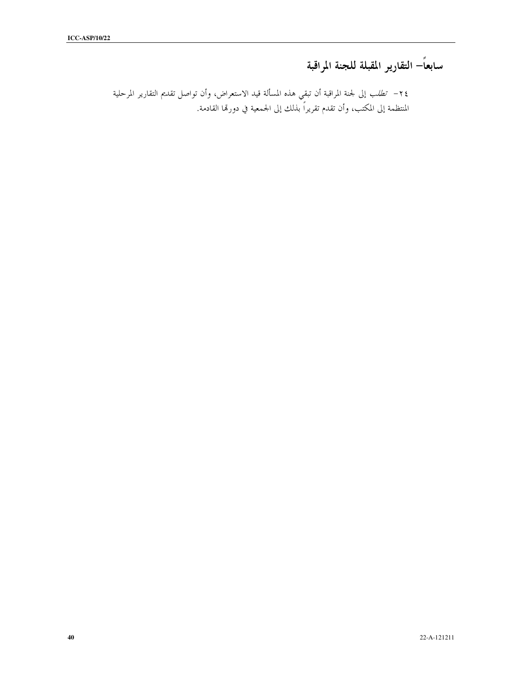## سابعاً– التقارير المقبلة للجنة المراقبة

٢٤ – تط*لب* إلى لجنة المراقبة أن تبقي هذه المسألة قيد الاستعراض، وأن تواصل تقديم التقارير المرحلية المنتظمة إلى المكتب، وأن تقدم تقريراً بذلك إلى الجمعية في دورتما القادمة.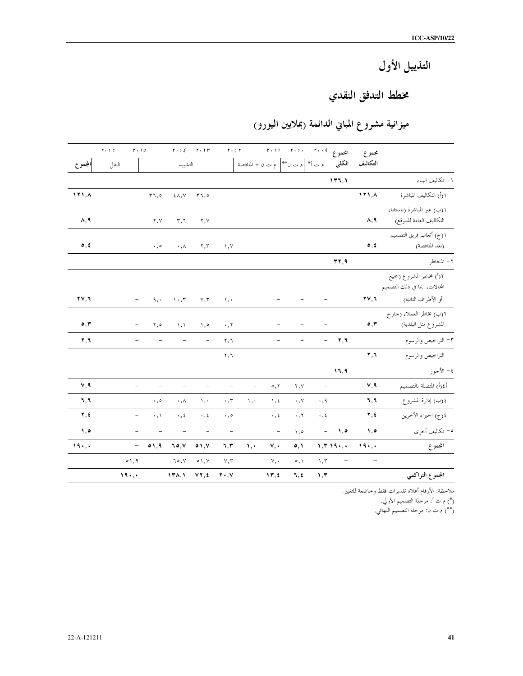## التذييل الأول

## مخطط التدفق النقدي

## ميزانية مشروع المباني الدائمة (بملايين اليورو)

|                                     | $r \cdot$ , $7$ | $r \cdot$ 10             |                          |                          | $r \cdot t \in -r \cdot t$ r  | $\mathfrak{r}\mathbin{\widehat{\hspace{1ex}}}$ , $\mathfrak{f}\mathfrak{r}$ |                                    |                          | المجموع ٢٠٠٩ - ٢٠١١ - ٢٠١١ |                              |                          | مجموع                               |                                                          |
|-------------------------------------|-----------------|--------------------------|--------------------------|--------------------------|-------------------------------|-----------------------------------------------------------------------------|------------------------------------|--------------------------|----------------------------|------------------------------|--------------------------|-------------------------------------|----------------------------------------------------------|
| المجموع                             | النقل           |                          |                          | التشييد                  |                               |                                                                             | م ت أ*  م ت ن**   م ت ن + المناقصة |                          |                            |                              | الكلي                    | التكاليف                            |                                                          |
|                                     |                 |                          |                          |                          |                               |                                                                             |                                    |                          |                            |                              | 111,1                    |                                     | ۱ – تكاليف البناء                                        |
| 111, A                              |                 |                          | $r_7, o$                 | $\epsilon \wedge, \vee$  | $\mathsf{r}_\mathbb{k},\circ$ |                                                                             |                                    |                          |                            |                              |                          | 111, A                              | ١(أ) التكاليف المباشرة                                   |
| $\Lambda$ , ٩                       |                 |                          | ۲,۷                      | $r, \tau$                | ۲,۷                           |                                                                             |                                    |                          |                            |                              |                          | ۸,۹                                 | ١(ب) غير المباشرة (باستثناء<br>التكاليف العامة للموقع)   |
| $\circ$ , $\circ$                   |                 |                          | $\cdot$ , $\circ$        | $\cdot$ , $\wedge$       | $\mathbf{r},\mathbf{r}$       | $\wedge$ , $\vee$                                                           |                                    |                          |                            |                              |                          | $\circ$ , $\circ$                   | ١(ج) أتعاب فريق التصميم<br>(بعد المناقصة)                |
|                                     |                 |                          |                          |                          |                               |                                                                             |                                    |                          |                            |                              | rr, 9                    |                                     | ٢- المخاطر                                               |
|                                     |                 |                          |                          |                          |                               |                                                                             |                                    |                          |                            |                              |                          |                                     | ٢(أ) مخاطر المشروع (جميع<br>المحالات، بما في ذلك التصميم |
| $\mathbf{y} \mathbf{y}, \mathbf{y}$ |                 | $\overline{\phantom{a}}$ | $9, \cdot$               | $\cdots$ , $\mathsf{r}$  | $\vee,\curlyvee$              | $\lambda$ , $\cdot$                                                         |                                    | $\overline{\phantom{a}}$ |                            | $\overline{\phantom{0}}$     |                          | $\mathbf{y} \mathbf{y}, \mathbf{y}$ | أو الأطراف الثالثة)                                      |
| $\circ$ , $\mathsf{r}$              |                 | $\overline{\phantom{0}}$ | ۰, ۲                     | $\lambda, \lambda$       | ۰,۰                           | $\cdot$ , $\tau$                                                            |                                    |                          |                            |                              |                          | $\circ$ , $\mathbf r$               | ٢(ب) مخاطر العملاء (حارج<br>المشروع مثل البلدية)         |
| $\mathbf{y}, \mathbf{y}$            |                 |                          |                          | $\overline{\phantom{0}}$ |                               | ۲,٦                                                                         |                                    |                          |                            | $\overline{\phantom{0}}$     | $\mathbf{Y}, \mathbf{Y}$ |                                     | ٣– التراخيص والرسوم                                      |
|                                     |                 |                          |                          |                          |                               | ۲,٦                                                                         |                                    |                          |                            |                              |                          | $\mathbf{v}, \mathbf{v}$            | التراخيص والرسوم                                         |
|                                     |                 |                          |                          |                          |                               |                                                                             |                                    |                          |                            |                              | 11,9                     |                                     | ٤ – الأجور                                               |
| V, 9                                |                 | $\overline{\phantom{0}}$ | $\overline{a}$           | $\overline{\phantom{0}}$ | $\overline{\phantom{0}}$      | $\overline{\phantom{m}}$                                                    | $\qquad \qquad -$                  | $\circ, \circ$           | ۲,۷                        | $\qquad \qquad \blacksquare$ |                          | V, 9                                | أ٤(أ) المتصلة بالتصميم                                   |
| ٦,٦                                 |                 |                          | $\cdot$ , $\circ$        | $\cdot$ , $\wedge$       | $\mathcal{N}, \mathcal{N}$    | $\cdot$ , $\tau$                                                            | $\lambda$ ,                        | $\eta, \xi$              | $\cdot$ , Y                | $\cdot$ , ٩                  |                          | ٦,٦                                 | ٤(ب) إدارة المشروع                                       |
| Y, 2                                |                 | $\overline{\phantom{a}}$ | $\cdot, \wedge$          | $\cdot$ , $\epsilon$     | $\cdot$ , ٤                   | $\cdot$ , $\circ$                                                           |                                    | $\cdot$ , $\epsilon$     | $\cdot$ , $\tau$           | $\cdot$ , $\epsilon$         |                          | $\mathbf{Y}, \mathbf{t}$            | ٤(ج) الخبراء الآخرين                                     |
| $, \circ$                           |                 | $\overline{\phantom{0}}$ | $\overline{\phantom{a}}$ | $\overline{\phantom{0}}$ | $\overline{\phantom{a}}$      | $\overline{\phantom{a}}$                                                    |                                    | $\overline{\phantom{a}}$ | $\lambda, \circ$           | $\equiv$                     | ه, ۱                     | $, \circ$                           | ٥– تكاليف أخرى                                           |
| $19.$ .                             |                 | $\overline{\phantom{0}}$ | $\circ$ 1,9              | 70, 1                    | $\circ$ 1, Y                  | $\mathbf{u},\mathbf{r}$                                                     | $\mathcal{N}, \mathcal{N}$         | v,                       | $\circ, \circ$             |                              | $1, 7, 19, \ldots$       | $19.$ .                             | المجموع                                                  |
|                                     |                 | $\circ$ \, 9             |                          | 70, 7                    | $\circ \wedge, \vee$          | $Y, \tau$                                                                   |                                    | v,                       | $\circ, \wedge$            | $\wedge$ , $\tau$            | $\overline{\phantom{a}}$ | $\overline{\phantom{a}}$            |                                                          |
|                                     |                 | 19.                      |                          | 17A, 1                   | $VT, \xi$                     | $\mathbf{y} \cdot \mathbf{y}$                                               |                                    | 17, 2                    | 7, 2                       | 1,7                          |                          |                                     | المجموع التراكمي                                         |

ملاحظة: الأرقام أعلاه تقديرات فقط وخاضعة للتغيير.

(\*) م ت أ: مرحلة التصميم الأولي.<br>(\*\*) م ت ن: مرحلة التصميم النهائي.